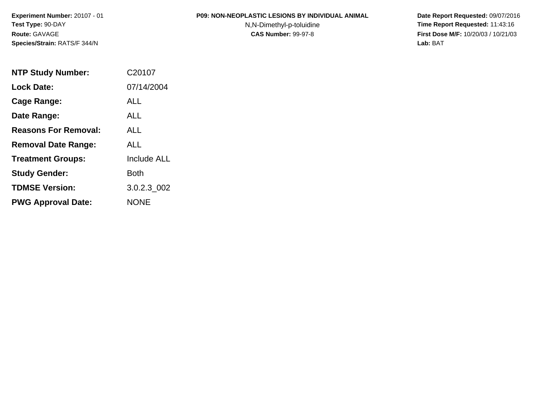#### **P09: NON-NEOPLASTIC LESIONS BY INDIVIDUAL ANIMAL**

N,N-Dimethyl-p-toluidine

| <b>NTP Study Number:</b>    | C20107             |
|-----------------------------|--------------------|
| <b>Lock Date:</b>           | 07/14/2004         |
| Cage Range:                 | ALL                |
| Date Range:                 | ALL.               |
| <b>Reasons For Removal:</b> | ALL.               |
| <b>Removal Date Range:</b>  | ALL                |
| <b>Treatment Groups:</b>    | <b>Include ALL</b> |
| <b>Study Gender:</b>        | Both               |
| <b>TDMSE Version:</b>       | 3.0.2.3 002        |
| <b>PWG Approval Date:</b>   | <b>NONE</b>        |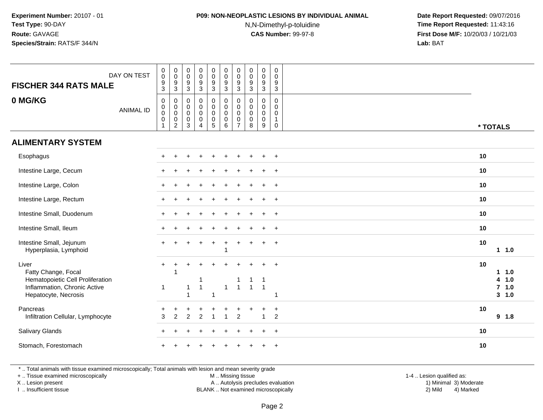## **P09: NON-NEOPLASTIC LESIONS BY INDIVIDUAL ANIMAL**

N,N-Dimethyl-p-toluidine

 **Date Report Requested:** 09/07/2016 **Time Report Requested:** 11:43:16 **First Dose M/F:** 10/20/03 / 10/21/03<br>**Lab:** BAT **Lab:** BAT

| <b>FISCHER 344 RATS MALE</b>                                                                                             | DAY ON TEST      | $\pmb{0}$<br>$\overline{0}$<br>$\boldsymbol{9}$<br>$\overline{3}$            | $_{\rm 0}^{\rm 0}$<br>$\boldsymbol{9}$<br>$\mathbf{3}$       | $\begin{smallmatrix} 0\\0 \end{smallmatrix}$<br>$\boldsymbol{9}$<br>$\overline{3}$ | $\begin{smallmatrix}0\0\0\9\end{smallmatrix}$<br>$\overline{3}$              | $\begin{smallmatrix} 0\\0 \end{smallmatrix}$<br>$\boldsymbol{9}$<br>$\overline{3}$ | $\begin{smallmatrix} 0\\0 \end{smallmatrix}$<br>9<br>$\overline{3}$ | $\pmb{0}$<br>$\mathbf 0$<br>9<br>$\mathbf{3}$ | $_{\rm 0}^{\rm 0}$<br>$9\,$<br>$\mathbf{3}$    | $_{\rm 0}^{\rm 0}$<br>$\boldsymbol{9}$<br>$\overline{3}$ | $\pmb{0}$<br>$\mathbf 0$<br>9<br>$\overline{3}$                 |          |                                                             |
|--------------------------------------------------------------------------------------------------------------------------|------------------|------------------------------------------------------------------------------|--------------------------------------------------------------|------------------------------------------------------------------------------------|------------------------------------------------------------------------------|------------------------------------------------------------------------------------|---------------------------------------------------------------------|-----------------------------------------------|------------------------------------------------|----------------------------------------------------------|-----------------------------------------------------------------|----------|-------------------------------------------------------------|
| 0 MG/KG                                                                                                                  | <b>ANIMAL ID</b> | $\boldsymbol{0}$<br>$\pmb{0}$<br>$\overline{0}$<br>$\pmb{0}$<br>$\mathbf{1}$ | 0<br>$\pmb{0}$<br>$\mathbf 0$<br>$\pmb{0}$<br>$\overline{2}$ | 0<br>$\mathbf 0$<br>$\mathbf 0$<br>$\mathbf 0$<br>$\mathbf{3}$                     | $\pmb{0}$<br>$\pmb{0}$<br>$\pmb{0}$<br>$\mathsf{O}\xspace$<br>$\overline{4}$ | $\pmb{0}$<br>$\begin{matrix} 0 \\ 0 \\ 0 \end{matrix}$<br>$\sqrt{5}$               | $\pmb{0}$<br>$\mathbf 0$<br>$\mathbf 0$<br>$\mathbf 0$<br>6         | 0<br>0<br>$\mathbf 0$<br>0<br>7               | 0<br>$\Omega$<br>$\mathsf{O}\xspace$<br>0<br>8 | $\pmb{0}$<br>0<br>$\mathbf 0$<br>$\pmb{0}$<br>$9\,$      | 0<br>$\mathbf{0}$<br>$\mathbf 0$<br>$\mathbf{1}$<br>$\mathbf 0$ | * TOTALS |                                                             |
| <b>ALIMENTARY SYSTEM</b>                                                                                                 |                  |                                                                              |                                                              |                                                                                    |                                                                              |                                                                                    |                                                                     |                                               |                                                |                                                          |                                                                 |          |                                                             |
| Esophagus                                                                                                                |                  |                                                                              |                                                              |                                                                                    |                                                                              |                                                                                    |                                                                     |                                               |                                                |                                                          | $\overline{+}$                                                  | 10       |                                                             |
| Intestine Large, Cecum                                                                                                   |                  |                                                                              |                                                              |                                                                                    |                                                                              |                                                                                    |                                                                     |                                               |                                                |                                                          | $\ddot{}$                                                       | 10       |                                                             |
| Intestine Large, Colon                                                                                                   |                  |                                                                              |                                                              |                                                                                    |                                                                              |                                                                                    |                                                                     |                                               |                                                |                                                          | $+$                                                             | 10       |                                                             |
| Intestine Large, Rectum                                                                                                  |                  |                                                                              |                                                              |                                                                                    |                                                                              |                                                                                    |                                                                     |                                               |                                                |                                                          | $+$                                                             | 10       |                                                             |
| Intestine Small, Duodenum                                                                                                |                  |                                                                              |                                                              |                                                                                    |                                                                              |                                                                                    |                                                                     |                                               |                                                | $\div$                                                   | $+$                                                             | 10       |                                                             |
| Intestine Small, Ileum                                                                                                   |                  |                                                                              |                                                              |                                                                                    |                                                                              |                                                                                    |                                                                     |                                               |                                                |                                                          | $\ddot{}$                                                       | 10       |                                                             |
| Intestine Small, Jejunum<br>Hyperplasia, Lymphoid                                                                        |                  |                                                                              |                                                              |                                                                                    |                                                                              | $\ddot{}$                                                                          | 1                                                                   |                                               |                                                |                                                          | $+$                                                             | 10       | 11.0                                                        |
| Liver<br>Fatty Change, Focal<br>Hematopoietic Cell Proliferation<br>Inflammation, Chronic Active<br>Hepatocyte, Necrosis |                  | $\ddot{}$<br>$\mathbf{1}$                                                    | $\ddot{}$                                                    | 1<br>$\overline{1}$                                                                | $\overline{1}$                                                               | -1                                                                                 | $\mathbf{1}$                                                        | $\mathbf{1}$                                  | $\overline{1}$                                 | $\overline{1}$<br>$\overline{1}$                         | $\ddot{}$                                                       | 10       | 1.0<br>1.<br>1.0<br>4<br>1.0<br>$\overline{7}$<br>$3 - 1.0$ |
| Pancreas<br>Infiltration Cellular, Lymphocyte                                                                            |                  | 3                                                                            | $\overline{2}$                                               | $\mathcal{P}$                                                                      | $\overline{2}$                                                               |                                                                                    |                                                                     | $\overline{2}$                                |                                                | $\overline{A}$                                           | $\ddot{}$<br>$\overline{2}$                                     | 10       | 9 1.8                                                       |
| Salivary Glands                                                                                                          |                  |                                                                              |                                                              |                                                                                    |                                                                              |                                                                                    |                                                                     |                                               |                                                | $\div$                                                   | $+$                                                             | 10       |                                                             |
| Stomach, Forestomach                                                                                                     |                  |                                                                              |                                                              |                                                                                    |                                                                              |                                                                                    |                                                                     |                                               |                                                |                                                          | $\overline{ }$                                                  | 10       |                                                             |

\* .. Total animals with tissue examined microscopically; Total animals with lesion and mean severity grade

+ .. Tissue examined microscopically

X .. Lesion present

I .. Insufficient tissue

M .. Missing tissue

 Lesion present A .. Autolysis precludes evaluation 1) Minimal 3) ModerateBLANK .. Not examined microscopically 2) Mild 4) Marked

1-4 .. Lesion qualified as:<br>1) Minimal 3) Moderate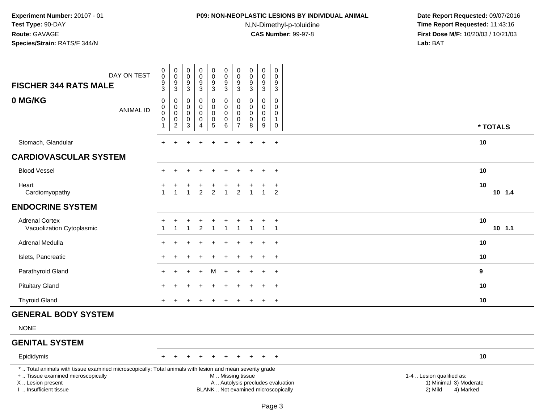# **P09: NON-NEOPLASTIC LESIONS BY INDIVIDUAL ANIMAL**

N,N-Dimethyl-p-toluidine

| <b>FISCHER 344 RATS MALE</b>                                                                                                                                                                  | DAY ON TEST      | $_{\rm 0}^{\rm 0}$<br>$\frac{9}{3}$                                | $\mathbf 0$<br>$\mathbf 0$<br>$\frac{9}{3}$            | $\pmb{0}$<br>$\mathsf{O}\xspace$<br>$\frac{9}{3}$ | $_{\rm 0}^{\rm 0}$<br>$\frac{9}{3}$                                  | $\pmb{0}$<br>$\mathbf 0$<br>$^9_3$                           | $\pmb{0}$<br>$\mathbf 0$<br>$\frac{9}{3}$                    | $\pmb{0}$<br>$\mathbf 0$<br>9<br>$\mathbf{3}$ | $\pmb{0}$<br>$\pmb{0}$<br>$\frac{9}{3}$        | $\pmb{0}$<br>$\pmb{0}$<br>$\frac{9}{3}$           | $\pmb{0}$<br>$\mathbf 0$<br>9<br>$\overline{3}$                        |                                                                                                                  |
|-----------------------------------------------------------------------------------------------------------------------------------------------------------------------------------------------|------------------|--------------------------------------------------------------------|--------------------------------------------------------|---------------------------------------------------|----------------------------------------------------------------------|--------------------------------------------------------------|--------------------------------------------------------------|-----------------------------------------------|------------------------------------------------|---------------------------------------------------|------------------------------------------------------------------------|------------------------------------------------------------------------------------------------------------------|
| 0 MG/KG                                                                                                                                                                                       | <b>ANIMAL ID</b> | $\pmb{0}$<br>$\pmb{0}$<br>$\mathbf 0$<br>$\pmb{0}$<br>$\mathbf{1}$ | 0<br>$\mathbf 0$<br>$\mathsf 0$<br>0<br>$\overline{2}$ | 0<br>$\mathbf 0$<br>0<br>$\pmb{0}$<br>3           | $\pmb{0}$<br>$\mathbf 0$<br>$\pmb{0}$<br>$\pmb{0}$<br>$\overline{4}$ | 0<br>$\mathbf 0$<br>$\pmb{0}$<br>$\pmb{0}$<br>$\overline{5}$ | $\pmb{0}$<br>$\overline{0}$<br>$\mathbf 0$<br>$\pmb{0}$<br>6 | 0<br>$\Omega$<br>0<br>0<br>$\overline{7}$     | $\mathbf 0$<br>$\Omega$<br>0<br>$\pmb{0}$<br>8 | 0<br>$\mathbf 0$<br>$\mathbf 0$<br>$\pmb{0}$<br>9 | 0<br>$\mathbf 0$<br>$\mathsf{O}\xspace$<br>$\mathbf{1}$<br>$\mathbf 0$ | * TOTALS                                                                                                         |
| Stomach, Glandular                                                                                                                                                                            |                  | $\ddot{}$                                                          | $\ddot{}$                                              |                                                   |                                                                      |                                                              |                                                              |                                               |                                                | $\ddot{}$                                         | $+$                                                                    | 10                                                                                                               |
| <b>CARDIOVASCULAR SYSTEM</b>                                                                                                                                                                  |                  |                                                                    |                                                        |                                                   |                                                                      |                                                              |                                                              |                                               |                                                |                                                   |                                                                        |                                                                                                                  |
| <b>Blood Vessel</b>                                                                                                                                                                           |                  |                                                                    | $\ddot{}$                                              | $\pm$                                             | $\ddot{}$                                                            | $\ddot{}$                                                    | $\ddot{}$                                                    | ÷                                             |                                                | $\ddot{}$                                         | $+$                                                                    | 10                                                                                                               |
| Heart<br>Cardiomyopathy                                                                                                                                                                       |                  |                                                                    | 1                                                      |                                                   | $\overline{2}$                                                       | $\overline{2}$                                               | 1                                                            | $\overline{2}$                                |                                                | $\mathbf{1}$                                      | $\ddot{}$<br>2                                                         | 10<br>10 1.4                                                                                                     |
| <b>ENDOCRINE SYSTEM</b>                                                                                                                                                                       |                  |                                                                    |                                                        |                                                   |                                                                      |                                                              |                                                              |                                               |                                                |                                                   |                                                                        |                                                                                                                  |
| <b>Adrenal Cortex</b><br>Vacuolization Cytoplasmic                                                                                                                                            |                  |                                                                    | -1                                                     | ÷                                                 | $\ddot{}$<br>$\overline{c}$                                          | -1                                                           | 1                                                            | $\mathbf{1}$                                  | -1                                             | $\ddot{}$<br>$\mathbf{1}$                         | $+$<br>$\overline{1}$                                                  | 10<br>$10$ 1.1                                                                                                   |
| Adrenal Medulla                                                                                                                                                                               |                  |                                                                    |                                                        |                                                   |                                                                      |                                                              |                                                              |                                               |                                                |                                                   | $\overline{+}$                                                         | 10                                                                                                               |
| Islets, Pancreatic                                                                                                                                                                            |                  |                                                                    |                                                        |                                                   |                                                                      |                                                              |                                                              |                                               |                                                |                                                   | $\div$                                                                 | 10                                                                                                               |
| Parathyroid Gland                                                                                                                                                                             |                  |                                                                    |                                                        |                                                   |                                                                      | м                                                            |                                                              |                                               |                                                | $\div$                                            | $\overline{+}$                                                         | 9                                                                                                                |
| <b>Pituitary Gland</b>                                                                                                                                                                        |                  |                                                                    |                                                        |                                                   |                                                                      |                                                              |                                                              |                                               |                                                | $\ddot{}$                                         | $+$                                                                    | 10                                                                                                               |
| <b>Thyroid Gland</b>                                                                                                                                                                          |                  |                                                                    |                                                        |                                                   |                                                                      |                                                              |                                                              |                                               |                                                | $\overline{+}$                                    | $+$                                                                    | 10                                                                                                               |
| <b>GENERAL BODY SYSTEM</b>                                                                                                                                                                    |                  |                                                                    |                                                        |                                                   |                                                                      |                                                              |                                                              |                                               |                                                |                                                   |                                                                        |                                                                                                                  |
| <b>NONE</b>                                                                                                                                                                                   |                  |                                                                    |                                                        |                                                   |                                                                      |                                                              |                                                              |                                               |                                                |                                                   |                                                                        |                                                                                                                  |
| <b>GENITAL SYSTEM</b>                                                                                                                                                                         |                  |                                                                    |                                                        |                                                   |                                                                      |                                                              |                                                              |                                               |                                                |                                                   |                                                                        |                                                                                                                  |
| Epididymis                                                                                                                                                                                    |                  | $+$                                                                | $+$                                                    | $\pm$                                             | $\overline{1}$                                                       | $\ddot{}$                                                    | $\ddot{}$                                                    | $\pm$                                         | $+$                                            | $+$                                               | $+$                                                                    | 10                                                                                                               |
| *  Total animals with tissue examined microscopically; Total animals with lesion and mean severity grade<br>+  Tissue examined microscopically<br>X  Lesion present<br>I. Insufficient tissue |                  |                                                                    |                                                        |                                                   |                                                                      |                                                              |                                                              |                                               | M  Missing tissue                              |                                                   | BLANK  Not examined microscopically                                    | 1-4  Lesion qualified as:<br>A  Autolysis precludes evaluation<br>1) Minimal 3) Moderate<br>2) Mild<br>4) Marked |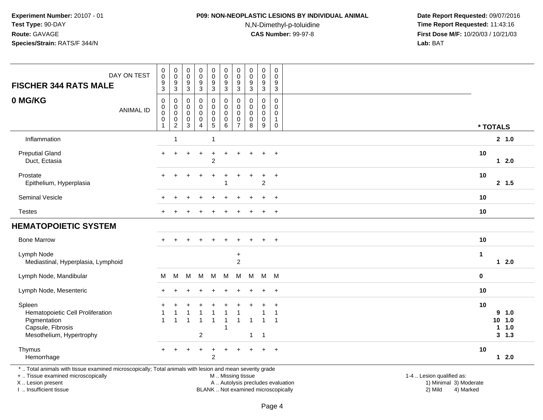# **P09: NON-NEOPLASTIC LESIONS BY INDIVIDUAL ANIMAL**

N,N-Dimethyl-p-toluidine

 **Date Report Requested:** 09/07/2016 **Time Report Requested:** 11:43:16 **First Dose M/F:** 10/20/03 / 10/21/03<br>**Lab:** BAT **Lab:** BAT

| DAY ON TEST<br><b>FISCHER 344 RATS MALE</b>                                                                                                                         | $\pmb{0}$<br>$\boldsymbol{0}$<br>$9\,$<br>$\overline{3}$                      | $\pmb{0}$<br>$\mathbf 0$<br>9<br>$\ensuremath{\mathsf{3}}$ | $\pmb{0}$<br>$\mathsf 0$<br>9<br>3                  | 0<br>$\mathsf{O}\xspace$<br>$\boldsymbol{9}$<br>$\overline{3}$ | $\pmb{0}$<br>${\bf 0}$<br>$\boldsymbol{9}$<br>$\overline{3}$ | $\pmb{0}$<br>$\pmb{0}$<br>$\boldsymbol{9}$<br>$\overline{3}$ | $\pmb{0}$<br>$\mathbf 0$<br>9<br>$\mathbf{3}$       | $\mathbf 0$<br>$\boldsymbol{0}$<br>9<br>$\mathfrak{Z}$ | 0<br>$\pmb{0}$<br>$\boldsymbol{9}$<br>$\overline{3}$                       | $\pmb{0}$<br>0<br>9<br>$\overline{3}$                                    |                                                                                          |  |
|---------------------------------------------------------------------------------------------------------------------------------------------------------------------|-------------------------------------------------------------------------------|------------------------------------------------------------|-----------------------------------------------------|----------------------------------------------------------------|--------------------------------------------------------------|--------------------------------------------------------------|-----------------------------------------------------|--------------------------------------------------------|----------------------------------------------------------------------------|--------------------------------------------------------------------------|------------------------------------------------------------------------------------------|--|
| 0 MG/KG<br><b>ANIMAL ID</b>                                                                                                                                         | $\boldsymbol{0}$<br>$\mathbf 0$<br>$\mathbf 0$<br>$\pmb{0}$<br>$\overline{1}$ | $\pmb{0}$<br>$\mathbf 0$<br>$\mathbf 0$<br>0<br>$\sqrt{2}$ | $\mathbf 0$<br>$\mathbf 0$<br>$\mathbf 0$<br>0<br>3 | 0<br>$\mathbf 0$<br>$\mathbf 0$<br>0<br>$\overline{4}$         | $\pmb{0}$<br>$\mathbf 0$<br>0<br>$\pmb{0}$<br>5              | $\mathbf 0$<br>$\mathbf 0$<br>$\mathbf 0$<br>0<br>6          | 0<br>$\mathbf 0$<br>$\Omega$<br>0<br>$\overline{7}$ | 0<br>$\mathbf 0$<br>$\Omega$<br>$\mathbf 0$<br>8       | $\mathbf 0$<br>$\mathbf 0$<br>$\mathbf 0$<br>$\pmb{0}$<br>$\boldsymbol{9}$ | $\mathbf 0$<br>$\mathbf 0$<br>$\mathbf 0$<br>$\mathbf{1}$<br>$\mathbf 0$ | * TOTALS                                                                                 |  |
| Inflammation                                                                                                                                                        |                                                                               | 1                                                          |                                                     |                                                                |                                                              |                                                              |                                                     |                                                        |                                                                            |                                                                          | 2, 1.0                                                                                   |  |
| <b>Preputial Gland</b><br>Duct, Ectasia                                                                                                                             |                                                                               |                                                            |                                                     |                                                                | $\overline{c}$                                               |                                                              |                                                     |                                                        |                                                                            | $\ddot{}$                                                                | 10<br>$12.0$                                                                             |  |
| Prostate<br>Epithelium, Hyperplasia                                                                                                                                 |                                                                               |                                                            |                                                     |                                                                |                                                              |                                                              |                                                     |                                                        | $\ddot{}$<br>$\overline{c}$                                                | $\ddot{}$                                                                | 10<br>2, 1.5                                                                             |  |
| Seminal Vesicle                                                                                                                                                     |                                                                               |                                                            |                                                     |                                                                |                                                              |                                                              |                                                     |                                                        |                                                                            | $\ddot{}$                                                                | 10                                                                                       |  |
| <b>Testes</b>                                                                                                                                                       |                                                                               |                                                            |                                                     |                                                                |                                                              |                                                              |                                                     |                                                        |                                                                            | $\overline{+}$                                                           | 10                                                                                       |  |
| <b>HEMATOPOIETIC SYSTEM</b>                                                                                                                                         |                                                                               |                                                            |                                                     |                                                                |                                                              |                                                              |                                                     |                                                        |                                                                            |                                                                          |                                                                                          |  |
| <b>Bone Marrow</b>                                                                                                                                                  |                                                                               |                                                            |                                                     |                                                                |                                                              |                                                              |                                                     |                                                        |                                                                            | $\overline{+}$                                                           | 10                                                                                       |  |
| Lymph Node<br>Mediastinal, Hyperplasia, Lymphoid                                                                                                                    |                                                                               |                                                            |                                                     |                                                                |                                                              |                                                              | $\ddot{}$<br>$\overline{c}$                         |                                                        |                                                                            |                                                                          | $\mathbf{1}$<br>$12.0$                                                                   |  |
| Lymph Node, Mandibular                                                                                                                                              | м                                                                             | M                                                          | M                                                   | M                                                              | M                                                            | M                                                            | М                                                   | M                                                      | M M                                                                        |                                                                          | 0                                                                                        |  |
| Lymph Node, Mesenteric                                                                                                                                              |                                                                               |                                                            |                                                     |                                                                |                                                              |                                                              |                                                     |                                                        | $\ddot{}$                                                                  | $\ddot{}$                                                                | 10                                                                                       |  |
| Spleen<br>Hematopoietic Cell Proliferation<br>Pigmentation<br>Capsule, Fibrosis<br>Mesothelium, Hypertrophy<br>Thymus<br>Hemorrhage                                 | $\overline{1}$                                                                | 1                                                          | 1                                                   | $\overline{1}$<br>$\overline{2}$                               | -1<br>$\ddot{}$<br>$\overline{c}$                            | $\overline{1}$<br>-1                                         | 1                                                   | 1<br>$\mathbf{1}$                                      | $\mathbf{1}$<br>$\mathbf{1}$<br>$\ddot{+}$                                 | $\overline{1}$<br>$+$                                                    | 10<br>9 1.0<br>10 <sup>°</sup><br>1.0<br>1.0<br>$\mathbf{1}$<br>3, 1.3<br>10<br>$12.0$   |  |
| *  Total animals with tissue examined microscopically; Total animals with lesion and mean severity grade<br>+  Tissue examined microscopically<br>X  Lesion present |                                                                               |                                                            |                                                     |                                                                |                                                              | M  Missing tissue                                            |                                                     |                                                        |                                                                            |                                                                          | 1-4  Lesion qualified as:<br>A  Autolysis precludes evaluation<br>1) Minimal 3) Moderate |  |

I .. Insufficient tissue

BLANK .. Not examined microscopically 2) Mild 4) Marked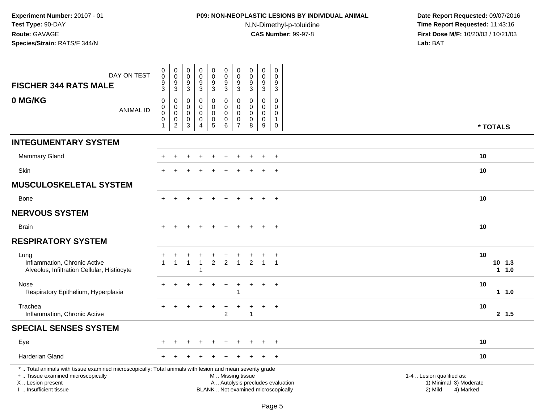# **P09: NON-NEOPLASTIC LESIONS BY INDIVIDUAL ANIMAL**N,N-Dimethyl-p-toluidine

| DAY ON TEST<br><b>FISCHER 344 RATS MALE</b>                                                                                                                                                   | $\pmb{0}$<br>$\mathsf{O}\xspace$<br>$\boldsymbol{9}$                       | $\mathbf 0$<br>$\mathbf 0$<br>$\boldsymbol{9}$  | $\boldsymbol{0}$<br>$\mathsf{O}\xspace$<br>$\boldsymbol{9}$ | $\pmb{0}$<br>$\mathsf{O}$<br>$\overline{9}$                           | $\boldsymbol{0}$<br>0<br>$9\,$               | $\pmb{0}$<br>$\mathbf 0$<br>$\boldsymbol{9}$                         | 0<br>$\mathbf 0$<br>9                                                      | $\pmb{0}$<br>$\mathbf 0$<br>9                          | $\pmb{0}$<br>$\pmb{0}$<br>$\boldsymbol{9}$ | $\mathsf 0$<br>$\mathbf 0$<br>9                                                         |                                                                                                                                            |           |          |           |
|-----------------------------------------------------------------------------------------------------------------------------------------------------------------------------------------------|----------------------------------------------------------------------------|-------------------------------------------------|-------------------------------------------------------------|-----------------------------------------------------------------------|----------------------------------------------|----------------------------------------------------------------------|----------------------------------------------------------------------------|--------------------------------------------------------|--------------------------------------------|-----------------------------------------------------------------------------------------|--------------------------------------------------------------------------------------------------------------------------------------------|-----------|----------|-----------|
| 0 MG/KG<br><b>ANIMAL ID</b>                                                                                                                                                                   | $\mathbf{3}$<br>$\pmb{0}$<br>$\pmb{0}$<br>$\mathbf 0$<br>0<br>$\mathbf{1}$ | 3<br>0<br>0<br>$\pmb{0}$<br>0<br>$\overline{c}$ | $\mathbf{3}$<br>$\mathbf 0$<br>0<br>$\mathbf 0$<br>0<br>3   | 3<br>$\mathbf 0$<br>$\mathbf 0$<br>$\mathbf 0$<br>0<br>$\overline{4}$ | 3<br>0<br>0<br>$\mathsf{O}\xspace$<br>0<br>5 | 3<br>$\mathbf 0$<br>$\pmb{0}$<br>$\mathbf 0$<br>0<br>$6\phantom{1}6$ | 3<br>$\Omega$<br>$\mathbf 0$<br>$\mathbf{0}$<br>$\Omega$<br>$\overline{7}$ | 3<br>$\Omega$<br>$\Omega$<br>$\Omega$<br>$\Omega$<br>8 | 3<br>0<br>0<br>$\mathbf 0$<br>0<br>9       | $\mathbf{3}$<br>$\mathbf 0$<br>$\mathbf 0$<br>$\Omega$<br>$\overline{1}$<br>$\mathbf 0$ |                                                                                                                                            |           | * TOTALS |           |
| <b>INTEGUMENTARY SYSTEM</b>                                                                                                                                                                   |                                                                            |                                                 |                                                             |                                                                       |                                              |                                                                      |                                                                            |                                                        |                                            |                                                                                         |                                                                                                                                            |           |          |           |
|                                                                                                                                                                                               |                                                                            |                                                 |                                                             |                                                                       |                                              |                                                                      |                                                                            |                                                        |                                            |                                                                                         |                                                                                                                                            |           |          |           |
| Mammary Gland                                                                                                                                                                                 |                                                                            |                                                 |                                                             |                                                                       |                                              |                                                                      |                                                                            |                                                        |                                            | $\ddot{}$                                                                               |                                                                                                                                            | 10        |          |           |
| Skin                                                                                                                                                                                          |                                                                            |                                                 |                                                             |                                                                       |                                              |                                                                      |                                                                            |                                                        |                                            |                                                                                         |                                                                                                                                            | 10        |          |           |
| <b>MUSCULOSKELETAL SYSTEM</b>                                                                                                                                                                 |                                                                            |                                                 |                                                             |                                                                       |                                              |                                                                      |                                                                            |                                                        |                                            |                                                                                         |                                                                                                                                            |           |          |           |
| Bone                                                                                                                                                                                          | $+$                                                                        |                                                 |                                                             | $+$                                                                   | $\ddot{}$                                    |                                                                      |                                                                            |                                                        | $\overline{+}$                             | $+$                                                                                     |                                                                                                                                            | 10        |          |           |
| <b>NERVOUS SYSTEM</b>                                                                                                                                                                         |                                                                            |                                                 |                                                             |                                                                       |                                              |                                                                      |                                                                            |                                                        |                                            |                                                                                         |                                                                                                                                            |           |          |           |
| <b>Brain</b>                                                                                                                                                                                  |                                                                            |                                                 |                                                             | $\overline{ }$                                                        | $\pm$                                        | $\div$                                                               | $\pm$                                                                      | $\pm$                                                  | $+$                                        | $+$                                                                                     |                                                                                                                                            | 10        |          |           |
| <b>RESPIRATORY SYSTEM</b>                                                                                                                                                                     |                                                                            |                                                 |                                                             |                                                                       |                                              |                                                                      |                                                                            |                                                        |                                            |                                                                                         |                                                                                                                                            |           |          |           |
| Lung<br>Inflammation, Chronic Active<br>Alveolus, Infiltration Cellular, Histiocyte                                                                                                           | $\mathbf{1}$                                                               | $\mathbf{1}$                                    | $\overline{1}$                                              | $\overline{1}$<br>$\mathbf{1}$<br>$\overline{1}$                      | +<br>$\overline{2}$                          | $\overline{2}$                                                       | $\overline{1}$                                                             | 2                                                      | $\overline{1}$                             | $\overline{1}$                                                                          |                                                                                                                                            | 10        | $10$ 1.3 | 11.0      |
| Nose<br>Respiratory Epithelium, Hyperplasia                                                                                                                                                   |                                                                            |                                                 |                                                             |                                                                       |                                              |                                                                      |                                                                            |                                                        |                                            | $\ddot{}$                                                                               |                                                                                                                                            | 10        |          | $1 \t1.0$ |
| Trachea<br>Inflammation, Chronic Active                                                                                                                                                       |                                                                            |                                                 |                                                             |                                                                       |                                              | 2                                                                    |                                                                            | 1                                                      | $\div$                                     | $\overline{+}$                                                                          |                                                                                                                                            | 10        |          | 2, 1.5    |
| <b>SPECIAL SENSES SYSTEM</b>                                                                                                                                                                  |                                                                            |                                                 |                                                             |                                                                       |                                              |                                                                      |                                                                            |                                                        |                                            |                                                                                         |                                                                                                                                            |           |          |           |
| Eye                                                                                                                                                                                           |                                                                            |                                                 |                                                             |                                                                       |                                              |                                                                      |                                                                            |                                                        |                                            |                                                                                         |                                                                                                                                            | 10        |          |           |
| <b>Harderian Gland</b>                                                                                                                                                                        |                                                                            |                                                 |                                                             |                                                                       |                                              |                                                                      |                                                                            |                                                        |                                            | $\overline{ }$                                                                          |                                                                                                                                            | 10        |          |           |
| *  Total animals with tissue examined microscopically; Total animals with lesion and mean severity grade<br>+  Tissue examined microscopically<br>X  Lesion present<br>I  Insufficient tissue |                                                                            |                                                 |                                                             |                                                                       |                                              | M  Missing tissue                                                    |                                                                            |                                                        |                                            |                                                                                         | 1-4  Lesion qualified as:<br>A  Autolysis precludes evaluation<br>1) Minimal 3) Moderate<br>BLANK  Not examined microscopically<br>2) Mild | 4) Marked |          |           |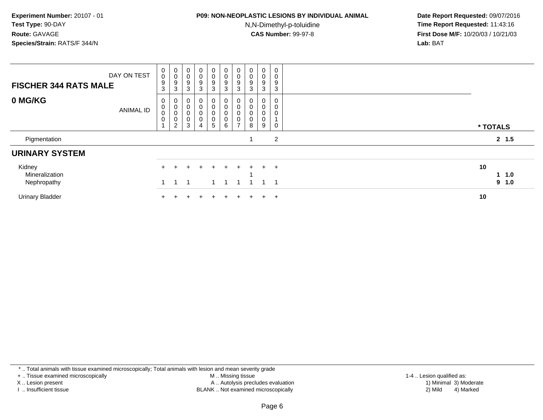### **P09: NON-NEOPLASTIC LESIONS BY INDIVIDUAL ANIMAL**

N,N-Dimethyl-p-toluidine

 **Date Report Requested:** 09/07/2016 **Time Report Requested:** 11:43:16 **First Dose M/F:** 10/20/03 / 10/21/03<br>**Lab:** BAT **Lab:** BAT

| DAY ON TEST<br><b>FISCHER 344 RATS MALE</b> | $_{\rm 0}^{\rm 0}$<br>$\frac{9}{3}$            | $\begin{smallmatrix}0\0\0\9\end{smallmatrix}$<br>$\sqrt{3}$             | $_{\rm 0}^{\rm 0}$<br>9<br>$\mathbf{3}$                                    | $\begin{smallmatrix}0\\0\\9\end{smallmatrix}$<br>3                           | $\begin{smallmatrix} 0\\0 \end{smallmatrix}$<br>$\boldsymbol{9}$<br>3 | $\begin{smallmatrix} 0\\0 \end{smallmatrix}$<br>9<br>3 | $_{\rm 0}^{\rm 0}$<br>$\boldsymbol{9}$<br>3        | $\pmb{0}$<br>$\pmb{0}$<br>9<br>3 | $\pmb{0}$<br>$\pmb{0}$<br>$\boldsymbol{9}$<br>3 | $\mathbf 0$<br>0<br>9<br>$\ensuremath{\mathsf{3}}$ |                    |  |
|---------------------------------------------|------------------------------------------------|-------------------------------------------------------------------------|----------------------------------------------------------------------------|------------------------------------------------------------------------------|-----------------------------------------------------------------------|--------------------------------------------------------|----------------------------------------------------|----------------------------------|-------------------------------------------------|----------------------------------------------------|--------------------|--|
| 0 MG/KG<br><b>ANIMAL ID</b>                 | 0<br>0<br>$_{\rm 0}^{\rm 0}$<br>$\overline{A}$ | $\overline{0}$<br>$\pmb{0}$<br>$\pmb{0}$<br>$\pmb{0}$<br>$\overline{2}$ | $\begin{matrix} 0 \\ 0 \end{matrix}$<br>$_{\rm 0}^{\rm 0}$<br>$\mathbf{3}$ | $\begin{matrix} 0 \\ 0 \end{matrix}$<br>$_{\rm 0}^{\rm 0}$<br>$\overline{4}$ | 0<br>$\pmb{0}$<br>$\,0\,$<br>$\pmb{0}$<br>5                           | 0<br>$\boldsymbol{0}$<br>0<br>6                        | 0<br>$\pmb{0}$<br>0<br>$\pmb{0}$<br>$\overline{ }$ | $\pmb{0}$<br>$\pmb{0}$<br>8      | 0<br>$\pmb{0}$<br>0<br>$\pmb{0}$<br>9           | 0<br>0<br>0<br>0                                   | * TOTALS           |  |
| Pigmentation                                |                                                |                                                                         |                                                                            |                                                                              |                                                                       |                                                        |                                                    |                                  |                                                 | 2                                                  | 2, 1.5             |  |
| <b>URINARY SYSTEM</b>                       |                                                |                                                                         |                                                                            |                                                                              |                                                                       |                                                        |                                                    |                                  |                                                 |                                                    |                    |  |
| Kidney<br>Mineralization<br>Nephropathy     | $+$                                            |                                                                         |                                                                            |                                                                              |                                                                       | $+$                                                    |                                                    |                                  | $+$                                             | $^{+}$<br>1                                        | 10<br>1.0<br>9 1.0 |  |
| <b>Urinary Bladder</b>                      |                                                |                                                                         |                                                                            |                                                                              | ÷                                                                     | $+$                                                    |                                                    |                                  | ÷                                               | $+$                                                | 10                 |  |

\* .. Total animals with tissue examined microscopically; Total animals with lesion and mean severity grade

+ .. Tissue examined microscopically

X .. Lesion present

I .. Insufficient tissue

 M .. Missing tissueLesion present A .. Autolysis precludes evaluation 1) Minimal 3) Moderate

BLANK .. Not examined microscopically 2) Mild 4) Marked

1-4 .. Lesion qualified as:<br>1) Minimal 3) Moderate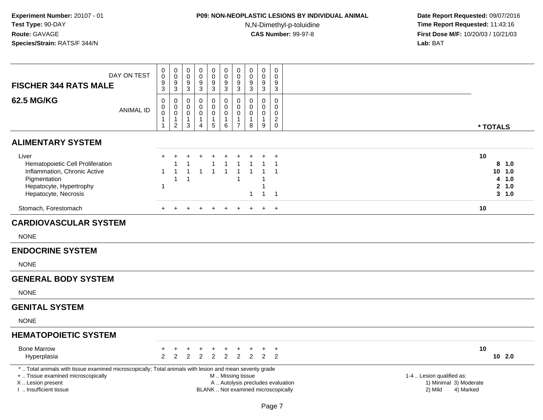# **P09: NON-NEOPLASTIC LESIONS BY INDIVIDUAL ANIMAL**

N,N-Dimethyl-p-toluidine

| <b>FISCHER 344 RATS MALE</b>                                                                                                                                                                  | DAY ON TEST      | 0<br>$\mathbf 0$<br>$\overline{9}$<br>3                       | $\begin{smallmatrix} 0\\0 \end{smallmatrix}$<br>$\overline{9}$<br>$\mathbf{3}$     | 0<br>$\mathsf 0$<br>$\boldsymbol{9}$<br>3                     | $\pmb{0}$<br>$\pmb{0}$<br>$\boldsymbol{9}$<br>$\mathsf 3$                   | $\pmb{0}$<br>$\mathbf 0$<br>$\boldsymbol{9}$<br>3              | $\pmb{0}$<br>$\mathbf 0$<br>$\boldsymbol{9}$<br>$\mathbf{3}$           | 0<br>0<br>$\boldsymbol{9}$<br>$\mathbf{3}$                        | $\pmb{0}$<br>$\mathbf 0$<br>$\boldsymbol{9}$<br>3 | $\mathbf 0$<br>$\mathbf 0$<br>$\boldsymbol{9}$<br>$\mathbf{3}$ | $\pmb{0}$<br>$\mathbf 0$<br>$\boldsymbol{9}$<br>$\sqrt{3}$       |                                                                          |                                                                             |    |                                                |
|-----------------------------------------------------------------------------------------------------------------------------------------------------------------------------------------------|------------------|---------------------------------------------------------------|------------------------------------------------------------------------------------|---------------------------------------------------------------|-----------------------------------------------------------------------------|----------------------------------------------------------------|------------------------------------------------------------------------|-------------------------------------------------------------------|---------------------------------------------------|----------------------------------------------------------------|------------------------------------------------------------------|--------------------------------------------------------------------------|-----------------------------------------------------------------------------|----|------------------------------------------------|
| <b>62.5 MG/KG</b>                                                                                                                                                                             | <b>ANIMAL ID</b> | $\mathbf 0$<br>0<br>$\bar{0}$<br>$\mathbf{1}$<br>$\mathbf{1}$ | 0<br>$\begin{smallmatrix}0\0\0\end{smallmatrix}$<br>$\mathbf{1}$<br>$\overline{2}$ | $\mathbf 0$<br>0<br>$\pmb{0}$<br>$\mathbf{1}$<br>$\mathbf{3}$ | $\mathbf 0$<br>$\mathbf 0$<br>$\mathbf 0$<br>$\mathbf{1}$<br>$\overline{4}$ | $\mathbf 0$<br>$\mathbf 0$<br>$\mathbf 0$<br>$\mathbf{1}$<br>5 | $\mathsf 0$<br>$\mathbf 0$<br>$\mathsf{O}\xspace$<br>$\mathbf{1}$<br>6 | $\mathbf 0$<br>0<br>$\mathbf 0$<br>$\mathbf{1}$<br>$\overline{7}$ | $\mathbf 0$<br>0<br>$\mathsf{O}\xspace$<br>1<br>8 | $\mathbf 0$<br>0<br>$\mathbf 0$<br>$\mathbf{1}$<br>9           | $\mathbf 0$<br>0<br>$\mathbf 0$<br>$\overline{c}$<br>$\mathbf 0$ |                                                                          |                                                                             |    | * TOTALS                                       |
| <b>ALIMENTARY SYSTEM</b>                                                                                                                                                                      |                  |                                                               |                                                                                    |                                                               |                                                                             |                                                                |                                                                        |                                                                   |                                                   |                                                                |                                                                  |                                                                          |                                                                             |    |                                                |
| Liver<br>Hematopoietic Cell Proliferation<br>Inflammation, Chronic Active<br>Pigmentation<br>Hepatocyte, Hypertrophy<br>Hepatocyte, Necrosis                                                  |                  | ÷<br>1<br>$\mathbf{1}$                                        | 1                                                                                  | $\overline{\mathbf{1}}$                                       |                                                                             | $\overline{\mathbf{1}}$                                        | -1<br>$\mathbf{1}$                                                     |                                                                   | 1<br>-1                                           |                                                                | $\overline{ }$<br>-1<br>$\overline{1}$                           |                                                                          |                                                                             | 10 | 8, 1.0<br>10, 1.0<br>4 1.0<br>2, 1.0<br>3, 1.0 |
| Stomach, Forestomach                                                                                                                                                                          |                  | $+$                                                           | $+$                                                                                | $+$                                                           | $+$                                                                         | $+$                                                            | $+$                                                                    |                                                                   |                                                   | $+$                                                            | $+$                                                              |                                                                          |                                                                             | 10 |                                                |
| <b>CARDIOVASCULAR SYSTEM</b>                                                                                                                                                                  |                  |                                                               |                                                                                    |                                                               |                                                                             |                                                                |                                                                        |                                                                   |                                                   |                                                                |                                                                  |                                                                          |                                                                             |    |                                                |
| <b>NONE</b>                                                                                                                                                                                   |                  |                                                               |                                                                                    |                                                               |                                                                             |                                                                |                                                                        |                                                                   |                                                   |                                                                |                                                                  |                                                                          |                                                                             |    |                                                |
| <b>ENDOCRINE SYSTEM</b>                                                                                                                                                                       |                  |                                                               |                                                                                    |                                                               |                                                                             |                                                                |                                                                        |                                                                   |                                                   |                                                                |                                                                  |                                                                          |                                                                             |    |                                                |
| <b>NONE</b>                                                                                                                                                                                   |                  |                                                               |                                                                                    |                                                               |                                                                             |                                                                |                                                                        |                                                                   |                                                   |                                                                |                                                                  |                                                                          |                                                                             |    |                                                |
| <b>GENERAL BODY SYSTEM</b>                                                                                                                                                                    |                  |                                                               |                                                                                    |                                                               |                                                                             |                                                                |                                                                        |                                                                   |                                                   |                                                                |                                                                  |                                                                          |                                                                             |    |                                                |
| <b>NONE</b>                                                                                                                                                                                   |                  |                                                               |                                                                                    |                                                               |                                                                             |                                                                |                                                                        |                                                                   |                                                   |                                                                |                                                                  |                                                                          |                                                                             |    |                                                |
| <b>GENITAL SYSTEM</b>                                                                                                                                                                         |                  |                                                               |                                                                                    |                                                               |                                                                             |                                                                |                                                                        |                                                                   |                                                   |                                                                |                                                                  |                                                                          |                                                                             |    |                                                |
| <b>NONE</b>                                                                                                                                                                                   |                  |                                                               |                                                                                    |                                                               |                                                                             |                                                                |                                                                        |                                                                   |                                                   |                                                                |                                                                  |                                                                          |                                                                             |    |                                                |
| <b>HEMATOPOIETIC SYSTEM</b>                                                                                                                                                                   |                  |                                                               |                                                                                    |                                                               |                                                                             |                                                                |                                                                        |                                                                   |                                                   |                                                                |                                                                  |                                                                          |                                                                             |    |                                                |
| <b>Bone Marrow</b><br>Hyperplasia                                                                                                                                                             |                  | $\overline{2}$                                                | $\overline{2}$                                                                     | $\overline{2}$                                                | 2                                                                           | 2                                                              | $\overline{c}$                                                         | $\overline{2}$                                                    | $\overline{2}$                                    | $\ddot{}$<br>$\overline{2}$                                    | $\ddot{}$<br>2                                                   |                                                                          |                                                                             | 10 | $10$ 2.0                                       |
| *  Total animals with tissue examined microscopically; Total animals with lesion and mean severity grade<br>+  Tissue examined microscopically<br>X  Lesion present<br>I. Insufficient tissue |                  |                                                               |                                                                                    |                                                               |                                                                             |                                                                | M  Missing tissue                                                      |                                                                   |                                                   |                                                                |                                                                  | A  Autolysis precludes evaluation<br>BLANK  Not examined microscopically | 1-4  Lesion qualified as:<br>1) Minimal 3) Moderate<br>2) Mild<br>4) Marked |    |                                                |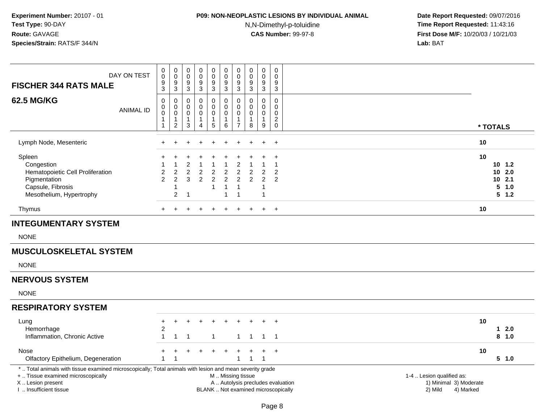## **P09: NON-NEOPLASTIC LESIONS BY INDIVIDUAL ANIMAL**

N,N-Dimethyl-p-toluidine

| DAY ON TEST<br><b>FISCHER 344 RATS MALE</b><br><b>62.5 MG/KG</b><br><b>ANIMAL ID</b>                                                                                                          | 0<br>$\mathbf 0$<br>9<br>$\overline{3}$<br>0<br>$\pmb{0}$<br>$\mathbf 0$<br>$\mathbf{1}$ | 0<br>$\ddot{\mathbf{0}}$<br>$\boldsymbol{9}$<br>$\overline{3}$<br>0<br>$\mathsf 0$<br>$\pmb{0}$<br>$\mathbf{1}$ | 0<br>$\mathbf 0$<br>9<br>$\overline{3}$<br>0<br>$\mathbf 0$<br>0<br>$\mathbf{1}$ | 0<br>$\mathsf 0$<br>$\frac{9}{3}$<br>0<br>$\mathbf 0$<br>0<br>$\mathbf{1}$ | $\pmb{0}$<br>$\ddot{\mathbf{0}}$<br>$^9_3$<br>$\pmb{0}$<br>$\pmb{0}$<br>$\pmb{0}$<br>$\mathbf{1}$ | $_{\rm 0}^{\rm 0}$<br>$^9_3$<br>$\pmb{0}$<br>$\pmb{0}$<br>$\pmb{0}$<br>$\mathbf{1}$ | 0<br>$\overline{0}$<br>9<br>$\overline{3}$<br>$\mathbf 0$<br>$\mathbf 0$<br>$\mathbf 0$<br>$\mathbf{1}$ | 0<br>$\mathbf 0$<br>9<br>$\mathbf{3}$<br>0<br>$\mathbf 0$<br>0<br>$\mathbf{1}$ | 0<br>$\ddot{\mathbf{0}}$<br>$\boldsymbol{9}$<br>$\overline{3}$<br>$\mathbf 0$<br>$\mathbf 0$<br>$\pmb{0}$<br>$\mathbf{1}$ | 0<br>0<br>9<br>$\mathbf 3$<br>$\Omega$<br>$\mathbf 0$<br>0<br>$\overline{a}$ |                                                                          |                                                                             |    |                                                          |  |
|-----------------------------------------------------------------------------------------------------------------------------------------------------------------------------------------------|------------------------------------------------------------------------------------------|-----------------------------------------------------------------------------------------------------------------|----------------------------------------------------------------------------------|----------------------------------------------------------------------------|---------------------------------------------------------------------------------------------------|-------------------------------------------------------------------------------------|---------------------------------------------------------------------------------------------------------|--------------------------------------------------------------------------------|---------------------------------------------------------------------------------------------------------------------------|------------------------------------------------------------------------------|--------------------------------------------------------------------------|-----------------------------------------------------------------------------|----|----------------------------------------------------------|--|
|                                                                                                                                                                                               | 1                                                                                        | $\overline{2}$                                                                                                  | 3                                                                                | $\overline{4}$                                                             | $\sqrt{5}$                                                                                        | 6                                                                                   | $\overline{7}$                                                                                          | 8                                                                              | $\boldsymbol{9}$                                                                                                          | $\mathbf 0$                                                                  |                                                                          |                                                                             |    | * TOTALS                                                 |  |
| Lymph Node, Mesenteric                                                                                                                                                                        | $\pm$                                                                                    |                                                                                                                 |                                                                                  |                                                                            |                                                                                                   |                                                                                     |                                                                                                         |                                                                                |                                                                                                                           | $\overline{+}$                                                               |                                                                          |                                                                             | 10 |                                                          |  |
| Spleen<br>Congestion<br>Hematopoietic Cell Proliferation<br>Pigmentation<br>Capsule, Fibrosis<br>Mesothelium, Hypertrophy                                                                     | 2<br>$\overline{2}$                                                                      | $\overline{\mathbf{c}}$<br>2<br>1<br>$\overline{c}$                                                             | 2<br>$\overline{c}$<br>3<br>$\overline{1}$                                       | $\overline{c}$<br>$\overline{2}$                                           | $\overline{c}$<br>$\overline{2}$<br>$\mathbf{1}$                                                  | $\overline{c}$<br>$\boldsymbol{2}$<br>$\mathbf{1}$<br>$\overline{1}$                | 2<br>2<br>2<br>$\overline{1}$<br>-1                                                                     | 2<br>$\overline{2}$                                                            | 2<br>$\mathfrak{p}$<br>-1                                                                                                 | $\div$<br>1<br>$\overline{2}$<br>2                                           |                                                                          |                                                                             | 10 | $10 \t1.2$<br>102.0<br>$10$ 2.1<br>5<br>1.0<br>$5 \t1.2$ |  |
| Thymus                                                                                                                                                                                        | $+$                                                                                      |                                                                                                                 |                                                                                  |                                                                            |                                                                                                   |                                                                                     |                                                                                                         |                                                                                |                                                                                                                           | $\overline{+}$                                                               |                                                                          |                                                                             | 10 |                                                          |  |
| <b>INTEGUMENTARY SYSTEM</b>                                                                                                                                                                   |                                                                                          |                                                                                                                 |                                                                                  |                                                                            |                                                                                                   |                                                                                     |                                                                                                         |                                                                                |                                                                                                                           |                                                                              |                                                                          |                                                                             |    |                                                          |  |
| <b>NONE</b>                                                                                                                                                                                   |                                                                                          |                                                                                                                 |                                                                                  |                                                                            |                                                                                                   |                                                                                     |                                                                                                         |                                                                                |                                                                                                                           |                                                                              |                                                                          |                                                                             |    |                                                          |  |
| <b>MUSCULOSKELETAL SYSTEM</b>                                                                                                                                                                 |                                                                                          |                                                                                                                 |                                                                                  |                                                                            |                                                                                                   |                                                                                     |                                                                                                         |                                                                                |                                                                                                                           |                                                                              |                                                                          |                                                                             |    |                                                          |  |
| <b>NONE</b>                                                                                                                                                                                   |                                                                                          |                                                                                                                 |                                                                                  |                                                                            |                                                                                                   |                                                                                     |                                                                                                         |                                                                                |                                                                                                                           |                                                                              |                                                                          |                                                                             |    |                                                          |  |
| <b>NERVOUS SYSTEM</b>                                                                                                                                                                         |                                                                                          |                                                                                                                 |                                                                                  |                                                                            |                                                                                                   |                                                                                     |                                                                                                         |                                                                                |                                                                                                                           |                                                                              |                                                                          |                                                                             |    |                                                          |  |
| <b>NONE</b>                                                                                                                                                                                   |                                                                                          |                                                                                                                 |                                                                                  |                                                                            |                                                                                                   |                                                                                     |                                                                                                         |                                                                                |                                                                                                                           |                                                                              |                                                                          |                                                                             |    |                                                          |  |
| <b>RESPIRATORY SYSTEM</b>                                                                                                                                                                     |                                                                                          |                                                                                                                 |                                                                                  |                                                                            |                                                                                                   |                                                                                     |                                                                                                         |                                                                                |                                                                                                                           |                                                                              |                                                                          |                                                                             |    |                                                          |  |
| Lung<br>Hemorrhage<br>Inflammation, Chronic Active                                                                                                                                            | $\ddot{}$<br>$\boldsymbol{2}$<br>$\mathbf{1}$                                            | $+$<br>-1                                                                                                       | $\ddot{}$<br>$\overline{1}$                                                      |                                                                            | -1                                                                                                |                                                                                     | $\mathbf 1$                                                                                             | 1                                                                              | 1                                                                                                                         | $+$<br>$\overline{\phantom{1}}$                                              |                                                                          |                                                                             | 10 | $1 2.0$<br>8 1.0                                         |  |
| Nose<br>Olfactory Epithelium, Degeneration                                                                                                                                                    | 1                                                                                        | $\overline{1}$                                                                                                  |                                                                                  |                                                                            |                                                                                                   |                                                                                     | 1                                                                                                       | $\mathbf{1}$                                                                   | $\overline{1}$                                                                                                            | $+$                                                                          |                                                                          |                                                                             | 10 | 5 1.0                                                    |  |
| *  Total animals with tissue examined microscopically; Total animals with lesion and mean severity grade<br>+  Tissue examined microscopically<br>X  Lesion present<br>I  Insufficient tissue |                                                                                          |                                                                                                                 |                                                                                  |                                                                            |                                                                                                   | M  Missing tissue                                                                   |                                                                                                         |                                                                                |                                                                                                                           |                                                                              | A  Autolysis precludes evaluation<br>BLANK  Not examined microscopically | 1-4  Lesion qualified as:<br>1) Minimal 3) Moderate<br>2) Mild<br>4) Marked |    |                                                          |  |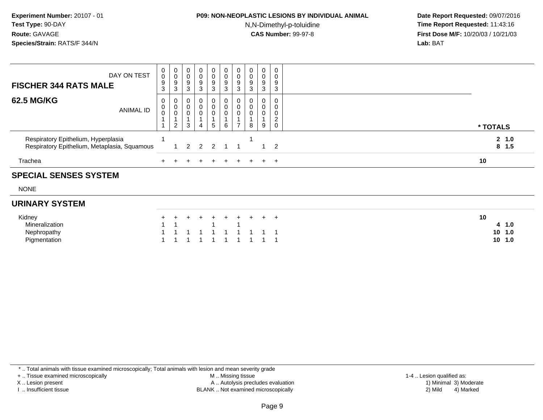#### **P09: NON-NEOPLASTIC LESIONS BY INDIVIDUAL ANIMAL**

N,N-Dimethyl-p-toluidine

 **Date Report Requested:** 09/07/2016 **Time Report Requested:** 11:43:16 **First Dose M/F:** 10/20/03 / 10/21/03<br>**Lab:** BAT **Lab:** BAT

| <b>SPECIAL SENSES SYSTEM</b>                                                        |                            |                                       |                            |                                                                |                               |                            |                            |                  |                                 |                               |                     |
|-------------------------------------------------------------------------------------|----------------------------|---------------------------------------|----------------------------|----------------------------------------------------------------|-------------------------------|----------------------------|----------------------------|------------------|---------------------------------|-------------------------------|---------------------|
| Trachea                                                                             |                            |                                       |                            |                                                                | $\div$                        | $+$                        | $+$                        | $+$              |                                 | $+$ $+$                       | 10                  |
| Respiratory Epithelium, Hyperplasia<br>Respiratory Epithelium, Metaplasia, Squamous |                            |                                       |                            | $1 \quad 2 \quad 2 \quad 2$                                    |                               |                            |                            |                  |                                 | $1\quad 2$                    | 2, 1.0<br>$8 \t1.5$ |
| <b>62.5 MG/KG</b><br><b>ANIMAL ID</b>                                               | 0<br>$\mathbf 0$           | 0<br>$\pmb{0}$<br>0<br>$\overline{2}$ | 0<br>$\mathbf 0$<br>0<br>3 | $\begin{smallmatrix} 0\\0 \end{smallmatrix}$<br>$\overline{4}$ | 0<br>0<br>0<br>5              | 0<br>$\mathbf 0$<br>6      | 0<br>0<br>$\mathbf 0$      | 0<br>0<br>U<br>8 | 0<br>$\boldsymbol{0}$<br>0<br>9 | 0<br>0<br>0<br>2<br>$\pmb{0}$ | * TOTALS            |
| DAY ON TEST<br><b>FISCHER 344 RATS MALE</b>                                         | 0<br>$\mathbf 0$<br>9<br>3 | 0<br>$\pmb{0}$<br>9<br>3              | 0<br>0<br>9<br>3           | 0<br>0<br>$\boldsymbol{9}$<br>3                                | $\overline{0}$<br>0<br>9<br>3 | $\mathbf 0$<br>0<br>9<br>3 | $\mathbf 0$<br>0<br>9<br>3 | 0<br>0<br>9<br>3 | 0<br>0<br>9<br>3                | 0<br>0<br>9<br>3              |                     |

NONE

### **URINARY SYSTEM**

| Kidney                |  |  |           |  | + + + + + + + + + + |  |  |
|-----------------------|--|--|-----------|--|---------------------|--|--|
| <b>Mineralization</b> |  |  | 1 1 1 1 1 |  |                     |  |  |
| Nephropathy           |  |  |           |  | 1 1 1 1 1 1 1 1 1 1 |  |  |
| Pigmentation          |  |  |           |  | 1 1 1 1 1 1 1 1 1 1 |  |  |

\* .. Total animals with tissue examined microscopically; Total animals with lesion and mean severity grade

+ .. Tissue examined microscopically

X .. Lesion present

I .. Insufficient tissue

 M .. Missing tissueA .. Autolysis precludes evaluation

1-4 .. Lesion qualified as:<br>1) Minimal 3) Moderate BLANK .. Not examined microscopically 2) Mild 4) Marked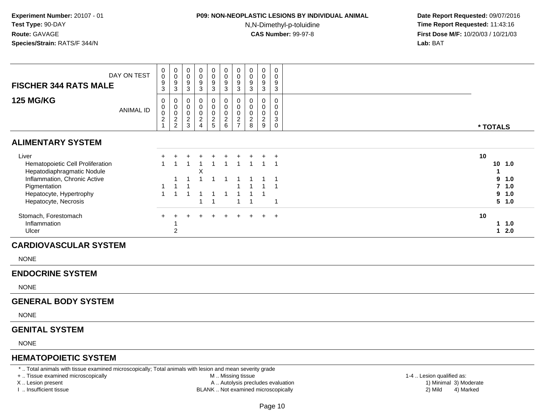# **P09: NON-NEOPLASTIC LESIONS BY INDIVIDUAL ANIMAL**

N,N-Dimethyl-p-toluidine

 **Date Report Requested:** 09/07/2016 **Time Report Requested:** 11:43:16 **First Dose M/F:** 10/20/03 / 10/21/03<br>**Lab:** BAT **Lab:** BAT

| DAY ON TEST<br><b>FISCHER 344 RATS MALE</b>                                                                                                    | $\mathbf 0$<br>0<br>$\frac{9}{3}$                 | $\boldsymbol{0}$<br>$\boldsymbol{0}$<br>9<br>$\overline{3}$ | $\mathbf 0$<br>0<br>$\boldsymbol{9}$<br>$\overline{3}$             | 0<br>0<br>9<br>$\mathbf{3}$                      | 0<br>0<br>9<br>3                       | 0<br>$\pmb{0}$<br>$\boldsymbol{9}$<br>$\overline{3}$ | 0<br>0<br>$\boldsymbol{9}$<br>$\mathbf{3}$               | $\pmb{0}$<br>$\pmb{0}$<br>$^9_3$                | $\mathbf 0$<br>0<br>9<br>$\overline{3}$                    | $\mathsf 0$<br>0<br>9<br>$\overline{3}$                                     |                           |                                                  |
|------------------------------------------------------------------------------------------------------------------------------------------------|---------------------------------------------------|-------------------------------------------------------------|--------------------------------------------------------------------|--------------------------------------------------|----------------------------------------|------------------------------------------------------|----------------------------------------------------------|-------------------------------------------------|------------------------------------------------------------|-----------------------------------------------------------------------------|---------------------------|--------------------------------------------------|
| <b>125 MG/KG</b><br><b>ANIMAL ID</b>                                                                                                           | $\mathbf 0$<br>0<br>$\mathsf 0$<br>$\overline{c}$ | 0<br>$\mathbf 0$<br>$\mathbf 0$<br>$\frac{2}{2}$            | $\mathbf 0$<br>$\mathbf 0$<br>$\mathsf{O}\xspace$<br>$\frac{2}{3}$ | 0<br>$\mathbf 0$<br>$\mathbf 0$<br>$\frac{2}{4}$ | 0<br>0<br>$\mathbf 0$<br>$\frac{2}{5}$ | 0<br>0<br>$\pmb{0}$<br>$\frac{2}{6}$                 | $\mathbf 0$<br>$\mathbf 0$<br>$\pmb{0}$<br>$\frac{2}{7}$ | $\mathbf 0$<br>0<br>$\mathbf 0$<br>$^2_{\bf 8}$ | $\mathbf 0$<br>$\mathbf 0$<br>$\mathbf 0$<br>$\frac{2}{9}$ | $\mathsf 0$<br>$\mathbf 0$<br>0<br>$\ensuremath{\mathsf{3}}$<br>$\mathbf 0$ |                           | * TOTALS                                         |
| <b>ALIMENTARY SYSTEM</b>                                                                                                                       |                                                   |                                                             |                                                                    |                                                  |                                        |                                                      |                                                          |                                                 |                                                            |                                                                             |                           |                                                  |
| Liver<br>Hematopoietic Cell Proliferation<br>Hepatodiaphragmatic Nodule<br>Inflammation, Chronic Active<br>Pigmentation                        | $\ddot{}$<br>$\mathbf 1$                          | 1                                                           | $\overline{1}$<br>-1<br>$\overline{1}$                             | Χ<br>1                                           | -1                                     | $\mathbf{1}$<br>$\mathbf{1}$                         |                                                          | $\overline{1}$                                  |                                                            | $\overline{ }$<br>$\overline{1}$<br>$\overline{1}$                          | 10                        | $10$ $1.0$<br>$\mathbf 1$<br>9<br>1.0<br>$7$ 1.0 |
| Hepatocyte, Hypertrophy<br>Hepatocyte, Necrosis                                                                                                | $\mathbf{1}$                                      | $\overline{1}$                                              | $\overline{1}$                                                     | $\mathbf{1}$                                     | $\mathbf{1}$                           | $\mathbf{1}$                                         | $\mathbf 1$                                              | $\mathbf{1}$<br>$\overline{1}$                  |                                                            | $\overline{\mathbf{1}}$                                                     |                           | 1.0<br>9<br>5 1.0                                |
| Stomach, Forestomach<br>Inflammation<br>Ulcer                                                                                                  | ÷                                                 | $\overline{c}$                                              |                                                                    |                                                  |                                        |                                                      |                                                          |                                                 | $+$                                                        | $\overline{+}$                                                              | 10                        | 11.0<br>$12.0$                                   |
| <b>CARDIOVASCULAR SYSTEM</b>                                                                                                                   |                                                   |                                                             |                                                                    |                                                  |                                        |                                                      |                                                          |                                                 |                                                            |                                                                             |                           |                                                  |
| <b>NONE</b>                                                                                                                                    |                                                   |                                                             |                                                                    |                                                  |                                        |                                                      |                                                          |                                                 |                                                            |                                                                             |                           |                                                  |
| <b>ENDOCRINE SYSTEM</b>                                                                                                                        |                                                   |                                                             |                                                                    |                                                  |                                        |                                                      |                                                          |                                                 |                                                            |                                                                             |                           |                                                  |
| <b>NONE</b>                                                                                                                                    |                                                   |                                                             |                                                                    |                                                  |                                        |                                                      |                                                          |                                                 |                                                            |                                                                             |                           |                                                  |
| <b>GENERAL BODY SYSTEM</b>                                                                                                                     |                                                   |                                                             |                                                                    |                                                  |                                        |                                                      |                                                          |                                                 |                                                            |                                                                             |                           |                                                  |
| <b>NONE</b>                                                                                                                                    |                                                   |                                                             |                                                                    |                                                  |                                        |                                                      |                                                          |                                                 |                                                            |                                                                             |                           |                                                  |
| <b>GENITAL SYSTEM</b>                                                                                                                          |                                                   |                                                             |                                                                    |                                                  |                                        |                                                      |                                                          |                                                 |                                                            |                                                                             |                           |                                                  |
| <b>NONE</b>                                                                                                                                    |                                                   |                                                             |                                                                    |                                                  |                                        |                                                      |                                                          |                                                 |                                                            |                                                                             |                           |                                                  |
| <b>HEMATOPOIETIC SYSTEM</b>                                                                                                                    |                                                   |                                                             |                                                                    |                                                  |                                        |                                                      |                                                          |                                                 |                                                            |                                                                             |                           |                                                  |
| *  Total animals with tissue examined microscopically; Total animals with lesion and mean severity grade<br>+  Tissue examined microscopically |                                                   |                                                             |                                                                    |                                                  |                                        | M  Missing tissue                                    |                                                          |                                                 |                                                            |                                                                             | 1-4  Lesion qualified as: |                                                  |

X .. Lesion present

I .. Insufficient tissue

M .. Missing tissue

- A .. Autolysis precludes evaluation
- BLANK .. Not examined microscopically 2) Mild 4) Marked

1-4 .. Lesion qualified as:<br>1) Minimal 3) Moderate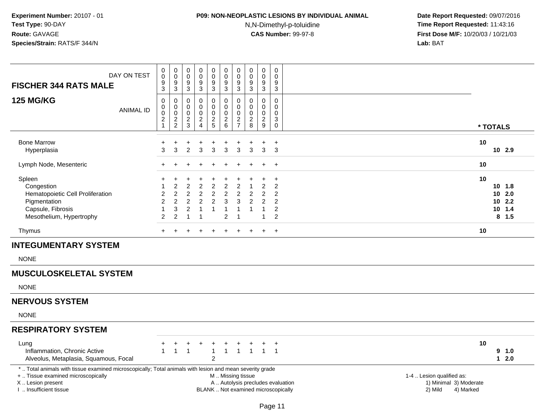### **P09: NON-NEOPLASTIC LESIONS BY INDIVIDUAL ANIMAL**

N,N-Dimethyl-p-toluidine

| DAY ON TEST<br><b>FISCHER 344 RATS MALE</b><br><b>125 MG/KG</b><br><b>ANIMAL ID</b>                                                                                                           | $\pmb{0}$<br>$\mathbf 0$<br>9<br>3<br>0<br>0<br>$\pmb{0}$          | 0<br>$\mathbf 0$<br>$\frac{9}{3}$<br>0<br>$\mathbf 0$<br>$\boldsymbol{0}$ | 0<br>$\mathbf 0$<br>$\frac{9}{3}$<br>0<br>$\mathbf 0$<br>0                           | $\pmb{0}$<br>0<br>$\frac{9}{3}$<br>$\mathbf 0$<br>$\mathbf 0$<br>$\mathbf 0$ | $_{\rm 0}^{\rm 0}$<br>$\frac{9}{3}$<br>$\pmb{0}$<br>$\mathbf 0$<br>$\pmb{0}$ | $\pmb{0}$<br>$\overline{0}$<br>$\frac{9}{3}$<br>$\pmb{0}$<br>$\mathbf 0$<br>$\pmb{0}$         | $\pmb{0}$<br>$\mathbf 0$<br>$\frac{9}{3}$<br>$\mathbf 0$<br>$\Omega$<br>$\mathbf 0$ | 0<br>$\pmb{0}$<br>9<br>3<br>0<br>$\Omega$<br>0 | $_{\rm 0}^{\rm 0}$<br>$\frac{9}{3}$<br>$\mathsf{O}\xspace$<br>$\mathbf 0$<br>$\pmb{0}$ | 0<br>$\Omega$<br>9<br>3<br>0<br>$\Omega$<br>$\mathbf 0$                                |                                                                             |                                                                |
|-----------------------------------------------------------------------------------------------------------------------------------------------------------------------------------------------|--------------------------------------------------------------------|---------------------------------------------------------------------------|--------------------------------------------------------------------------------------|------------------------------------------------------------------------------|------------------------------------------------------------------------------|-----------------------------------------------------------------------------------------------|-------------------------------------------------------------------------------------|------------------------------------------------|----------------------------------------------------------------------------------------|----------------------------------------------------------------------------------------|-----------------------------------------------------------------------------|----------------------------------------------------------------|
|                                                                                                                                                                                               | $\frac{2}{1}$                                                      | $\frac{2}{2}$                                                             | $\frac{2}{3}$                                                                        | $\frac{2}{4}$                                                                | $\frac{2}{5}$                                                                | $\begin{array}{c} 2 \\ 6 \end{array}$                                                         | $\frac{2}{7}$                                                                       | $_{\rm 8}^2$                                   | $\frac{2}{9}$                                                                          | 3<br>$\mathbf 0$                                                                       |                                                                             | * TOTALS                                                       |
| <b>Bone Marrow</b><br>Hyperplasia                                                                                                                                                             | 3                                                                  | 3                                                                         | +<br>$\overline{2}$                                                                  | +<br>3                                                                       | 3                                                                            | 3                                                                                             | 3                                                                                   | 3                                              | 3                                                                                      | $\ddot{}$<br>3                                                                         |                                                                             | 10<br>10 2.9                                                   |
| Lymph Node, Mesenteric                                                                                                                                                                        |                                                                    |                                                                           |                                                                                      |                                                                              |                                                                              |                                                                                               |                                                                                     |                                                |                                                                                        | $\ddot{}$                                                                              |                                                                             | 10                                                             |
| Spleen<br>Congestion<br>Hematopoietic Cell Proliferation<br>Pigmentation<br>Capsule, Fibrosis<br>Mesothelium, Hypertrophy                                                                     | $\overline{2}$<br>$\overline{2}$<br>$\mathbf{1}$<br>$\overline{2}$ | 2<br>$\overline{c}$<br>$\overline{2}$<br>3<br>$\overline{2}$              | $\overline{2}$<br>$\overline{c}$<br>$\overline{2}$<br>$\overline{2}$<br>$\mathbf{1}$ | 2<br>$\overline{a}$<br>$\overline{2}$<br>1<br>1                              | $\overline{c}$<br>$\overline{c}$<br>$\overline{2}$<br>$\mathbf{1}$           | $\overline{c}$<br>$\overline{c}$<br>3<br>$\overline{1}$<br>$\overline{2}$                     | 2<br>$\overline{c}$<br>3<br>-1<br>-1                                                | $\overline{2}$<br>$\overline{2}$<br>1          | 2<br>2<br>2<br>1<br>$\overline{1}$                                                     | $\ddot{}$<br>$\overline{2}$<br>2<br>$\overline{2}$<br>$\overline{2}$<br>$\overline{2}$ |                                                                             | 10<br>$10 \t1.8$<br>102.0<br>$10$ 2.2<br>$10 \t1.4$<br>$8$ 1.5 |
| Thymus                                                                                                                                                                                        | $+$                                                                |                                                                           |                                                                                      |                                                                              |                                                                              | ÷.                                                                                            |                                                                                     |                                                |                                                                                        | $+$                                                                                    |                                                                             | 10                                                             |
| <b>INTEGUMENTARY SYSTEM</b>                                                                                                                                                                   |                                                                    |                                                                           |                                                                                      |                                                                              |                                                                              |                                                                                               |                                                                                     |                                                |                                                                                        |                                                                                        |                                                                             |                                                                |
| <b>NONE</b>                                                                                                                                                                                   |                                                                    |                                                                           |                                                                                      |                                                                              |                                                                              |                                                                                               |                                                                                     |                                                |                                                                                        |                                                                                        |                                                                             |                                                                |
| <b>MUSCULOSKELETAL SYSTEM</b>                                                                                                                                                                 |                                                                    |                                                                           |                                                                                      |                                                                              |                                                                              |                                                                                               |                                                                                     |                                                |                                                                                        |                                                                                        |                                                                             |                                                                |
| <b>NONE</b>                                                                                                                                                                                   |                                                                    |                                                                           |                                                                                      |                                                                              |                                                                              |                                                                                               |                                                                                     |                                                |                                                                                        |                                                                                        |                                                                             |                                                                |
| <b>NERVOUS SYSTEM</b>                                                                                                                                                                         |                                                                    |                                                                           |                                                                                      |                                                                              |                                                                              |                                                                                               |                                                                                     |                                                |                                                                                        |                                                                                        |                                                                             |                                                                |
| <b>NONE</b>                                                                                                                                                                                   |                                                                    |                                                                           |                                                                                      |                                                                              |                                                                              |                                                                                               |                                                                                     |                                                |                                                                                        |                                                                                        |                                                                             |                                                                |
| <b>RESPIRATORY SYSTEM</b>                                                                                                                                                                     |                                                                    |                                                                           |                                                                                      |                                                                              |                                                                              |                                                                                               |                                                                                     |                                                |                                                                                        |                                                                                        |                                                                             |                                                                |
| Lung<br>Inflammation, Chronic Active<br>Alveolus, Metaplasia, Squamous, Focal                                                                                                                 | $\mathbf{1}$                                                       | $\mathbf{1}$                                                              | $\ddot{}$<br>$\overline{1}$                                                          |                                                                              | $\ddot{}$<br>$\mathbf{1}$<br>$\overline{2}$                                  | $\ddot{}$<br>$\mathbf{1}$                                                                     | $\ddot{}$<br>$\mathbf{1}$                                                           | +                                              | $1 \quad 1 \quad 1$                                                                    | $\overline{+}$                                                                         |                                                                             | 10<br>9<br>1.0<br>$12.0$                                       |
| *  Total animals with tissue examined microscopically; Total animals with lesion and mean severity grade<br>+  Tissue examined microscopically<br>X  Lesion present<br>I. Insufficient tissue |                                                                    |                                                                           |                                                                                      |                                                                              |                                                                              | M  Missing tissue<br>A  Autolysis precludes evaluation<br>BLANK  Not examined microscopically |                                                                                     |                                                |                                                                                        |                                                                                        | 1-4  Lesion qualified as:<br>1) Minimal 3) Moderate<br>2) Mild<br>4) Marked |                                                                |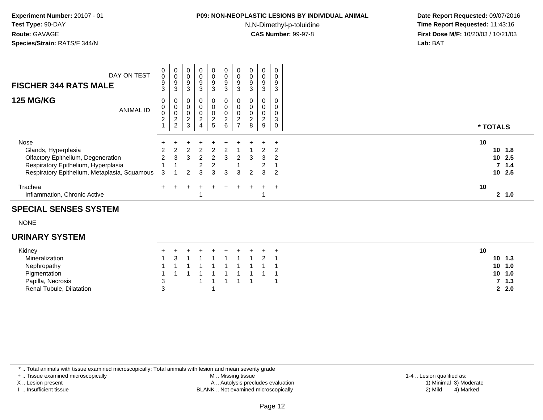### **P09: NON-NEOPLASTIC LESIONS BY INDIVIDUAL ANIMAL**

N,N-Dimethyl-p-toluidine

 **Date Report Requested:** 09/07/2016 **Time Report Requested:** 11:43:16 **First Dose M/F:** 10/20/03 / 10/21/03<br>**Lab:** BAT **Lab:** BAT

| DAY ON TEST<br><b>FISCHER 344 RATS MALE</b>                                                                                                              | 0<br>0<br>9<br>3                        | 0<br>$\mathbf 0$<br>9<br>3                           | 0<br>$\mathbf 0$<br>9<br>3        | 0<br>0<br>9<br>3                                  | 0<br>0<br>9<br>3                      | 0<br>$\pmb{0}$<br>$\boldsymbol{9}$<br>$\mathbf{3}$ | 0<br>$\mathbf 0$<br>9<br>3                               | $\mathbf 0$<br>9<br>3                | 0<br>$\pmb{0}$<br>9<br>3                     | 0<br>0<br>9<br>3 |          |                                              |
|----------------------------------------------------------------------------------------------------------------------------------------------------------|-----------------------------------------|------------------------------------------------------|-----------------------------------|---------------------------------------------------|---------------------------------------|----------------------------------------------------|----------------------------------------------------------|--------------------------------------|----------------------------------------------|------------------|----------|----------------------------------------------|
| <b>125 MG/KG</b><br><b>ANIMAL ID</b>                                                                                                                     | 0<br>0<br>$\mathbf 0$<br>$\overline{c}$ | 0<br>$\pmb{0}$<br>$\mathbf 0$<br>2<br>$\overline{2}$ | $\mathbf 0$<br>0<br>$\frac{2}{3}$ | 0<br>0<br>0<br>$\boldsymbol{2}$<br>$\overline{4}$ | 0.<br>$\mathbf 0$<br>0<br>$rac{2}{5}$ | 0<br>$\pmb{0}$<br>$\frac{0}{2}$                    | 0<br>0<br>$\pmb{0}$<br>$\boldsymbol{2}$<br>$\rightarrow$ | $\mathbf 0$<br>$\boldsymbol{2}$<br>8 | 0<br>$\mathbf 0$<br>0<br>$\overline{c}$<br>9 | 0<br>0<br>3<br>0 | * TOTALS |                                              |
| Nose<br>Glands, Hyperplasia<br>Olfactory Epithelium, Degeneration<br>Respiratory Epithelium, Hyperplasia<br>Respiratory Epithelium, Metaplasia, Squamous | 3                                       | 3                                                    |                                   | $\mathcal{P}$<br>3                                | 2<br>3                                | 3                                                  | 2<br>3                                                   | $\mathcal{P}$                        | 3<br>$\mathcal{P}$<br>3                      | $\pm$<br>2       | 10       | $10 \t1.8$<br>10 2.5<br>7, 1.4<br>$10^{2.5}$ |
| Trachea<br>Inflammation, Chronic Active                                                                                                                  |                                         |                                                      |                                   |                                                   |                                       | ÷                                                  |                                                          |                                      | $+$                                          | $\pm$            | 10       | 2, 1.0                                       |

#### **SPECIAL SENSES SYSTEM**

NONE

#### **URINARY SYSTEM**

| Kidney                   |  | + + + + + + + + +   |           |  |  |  |
|--------------------------|--|---------------------|-----------|--|--|--|
| Mineralization           |  | 1 3 1 1 1 1 1 1 2 1 |           |  |  |  |
| Nephropathy              |  | 1 1 1 1 1 1 1 1 1 1 |           |  |  |  |
| Pigmentation             |  | 1 1 1 1 1 1 1 1 1 1 |           |  |  |  |
| Papilla, Necrosis        |  |                     | 1 1 1 1 1 |  |  |  |
| Renal Tubule, Dilatation |  |                     |           |  |  |  |

\* .. Total animals with tissue examined microscopically; Total animals with lesion and mean severity grade

+ .. Tissue examined microscopically

X .. Lesion present

I .. Insufficient tissue

 M .. Missing tissueA .. Autolysis precludes evaluation

BLANK .. Not examined microscopically 2) Mild 4) Marked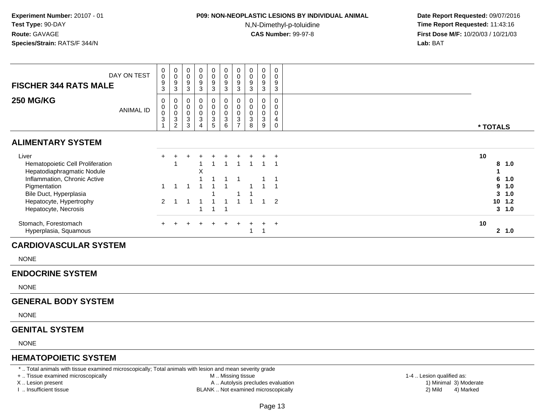# **P09: NON-NEOPLASTIC LESIONS BY INDIVIDUAL ANIMAL**

N,N-Dimethyl-p-toluidine

 **Date Report Requested:** 09/07/2016 **Time Report Requested:** 11:43:16 **First Dose M/F:** 10/20/03 / 10/21/03<br>**Lab:** BAT **Lab:** BAT

| DAY ON TEST<br><b>FISCHER 344 RATS MALE</b>                             | $_0^0$<br>9<br>3                       | $_{\rm 0}^{\rm 0}$<br>9<br>3       | $\begin{smallmatrix} 0\\0 \end{smallmatrix}$<br>$\boldsymbol{9}$<br>$\mathbf{3}$ | $_{0}^{0}$<br>9<br>3           | $\begin{matrix} 0 \\ 0 \end{matrix}$<br>9<br>3 | 0<br>$\mathsf 0$<br>9<br>3 | 0<br>$\mathbf 0$<br>$\boldsymbol{9}$<br>3                  | $\begin{smallmatrix} 0\\0 \end{smallmatrix}$<br>$\boldsymbol{9}$<br>3  | $\begin{smallmatrix} 0\\0 \end{smallmatrix}$<br>$\boldsymbol{9}$<br>$\sqrt{3}$ | $\mathbf 0$<br>$\mathbf 0$<br>$\boldsymbol{9}$<br>$\mathbf{3}$ |          |                      |
|-------------------------------------------------------------------------|----------------------------------------|------------------------------------|----------------------------------------------------------------------------------|--------------------------------|------------------------------------------------|----------------------------|------------------------------------------------------------|------------------------------------------------------------------------|--------------------------------------------------------------------------------|----------------------------------------------------------------|----------|----------------------|
| <b>250 MG/KG</b><br>ANIMAL ID                                           | 0<br>$_{\rm 0}^{\rm 0}$<br>$\mathbf 3$ | 0<br>0<br>0<br>3<br>$\overline{c}$ | 0<br>$\pmb{0}$<br>$\pmb{0}$<br>$\sqrt{3}$<br>3                                   | 0<br>0<br>0<br>$\sqrt{3}$<br>Δ | $\pmb{0}$<br>0<br>3<br>5                       | $\mathsf 0$<br>0<br>3<br>6 | 0<br>0<br>0<br>$\ensuremath{\mathsf{3}}$<br>$\overline{ }$ | 0<br>$\boldsymbol{0}$<br>$\mathbf 0$<br>$\ensuremath{\mathsf{3}}$<br>8 | 0<br>$\pmb{0}$<br>$\pmb{0}$<br>$\sqrt{3}$<br>9                                 | $\mathbf 0$<br>$\mathbf 0$<br>4<br>$\Omega$                    | * TOTALS |                      |
| <b>ALIMENTARY SYSTEM</b>                                                |                                        |                                    |                                                                                  |                                |                                                |                            |                                                            |                                                                        |                                                                                |                                                                |          |                      |
| Liver<br>Hematopoietic Cell Proliferation<br>Hepatodiaphragmatic Nodule | $+$                                    |                                    |                                                                                  | X                              |                                                |                            |                                                            |                                                                        |                                                                                | $\overline{ }$                                                 | 10<br>8  | 1.0                  |
| Inflammation, Chronic Active<br>Pigmentation<br>Bile Duct, Hyperplasia  |                                        |                                    |                                                                                  |                                |                                                |                            |                                                            |                                                                        |                                                                                |                                                                | 6<br>9   | 1.0<br>1.0<br>3, 1.0 |
| Hepatocyte, Hypertrophy<br>Hepatocyte, Necrosis                         | 2                                      |                                    |                                                                                  |                                |                                                |                            |                                                            |                                                                        |                                                                                | $\overline{2}$                                                 |          | $10$ $1.2$<br>3, 1.0 |
| Stomach, Forestomach<br>Hyperplasia, Squamous                           |                                        |                                    |                                                                                  |                                |                                                |                            |                                                            |                                                                        |                                                                                | $+$                                                            | 10       | 2 1.0                |

**NONE** 

#### **ENDOCRINE SYSTEM**

NONE

#### **GENERAL BODY SYSTEM**

NONE

### **GENITAL SYSTEM**

NONE

#### **HEMATOPOIETIC SYSTEM**

\* .. Total animals with tissue examined microscopically; Total animals with lesion and mean severity grade

+ .. Tissue examined microscopically

X .. Lesion present

I .. Insufficient tissue

M .. Missing tissue

- A .. Autolysis precludes evaluation
- BLANK .. Not examined microscopically 2) Mild 4) Marked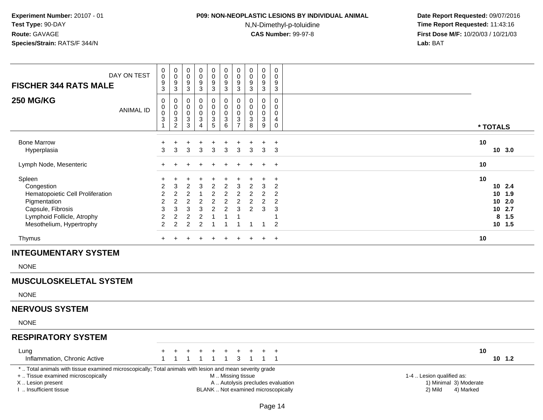### **P09: NON-NEOPLASTIC LESIONS BY INDIVIDUAL ANIMAL**

N,N-Dimethyl-p-toluidine

| DAY ON TEST<br><b>FISCHER 344 RATS MALE</b>                                                                                                                                                   | 0<br>$\bar{0}$<br>9<br>3                                                                                 | $\begin{smallmatrix}0\0\0\9\end{smallmatrix}$<br>$\mathbf{3}$                                  | $\pmb{0}$<br>$\overline{0}$<br>$\boldsymbol{9}$<br>$\mathbf{3}$          | $\pmb{0}$<br>$\ddot{\mathbf{0}}$<br>$\boldsymbol{9}$<br>$\mathbf{3}$                    | $\pmb{0}$<br>$\overline{0}$<br>$\boldsymbol{9}$<br>$\mathbf{3}$                                                    | 0<br>$\ddot{\mathbf{0}}$<br>$\overline{9}$<br>$\mathbf{3}$                                                 | $\begin{smallmatrix}0\0\0\end{smallmatrix}$<br>$\overline{9}$<br>$\mathbf{3}$ | $\mathbf 0$<br>$\ddot{\mathbf{0}}$<br>$\boldsymbol{9}$<br>3                | $\pmb{0}$<br>$\pmb{0}$<br>$\boldsymbol{9}$<br>$\mathbf{3}$   | $\pmb{0}$<br>$\pmb{0}$<br>$\boldsymbol{9}$<br>3                                             |                                   |                                      |                                     |                                                    |
|-----------------------------------------------------------------------------------------------------------------------------------------------------------------------------------------------|----------------------------------------------------------------------------------------------------------|------------------------------------------------------------------------------------------------|--------------------------------------------------------------------------|-----------------------------------------------------------------------------------------|--------------------------------------------------------------------------------------------------------------------|------------------------------------------------------------------------------------------------------------|-------------------------------------------------------------------------------|----------------------------------------------------------------------------|--------------------------------------------------------------|---------------------------------------------------------------------------------------------|-----------------------------------|--------------------------------------|-------------------------------------|----------------------------------------------------|
| <b>250 MG/KG</b><br><b>ANIMAL ID</b>                                                                                                                                                          | $\mathbf 0$<br>$\mathbf 0$<br>$\bar{0}$<br>$\sqrt{3}$                                                    | $\pmb{0}$<br>$\overline{0}$<br>0<br>$\frac{3}{2}$                                              | $\mathbf 0$<br>$\mathsf 0$<br>$\mathbf 0$<br>$\ensuremath{\mathsf{3}}$   | $\mathbf 0$<br>$\mathsf{O}\xspace$<br>0<br>$\sqrt{3}$<br>$\overline{4}$                 | $\mathbf 0$<br>$\mathbf 0$<br>$\mathbf 0$<br>$\sqrt{3}$<br>$5\phantom{1}$                                          | $\mathbf 0$<br>$\mathbf 0$<br>$\pmb{0}$<br>3                                                               | 0<br>$\mathbf 0$<br>$\ddot{\mathbf{0}}$<br>$\frac{3}{7}$                      | $\Omega$<br>$\mathbf 0$<br>$\mathbf 0$<br>3                                | 0<br>$\mathsf{O}\xspace$<br>0<br>$\ensuremath{\mathsf{3}}$   | $\mathbf 0$<br>$\mathsf 0$<br>$\mathbf 0$<br>$\overline{4}$                                 |                                   |                                      |                                     |                                                    |
|                                                                                                                                                                                               | $\mathbf{1}$                                                                                             |                                                                                                | $\mathbf{3}$                                                             |                                                                                         |                                                                                                                    | $\,6$                                                                                                      |                                                                               | 8                                                                          | $9\,$                                                        | $\mathbf 0$                                                                                 |                                   |                                      | * TOTALS                            |                                                    |
| <b>Bone Marrow</b><br>Hyperplasia                                                                                                                                                             | $\ddot{}$<br>3                                                                                           | +<br>3                                                                                         | $\overline{\phantom{a}}$<br>3                                            | 3                                                                                       | 3                                                                                                                  | ÷<br>3                                                                                                     | 3                                                                             | $\ddot{}$<br>3                                                             | +<br>3                                                       | $\overline{+}$<br>3                                                                         |                                   |                                      | 10                                  | 10, 3.0                                            |
| Lymph Node, Mesenteric                                                                                                                                                                        | ÷                                                                                                        |                                                                                                |                                                                          |                                                                                         |                                                                                                                    |                                                                                                            |                                                                               |                                                                            | $\pm$                                                        | $+$                                                                                         |                                   |                                      | 10                                  |                                                    |
| Spleen<br>Congestion<br>Hematopoietic Cell Proliferation<br>Pigmentation<br>Capsule, Fibrosis<br>Lymphoid Follicle, Atrophy<br>Mesothelium, Hypertrophy                                       | $\ddot{}$<br>$\overline{2}$<br>$\overline{2}$<br>$\overline{2}$<br>3<br>$\overline{c}$<br>$\overline{2}$ | +<br>3<br>$\overline{2}$<br>$\overline{2}$<br>$\mathbf{3}$<br>$\overline{c}$<br>$\overline{2}$ | $\overline{c}$<br>2<br>$\sqrt{2}$<br>$\mathbf{3}$<br>$\overline{c}$<br>2 | 3<br>$\overline{1}$<br>$\sqrt{2}$<br>$\mathbf{3}$<br>$\boldsymbol{2}$<br>$\overline{c}$ | $\ddot{}$<br>$\overline{2}$<br>$\overline{c}$<br>$\boldsymbol{2}$<br>$\overline{2}$<br>$\mathbf{1}$<br>$\mathbf 1$ | $\ddot{}$<br>$\overline{c}$<br>$\boldsymbol{2}$<br>$\overline{c}$<br>$\overline{c}$<br>1<br>$\overline{1}$ | 3<br>$\overline{2}$<br>$\overline{2}$<br>3                                    | $\overline{2}$<br>$\overline{2}$<br>$\overline{c}$<br>$\overline{2}$<br>-1 | $\ddot{}$<br>3<br>$\overline{2}$<br>$\overline{2}$<br>3<br>1 | $\ddot{}$<br>$\overline{2}$<br>2<br>$\overline{2}$<br>3<br>$\overline{1}$<br>$\overline{2}$ |                                   |                                      | 10<br>10<br>10<br>8                 | 10, 2.4<br>1.9<br>2.0<br>10 2.7<br>1.5<br>$10$ 1.5 |
| Thymus                                                                                                                                                                                        | $\ddot{}$                                                                                                | $\ddot{}$                                                                                      | $\ddot{}$                                                                | $\div$                                                                                  | $\ddot{}$                                                                                                          | $\ddot{}$                                                                                                  | $\overline{+}$                                                                | $+$                                                                        | $+$                                                          | $+$                                                                                         |                                   |                                      | 10                                  |                                                    |
| <b>INTEGUMENTARY SYSTEM</b>                                                                                                                                                                   |                                                                                                          |                                                                                                |                                                                          |                                                                                         |                                                                                                                    |                                                                                                            |                                                                               |                                                                            |                                                              |                                                                                             |                                   |                                      |                                     |                                                    |
| <b>NONE</b>                                                                                                                                                                                   |                                                                                                          |                                                                                                |                                                                          |                                                                                         |                                                                                                                    |                                                                                                            |                                                                               |                                                                            |                                                              |                                                                                             |                                   |                                      |                                     |                                                    |
| <b>MUSCULOSKELETAL SYSTEM</b>                                                                                                                                                                 |                                                                                                          |                                                                                                |                                                                          |                                                                                         |                                                                                                                    |                                                                                                            |                                                                               |                                                                            |                                                              |                                                                                             |                                   |                                      |                                     |                                                    |
| <b>NONE</b>                                                                                                                                                                                   |                                                                                                          |                                                                                                |                                                                          |                                                                                         |                                                                                                                    |                                                                                                            |                                                                               |                                                                            |                                                              |                                                                                             |                                   |                                      |                                     |                                                    |
| <b>NERVOUS SYSTEM</b>                                                                                                                                                                         |                                                                                                          |                                                                                                |                                                                          |                                                                                         |                                                                                                                    |                                                                                                            |                                                                               |                                                                            |                                                              |                                                                                             |                                   |                                      |                                     |                                                    |
| <b>NONE</b>                                                                                                                                                                                   |                                                                                                          |                                                                                                |                                                                          |                                                                                         |                                                                                                                    |                                                                                                            |                                                                               |                                                                            |                                                              |                                                                                             |                                   |                                      |                                     |                                                    |
| <b>RESPIRATORY SYSTEM</b>                                                                                                                                                                     |                                                                                                          |                                                                                                |                                                                          |                                                                                         |                                                                                                                    |                                                                                                            |                                                                               |                                                                            |                                                              |                                                                                             |                                   |                                      |                                     |                                                    |
| Lung<br>Inflammation, Chronic Active                                                                                                                                                          | +<br>$\mathbf{1}$                                                                                        | +<br>$\overline{1}$                                                                            | $\ddot{}$<br>$\overline{1}$                                              | +<br>-1                                                                                 | -1                                                                                                                 | ÷<br>1                                                                                                     | 3                                                                             | ÷<br>$\overline{1}$                                                        | $\mathbf{1}$                                                 | $\overline{1}$<br>$\overline{1}$                                                            |                                   |                                      | 10                                  | $10$ 1.2                                           |
| *  Total animals with tissue examined microscopically; Total animals with lesion and mean severity grade<br>+  Tissue examined microscopically<br>X  Lesion present<br>I  Insufficient tissue |                                                                                                          |                                                                                                |                                                                          |                                                                                         |                                                                                                                    | M  Missing tissue<br>BLANK  Not examined microscopically                                                   |                                                                               |                                                                            |                                                              | Page 14                                                                                     | A  Autolysis precludes evaluation | 1-4  Lesion qualified as:<br>2) Mild | 1) Minimal 3) Moderate<br>4) Marked |                                                    |
|                                                                                                                                                                                               |                                                                                                          |                                                                                                |                                                                          |                                                                                         |                                                                                                                    |                                                                                                            |                                                                               |                                                                            |                                                              |                                                                                             |                                   |                                      |                                     |                                                    |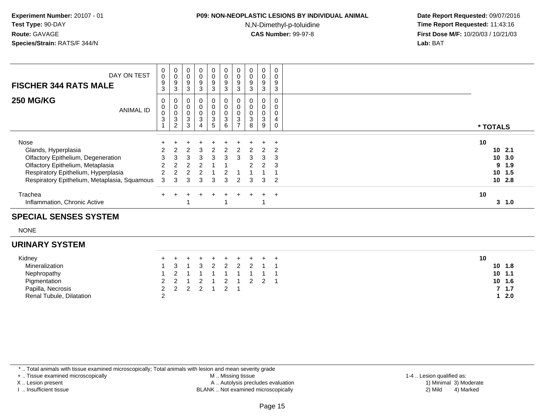### **P09: NON-NEOPLASTIC LESIONS BY INDIVIDUAL ANIMAL**

N,N-Dimethyl-p-toluidine

 **Date Report Requested:** 09/07/2016 **Time Report Requested:** 11:43:16 **First Dose M/F:** 10/20/03 / 10/21/03<br>**Lab:** BAT **Lab:** BAT

| DAY ON TEST<br><b>FISCHER 344 RATS MALE</b>                                                                                                                                                  | 0<br>$\mathbf 0$<br>9<br>3                  | $\pmb{0}$<br>$\pmb{0}$<br>9<br>3                                   | $\boldsymbol{0}$<br>$\mathbf 0$<br>$\boldsymbol{9}$<br>3 | $\mathbf 0$<br>$\pmb{0}$<br>$\boldsymbol{9}$<br>3 | 0<br>0<br>9<br>3             | $\pmb{0}$<br>$\pmb{0}$<br>$\boldsymbol{9}$<br>3 | $\pmb{0}$<br>$\pmb{0}$<br>9<br>3             | 0<br>$\mathbf 0$<br>$\boldsymbol{9}$<br>3 | $\mathbf 0$<br>$\pmb{0}$<br>9<br>3                    | 0<br>0<br>9<br>3     |                                                             |
|----------------------------------------------------------------------------------------------------------------------------------------------------------------------------------------------|---------------------------------------------|--------------------------------------------------------------------|----------------------------------------------------------|---------------------------------------------------|------------------------------|-------------------------------------------------|----------------------------------------------|-------------------------------------------|-------------------------------------------------------|----------------------|-------------------------------------------------------------|
| <b>250 MG/KG</b><br><b>ANIMAL ID</b>                                                                                                                                                         | 0<br>$\,0\,$<br>$\mathbf 0$<br>$\mathbf{3}$ | 0<br>$\pmb{0}$<br>0<br>$\ensuremath{\mathsf{3}}$<br>$\overline{2}$ | $\mathbf 0$<br>$\mathbf 0$<br>3<br>3                     | 0<br>0<br>0<br>$\frac{3}{4}$                      | 0<br>0<br>0<br>$\frac{3}{5}$ | 0<br>$\pmb{0}$<br>$\pmb{0}$<br>$\frac{3}{6}$    | 0<br>0<br>0<br>$\mathbf 3$<br>$\overline{ }$ | $\mathbf 0$<br>3<br>8                     | 0<br>$\pmb{0}$<br>0<br>$\ensuremath{\mathsf{3}}$<br>9 | 0<br>0<br>4<br>0     | * TOTALS                                                    |
| Nose<br>Glands, Hyperplasia<br>Olfactory Epithelium, Degeneration<br>Olfactory Epithelium, Metaplasia<br>Respiratory Epithelium, Hyperplasia<br>Respiratory Epithelium, Metaplasia, Squamous | 3                                           | 3                                                                  |                                                          | З<br>3<br>З                                       | з<br>з                       | з                                               | າ<br>3                                       |                                           | 3<br>$\mathcal{P}$<br>3                               | $\pm$<br>3<br>3<br>2 | 10<br>102.1<br>10, 3.0<br>9<br>1.9<br>10<br>1.5<br>$10$ 2.8 |
| Trachea<br>Inflammation, Chronic Active                                                                                                                                                      |                                             |                                                                    |                                                          |                                                   |                              |                                                 |                                              |                                           |                                                       | $\overline{+}$       | 10<br>3<br>1.0                                              |

### **SPECIAL SENSES SYSTEM**

NONE

### **URINARY SYSTEM**

| Kidney                   |   | + + + + + + + + + + |  |  |  | 10         |
|--------------------------|---|---------------------|--|--|--|------------|
| Mineralization           |   | 1 3 1 3 2 2 2 2 1 1 |  |  |  | $10$ $1.8$ |
| Nephropathy              |   |                     |  |  |  | $10 \t1.1$ |
| Pigmentation             |   | 2 2 1 2 1 2 1 2 2 1 |  |  |  | $10 \t1.6$ |
| Papilla, Necrosis        |   | 2 2 2 2 1 2 1       |  |  |  | 7 1.7      |
| Renal Tubule, Dilatation | ◠ |                     |  |  |  |            |

\* .. Total animals with tissue examined microscopically; Total animals with lesion and mean severity grade

+ .. Tissue examined microscopically

X .. Lesion present

I .. Insufficient tissue

 M .. Missing tissueA .. Autolysis precludes evaluation

BLANK .. Not examined microscopically 2) Mild 4) Marked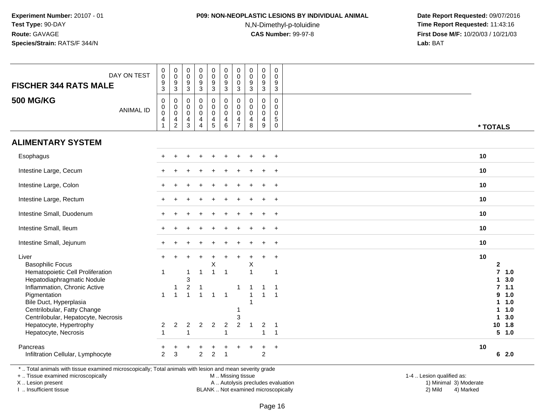### **P09: NON-NEOPLASTIC LESIONS BY INDIVIDUAL ANIMAL**

N,N-Dimethyl-p-toluidine

 **Date Report Requested:** 09/07/2016 **Time Report Requested:** 11:43:16 **First Dose M/F:** 10/20/03 / 10/21/03<br>**Lab:** BAT **Lab:** BAT

| <b>FISCHER 344 RATS MALE</b>                                                                             | DAY ON TEST      | $_{\rm 0}^{\rm 0}$<br>$\frac{9}{3}$          | $\begin{smallmatrix}0\\0\\9\end{smallmatrix}$<br>$\overline{3}$                     | $\mathsf{O}\xspace$<br>$\mathsf{O}\xspace$<br>9<br>3             | $\pmb{0}$<br>$\overline{0}$<br>$9\,$<br>$\mathbf{3}$                                             | $\pmb{0}$<br>$\overline{0}$<br>$\overline{9}$<br>$\overline{3}$ | $\begin{smallmatrix} 0\\0 \end{smallmatrix}$<br>$\overline{9}$<br>$\overline{3}$ | $\mathbf 0$<br>$\overline{0}$<br>$\mathbf 0$<br>3                | $\mathbf 0$<br>$\mathbf 0$<br>9<br>3                          | $_{\rm 0}^{\rm 0}$<br>$\overline{9}$<br>$\mathbf{3}$             | 0<br>$\mathbf 0$<br>9<br>3                                   |                    |     |
|----------------------------------------------------------------------------------------------------------|------------------|----------------------------------------------|-------------------------------------------------------------------------------------|------------------------------------------------------------------|--------------------------------------------------------------------------------------------------|-----------------------------------------------------------------|----------------------------------------------------------------------------------|------------------------------------------------------------------|---------------------------------------------------------------|------------------------------------------------------------------|--------------------------------------------------------------|--------------------|-----|
| <b>500 MG/KG</b>                                                                                         | <b>ANIMAL ID</b> | $\mathbf 0$<br>$\pmb{0}$<br>$\mathsf 0$<br>4 | $\pmb{0}$<br>$\mathbf 0$<br>$\pmb{0}$<br>$\overline{\mathcal{A}}$<br>$\overline{c}$ | $\mathbf 0$<br>$\mathbf 0$<br>$\mathbf 0$<br>$\overline{4}$<br>3 | $\mathbf 0$<br>$\mathbf 0$<br>$\mathbf 0$<br>$\overline{\mathbf{4}}$<br>$\boldsymbol{\varDelta}$ | 0<br>$\mathsf{O}\xspace$<br>$\pmb{0}$<br>$\frac{4}{5}$          | $_{\rm 0}^{\rm 0}$<br>$\pmb{0}$<br>$\overline{4}$<br>6                           | $\mathbf 0$<br>$\mathbf 0$<br>$\mathbf 0$<br>4<br>$\overline{7}$ | $\Omega$<br>$\mathbf 0$<br>$\mathbf 0$<br>$\overline{4}$<br>8 | $\mathbf 0$<br>$\mathbf 0$<br>$\mathbf 0$<br>$\overline{4}$<br>9 | 0<br>$\mathbf 0$<br>$\mathbf 0$<br>$\sqrt{5}$<br>$\mathbf 0$ | * TOTALS           |     |
| <b>ALIMENTARY SYSTEM</b>                                                                                 |                  |                                              |                                                                                     |                                                                  |                                                                                                  |                                                                 |                                                                                  |                                                                  |                                                               |                                                                  |                                                              |                    |     |
| Esophagus                                                                                                |                  |                                              |                                                                                     |                                                                  |                                                                                                  |                                                                 |                                                                                  |                                                                  |                                                               |                                                                  | $\ddot{}$                                                    | 10                 |     |
| Intestine Large, Cecum                                                                                   |                  |                                              |                                                                                     |                                                                  |                                                                                                  |                                                                 |                                                                                  |                                                                  |                                                               |                                                                  | $\ddot{}$                                                    | 10                 |     |
| Intestine Large, Colon                                                                                   |                  |                                              |                                                                                     |                                                                  |                                                                                                  |                                                                 |                                                                                  |                                                                  |                                                               |                                                                  | $\ddot{}$                                                    | 10                 |     |
| Intestine Large, Rectum                                                                                  |                  |                                              |                                                                                     |                                                                  |                                                                                                  |                                                                 |                                                                                  |                                                                  |                                                               |                                                                  | $+$                                                          | 10                 |     |
| Intestine Small, Duodenum                                                                                |                  |                                              |                                                                                     |                                                                  |                                                                                                  |                                                                 |                                                                                  |                                                                  |                                                               |                                                                  | $+$                                                          | 10                 |     |
| Intestine Small, Ileum                                                                                   |                  |                                              |                                                                                     |                                                                  |                                                                                                  |                                                                 |                                                                                  |                                                                  |                                                               |                                                                  | $+$                                                          | 10                 |     |
| Intestine Small, Jejunum                                                                                 |                  |                                              |                                                                                     |                                                                  |                                                                                                  |                                                                 |                                                                                  |                                                                  |                                                               |                                                                  | $\ddot{}$                                                    | 10                 |     |
| Liver<br><b>Basophilic Focus</b>                                                                         |                  |                                              |                                                                                     |                                                                  |                                                                                                  | Χ                                                               |                                                                                  |                                                                  | Х                                                             |                                                                  | $\ddot{}$                                                    | 10<br>$\mathbf{2}$ |     |
| Hematopoietic Cell Proliferation<br>Hepatodiaphragmatic Nodule                                           |                  |                                              |                                                                                     | $\overline{1}$<br>3                                              | $\overline{\mathbf{1}}$                                                                          | $\mathbf{1}$                                                    | $\overline{1}$                                                                   |                                                                  | $\mathbf{1}$                                                  |                                                                  | $\mathbf{1}$                                                 | $7$ 1.0<br>1       | 3.0 |
| Inflammation, Chronic Active                                                                             |                  |                                              | 1                                                                                   | $\overline{c}$                                                   | $\overline{ }$                                                                                   |                                                                 |                                                                                  | -1                                                               |                                                               | 1                                                                | $\overline{1}$                                               | 7.1.1              |     |
| Pigmentation                                                                                             |                  | $\overline{1}$                               | $\overline{1}$                                                                      | $\overline{1}$                                                   | $\overline{1}$                                                                                   | $\mathbf{1}$                                                    | $\overline{1}$                                                                   |                                                                  |                                                               | $\overline{1}$                                                   | $\overline{1}$                                               | 9                  | 1.0 |
| Bile Duct, Hyperplasia                                                                                   |                  |                                              |                                                                                     |                                                                  |                                                                                                  |                                                                 |                                                                                  |                                                                  |                                                               |                                                                  |                                                              | 1                  | 1.0 |
| Centrilobular, Fatty Change                                                                              |                  |                                              |                                                                                     |                                                                  |                                                                                                  |                                                                 |                                                                                  |                                                                  |                                                               |                                                                  |                                                              |                    | 1.0 |
| Centrilobular, Hepatocyte, Necrosis                                                                      |                  |                                              |                                                                                     |                                                                  |                                                                                                  |                                                                 |                                                                                  | 3                                                                |                                                               |                                                                  |                                                              | 1                  | 3.0 |
| Hepatocyte, Hypertrophy<br>Hepatocyte, Necrosis                                                          |                  | $\overline{2}$                               | $\mathbf{2}$                                                                        | $\overline{c}$<br>1                                              | $\boldsymbol{2}$                                                                                 | $\overline{2}$                                                  | $\overline{2}$<br>$\overline{1}$                                                 | $\sqrt{2}$                                                       |                                                               | $\overline{2}$<br>$\overline{1}$                                 | $\overline{1}$<br>$\mathbf{1}$                               | 10<br>5 1.0        | 1.8 |
| Pancreas                                                                                                 |                  |                                              |                                                                                     |                                                                  |                                                                                                  |                                                                 |                                                                                  |                                                                  |                                                               |                                                                  | $\ddot{}$                                                    | 10                 |     |
| Infiltration Cellular, Lymphocyte                                                                        |                  | $\overline{2}$                               | 3                                                                                   |                                                                  | $\overline{2}$                                                                                   | $\overline{2}$                                                  | $\overline{1}$                                                                   |                                                                  |                                                               | 2                                                                |                                                              | 62.0               |     |
| *  Total animals with tissue examined microscopically; Total animals with lesion and mean severity grade |                  |                                              |                                                                                     |                                                                  |                                                                                                  |                                                                 |                                                                                  |                                                                  |                                                               |                                                                  |                                                              |                    |     |

+ .. Tissue examined microscopically

X .. Lesion present

I .. Insufficient tissue

M .. Missing tissue

BLANK .. Not examined microscopically

 1-4 .. Lesion qualified as: A .. Autolysis precludes evaluation 19 and 10 minimal 3) Moderate 1 and 20 minimal 3) Moderate 19 minimal 3) Moderat<br>19 and 19 and 19 and 19 and 19 and 19 and 19 and 19 and 19 and 19 and 19 and 19 and 19 and 19 and 19 and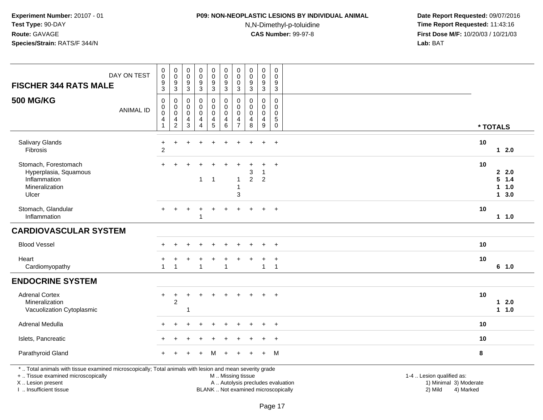# **P09: NON-NEOPLASTIC LESIONS BY INDIVIDUAL ANIMAL**

N,N-Dimethyl-p-toluidine

 **Date Report Requested:** 09/07/2016 **Time Report Requested:** 11:43:16 **First Dose M/F:** 10/20/03 / 10/21/03<br>**Lab:** BAT **Lab:** BAT

| <b>FISCHER 344 RATS MALE</b>                                                                                                                                                                  | DAY ON TEST      | $\pmb{0}$<br>$\ddot{\mathbf{0}}$<br>$\boldsymbol{9}$<br>$\mathbf{3}$ | $\pmb{0}$<br>$\pmb{0}$<br>$\boldsymbol{9}$<br>3 | $\pmb{0}$<br>$\mathbf 0$<br>$\boldsymbol{9}$<br>3 | $\pmb{0}$<br>$\pmb{0}$<br>$\boldsymbol{9}$<br>$\mathbf{3}$ | $\pmb{0}$<br>$\mathbf 0$<br>9<br>3        | $\pmb{0}$<br>$\pmb{0}$<br>$\boldsymbol{9}$<br>3                      | $\pmb{0}$<br>$\mathbf 0$<br>$\mathbf 0$<br>3                                  | $\pmb{0}$<br>$\mathbf 0$<br>$\boldsymbol{9}$<br>$\mathbf{3}$ | $\pmb{0}$<br>$\mathbf 0$<br>$\boldsymbol{9}$<br>3        | $\pmb{0}$<br>$\mathbf 0$<br>$\boldsymbol{9}$<br>$\mathbf{3}$                  |                                                                                                                                                         |  |
|-----------------------------------------------------------------------------------------------------------------------------------------------------------------------------------------------|------------------|----------------------------------------------------------------------|-------------------------------------------------|---------------------------------------------------|------------------------------------------------------------|-------------------------------------------|----------------------------------------------------------------------|-------------------------------------------------------------------------------|--------------------------------------------------------------|----------------------------------------------------------|-------------------------------------------------------------------------------|---------------------------------------------------------------------------------------------------------------------------------------------------------|--|
| <b>500 MG/KG</b>                                                                                                                                                                              | <b>ANIMAL ID</b> | 0<br>$\mathbf 0$<br>$\mathsf 0$<br>4<br>$\mathbf{1}$                 | 0<br>0<br>0<br>4<br>$\sqrt{2}$                  | 0<br>$\mathbf 0$<br>$\Omega$<br>4<br>3            | 0<br>0<br>$\mathsf 0$<br>4<br>$\overline{4}$               | $\mathbf 0$<br>0<br>$\mathbf 0$<br>4<br>5 | $\mathbf 0$<br>$\mathbf 0$<br>$\pmb{0}$<br>$\overline{4}$<br>$\,6\,$ | $\mathbf 0$<br>$\mathbf 0$<br>$\mathbf 0$<br>$\overline{4}$<br>$\overline{7}$ | 0<br>0<br>$\mathbf 0$<br>$\overline{4}$<br>8                 | 0<br>$\mathbf 0$<br>$\mathbf 0$<br>4<br>$\boldsymbol{9}$ | $\mathbf 0$<br>$\mathbf 0$<br>$\pmb{0}$<br>$\mathbf 5$<br>$\mathsf{O}\xspace$ | * TOTALS                                                                                                                                                |  |
| Salivary Glands<br>Fibrosis                                                                                                                                                                   |                  | $\ddot{}$<br>$\overline{c}$                                          | ÷                                               |                                                   |                                                            |                                           |                                                                      |                                                                               |                                                              |                                                          | $\div$                                                                        | 10<br>$12.0$                                                                                                                                            |  |
| Stomach, Forestomach<br>Hyperplasia, Squamous<br>Inflammation<br>Mineralization<br>Ulcer                                                                                                      |                  | ÷                                                                    |                                                 |                                                   | $\mathbf{1}$                                               | $\overline{1}$                            |                                                                      | $\mathbf{1}$<br>$\overline{1}$<br>3                                           | 3<br>$\overline{2}$                                          | -1<br>$\overline{2}$                                     | $\div$                                                                        | 10<br>2.2.0<br>5<br>1.4<br>1<br>1.0<br>13.0                                                                                                             |  |
| Stomach, Glandular<br>Inflammation                                                                                                                                                            |                  |                                                                      |                                                 |                                                   | 1                                                          |                                           |                                                                      |                                                                               |                                                              |                                                          | $\ddot{}$                                                                     | 10<br>11.0                                                                                                                                              |  |
| <b>CARDIOVASCULAR SYSTEM</b>                                                                                                                                                                  |                  |                                                                      |                                                 |                                                   |                                                            |                                           |                                                                      |                                                                               |                                                              |                                                          |                                                                               |                                                                                                                                                         |  |
| <b>Blood Vessel</b>                                                                                                                                                                           |                  |                                                                      |                                                 |                                                   |                                                            |                                           |                                                                      |                                                                               |                                                              |                                                          |                                                                               | 10                                                                                                                                                      |  |
| Heart<br>Cardiomyopathy                                                                                                                                                                       |                  | $\overline{1}$                                                       | $\overline{1}$                                  |                                                   | $\overline{1}$                                             |                                           |                                                                      |                                                                               |                                                              | $\ddot{}$<br>$\mathbf{1}$                                | $\ddot{}$<br>$\overline{1}$                                                   | 10<br>6 1.0                                                                                                                                             |  |
| <b>ENDOCRINE SYSTEM</b>                                                                                                                                                                       |                  |                                                                      |                                                 |                                                   |                                                            |                                           |                                                                      |                                                                               |                                                              |                                                          |                                                                               |                                                                                                                                                         |  |
| <b>Adrenal Cortex</b><br>Mineralization<br>Vacuolization Cytoplasmic                                                                                                                          |                  | $\ddot{}$                                                            | $\ddot{}$<br>2                                  | -1                                                |                                                            |                                           | $\ddot{}$                                                            |                                                                               |                                                              | $\ddot{}$                                                | $\overline{+}$                                                                | 10<br>$12.0$<br>1 1.0                                                                                                                                   |  |
| Adrenal Medulla                                                                                                                                                                               |                  |                                                                      |                                                 |                                                   |                                                            |                                           |                                                                      |                                                                               |                                                              |                                                          | $\ddot{}$                                                                     | 10                                                                                                                                                      |  |
| Islets, Pancreatic                                                                                                                                                                            |                  |                                                                      |                                                 |                                                   |                                                            |                                           |                                                                      |                                                                               |                                                              | $\div$                                                   | $\overline{+}$                                                                | 10                                                                                                                                                      |  |
| Parathyroid Gland                                                                                                                                                                             |                  |                                                                      |                                                 |                                                   |                                                            |                                           |                                                                      |                                                                               |                                                              | $\div$                                                   | M                                                                             | 8                                                                                                                                                       |  |
| *  Total animals with tissue examined microscopically; Total animals with lesion and mean severity grade<br>+  Tissue examined microscopically<br>X  Lesion present<br>I  Insufficient tissue |                  |                                                                      |                                                 |                                                   |                                                            |                                           | M  Missing tissue                                                    |                                                                               |                                                              |                                                          |                                                                               | 1-4  Lesion qualified as:<br>A  Autolysis precludes evaluation<br>1) Minimal 3) Moderate<br>BLANK  Not examined microscopically<br>2) Mild<br>4) Marked |  |

I .. Insufficient tissue

Page 17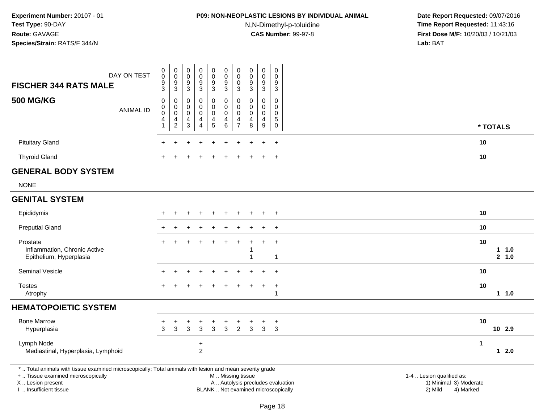### **P09: NON-NEOPLASTIC LESIONS BY INDIVIDUAL ANIMAL**

N,N-Dimethyl-p-toluidine

 **Date Report Requested:** 09/07/2016 **Time Report Requested:** 11:43:16 **First Dose M/F:** 10/20/03 / 10/21/03<br>**Lab:** BAT **Lab:** BAT

| DAY ON TEST<br><b>FISCHER 344 RATS MALE</b>                                                                                                                         | $\pmb{0}$<br>$\pmb{0}$<br>9                                       | $_{\rm 0}^{\rm 0}$<br>$\boldsymbol{9}$                        | $\,0\,$<br>$\mathbf 0$<br>9                         | $\,0\,$<br>$\mathbf 0$<br>9                | $\pmb{0}$<br>$\mathsf{O}\xspace$<br>9 | $\begin{smallmatrix}0\0\0\9\end{smallmatrix}$                             | $\pmb{0}$<br>$\mathbf 0$<br>0                                  | $\pmb{0}$<br>$\mathbf 0$<br>9             | $\pmb{0}$<br>$\mathbf 0$<br>9                                    | $\mathbf 0$<br>$\Omega$<br>9              |                                                                                          |                 |
|---------------------------------------------------------------------------------------------------------------------------------------------------------------------|-------------------------------------------------------------------|---------------------------------------------------------------|-----------------------------------------------------|--------------------------------------------|---------------------------------------|---------------------------------------------------------------------------|----------------------------------------------------------------|-------------------------------------------|------------------------------------------------------------------|-------------------------------------------|------------------------------------------------------------------------------------------|-----------------|
|                                                                                                                                                                     | $\overline{3}$                                                    | $\overline{3}$                                                | $\sqrt{3}$                                          | $\mathbf{3}$                               | 3                                     | $\overline{3}$                                                            | $\mathbf{3}$                                                   | $\mathfrak{Z}$                            | $\mathbf{3}$                                                     | 3                                         |                                                                                          |                 |
| <b>500 MG/KG</b><br><b>ANIMAL ID</b>                                                                                                                                | 0<br>$\mathbf 0$<br>$\pmb{0}$<br>$\overline{4}$<br>$\overline{1}$ | $\mathbf 0$<br>$\overline{0}$<br>$\overline{4}$<br>$\sqrt{2}$ | 0<br>$\mathbf 0$<br>$\mathbf 0$<br>4<br>$\mathsf 3$ | 0<br>$\pmb{0}$<br>0<br>4<br>$\overline{4}$ | 0<br>0<br>0<br>4<br>5                 | $\boldsymbol{0}$<br>$\pmb{0}$<br>$\mathbf 0$<br>$\overline{4}$<br>$\,6\,$ | $\mathbf 0$<br>$\pmb{0}$<br>$\mathbf 0$<br>4<br>$\overline{7}$ | 0<br>$\mathbf 0$<br>$\mathbf 0$<br>4<br>8 | $\mathbf 0$<br>$\mathbf 0$<br>$\mathbf 0$<br>$\overline{4}$<br>9 | 0<br>0<br>$\mathbf 0$<br>5<br>$\mathsf 0$ |                                                                                          | * TOTALS        |
|                                                                                                                                                                     |                                                                   |                                                               |                                                     |                                            |                                       |                                                                           |                                                                |                                           |                                                                  |                                           |                                                                                          |                 |
| <b>Pituitary Gland</b>                                                                                                                                              |                                                                   |                                                               |                                                     |                                            |                                       |                                                                           |                                                                |                                           |                                                                  | $\ddot{}$                                 | 10                                                                                       |                 |
| <b>Thyroid Gland</b>                                                                                                                                                |                                                                   |                                                               |                                                     |                                            |                                       |                                                                           |                                                                |                                           |                                                                  | $\ddot{}$                                 | 10                                                                                       |                 |
| <b>GENERAL BODY SYSTEM</b>                                                                                                                                          |                                                                   |                                                               |                                                     |                                            |                                       |                                                                           |                                                                |                                           |                                                                  |                                           |                                                                                          |                 |
| <b>NONE</b>                                                                                                                                                         |                                                                   |                                                               |                                                     |                                            |                                       |                                                                           |                                                                |                                           |                                                                  |                                           |                                                                                          |                 |
| <b>GENITAL SYSTEM</b>                                                                                                                                               |                                                                   |                                                               |                                                     |                                            |                                       |                                                                           |                                                                |                                           |                                                                  |                                           |                                                                                          |                 |
| Epididymis                                                                                                                                                          |                                                                   |                                                               |                                                     |                                            |                                       |                                                                           |                                                                |                                           |                                                                  | $+$                                       | 10                                                                                       |                 |
| <b>Preputial Gland</b>                                                                                                                                              |                                                                   |                                                               |                                                     |                                            |                                       |                                                                           |                                                                |                                           |                                                                  | $\ddot{}$                                 | 10                                                                                       |                 |
| Prostate<br>Inflammation, Chronic Active<br>Epithelium, Hyperplasia                                                                                                 |                                                                   |                                                               |                                                     |                                            |                                       |                                                                           | $\overline{1}$                                                 | 1                                         | $\div$                                                           | $\overline{+}$<br>$\mathbf{1}$            | 10                                                                                       | 1 1.0<br>2, 1.0 |
| Seminal Vesicle                                                                                                                                                     |                                                                   |                                                               |                                                     |                                            |                                       |                                                                           |                                                                |                                           |                                                                  | $\ddot{}$                                 | 10                                                                                       |                 |
| <b>Testes</b><br>Atrophy                                                                                                                                            |                                                                   |                                                               |                                                     |                                            |                                       |                                                                           |                                                                |                                           | $\ddot{}$                                                        | $+$<br>$\mathbf{1}$                       | 10                                                                                       | 11.0            |
| <b>HEMATOPOIETIC SYSTEM</b>                                                                                                                                         |                                                                   |                                                               |                                                     |                                            |                                       |                                                                           |                                                                |                                           |                                                                  |                                           |                                                                                          |                 |
| <b>Bone Marrow</b><br>Hyperplasia                                                                                                                                   | +<br>3                                                            | $\mathfrak{S}$                                                | +<br>3                                              | $\mathbf{3}$                               | $\ddot{}$<br>3                        | ÷<br>3                                                                    | $\ddot{}$<br>$\overline{2}$                                    | +<br>$\mathbf{3}$                         | $\ddot{}$<br>$\mathbf{3}$                                        | $\overline{+}$<br>3                       | 10                                                                                       | 10 2.9          |
| Lymph Node<br>Mediastinal, Hyperplasia, Lymphoid                                                                                                                    |                                                                   |                                                               |                                                     | $\ddot{}$<br>$\overline{c}$                |                                       |                                                                           |                                                                |                                           |                                                                  |                                           | $\overline{1}$                                                                           | $12.0$          |
| *  Total animals with tissue examined microscopically; Total animals with lesion and mean severity grade<br>+  Tissue examined microscopically<br>X  Lesion present |                                                                   |                                                               |                                                     |                                            |                                       |                                                                           |                                                                | M  Missing tissue                         |                                                                  |                                           | 1-4  Lesion qualified as:<br>A  Autolysis precludes evaluation<br>1) Minimal 3) Moderate |                 |

I .. Insufficient tissue

BLANK .. Not examined microscopically 2) Mild 4) Marked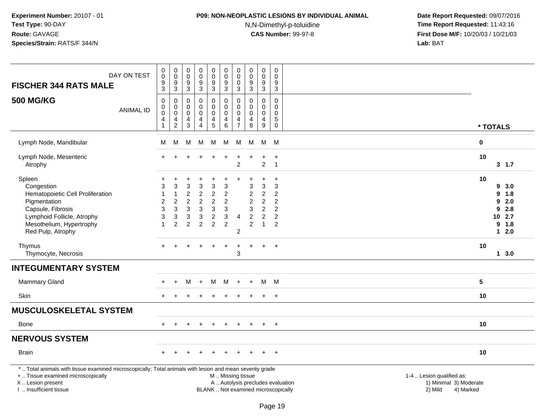### **P09: NON-NEOPLASTIC LESIONS BY INDIVIDUAL ANIMAL**

N,N-Dimethyl-p-toluidine

| DAY ON TEST<br><b>FISCHER 344 RATS MALE</b>                                                                                                                                                  | $\pmb{0}$<br>0<br>$\boldsymbol{9}$<br>3              | $_{\rm 0}^{\rm 0}$<br>$\mathsf g$<br>3                                            | $\pmb{0}$<br>$\pmb{0}$<br>$\frac{9}{3}$                                  | $_{\rm 0}^{\rm 0}$<br>$\overline{9}$<br>$\mathbf{3}$                                                                           | $\pmb{0}$<br>$\mathbf 0$<br>$\boldsymbol{9}$<br>$\mathbf{3}$                                  | $\pmb{0}$<br>$\mathbf 0$<br>$9\,$<br>3                            | $\pmb{0}$<br>$\mathbf 0$<br>$\mathbf 0$<br>3                  | $\pmb{0}$<br>$\mathsf{O}\xspace$<br>$\boldsymbol{9}$<br>$\mathfrak{Z}$         | $_{\rm 0}^{\rm 0}$<br>$\boldsymbol{9}$<br>$\mathfrak{Z}$                          | $\mathsf 0$<br>$\mathbf 0$<br>$\boldsymbol{9}$<br>3               |                                                                                                                                                         |
|----------------------------------------------------------------------------------------------------------------------------------------------------------------------------------------------|------------------------------------------------------|-----------------------------------------------------------------------------------|--------------------------------------------------------------------------|--------------------------------------------------------------------------------------------------------------------------------|-----------------------------------------------------------------------------------------------|-------------------------------------------------------------------|---------------------------------------------------------------|--------------------------------------------------------------------------------|-----------------------------------------------------------------------------------|-------------------------------------------------------------------|---------------------------------------------------------------------------------------------------------------------------------------------------------|
| <b>500 MG/KG</b><br><b>ANIMAL ID</b>                                                                                                                                                         | $\mathbf 0$<br>0<br>$\mathbf 0$<br>4<br>$\mathbf{1}$ | $\mathbf 0$<br>$\begin{smallmatrix}0\0\0\end{smallmatrix}$<br>4<br>$\overline{c}$ | $\mathbf 0$<br>$\mathsf{O}\xspace$<br>$\mathbf 0$<br>$\overline{4}$<br>3 | $\pmb{0}$<br>$\pmb{0}$<br>$\pmb{0}$<br>4<br>$\overline{4}$                                                                     | $\mathbf 0$<br>$\mathbf 0$<br>$\mathbf 0$<br>$\overline{4}$<br>$\overline{5}$                 | $\mathbf 0$<br>$\mathbf 0$<br>$\mathbf 0$<br>$\overline{a}$<br>6  | $\Omega$<br>$\mathbf 0$<br>$\mathbf 0$<br>4<br>$\overline{7}$ | $\mathbf 0$<br>$\mathbf 0$<br>$\mathbf 0$<br>$\overline{4}$<br>8               | $\mathbf 0$<br>$\mathsf{O}\xspace$<br>$\mathsf{O}\xspace$<br>4<br>9               | $\Omega$<br>$\mathbf 0$<br>$\Omega$<br>5<br>$\mathbf 0$           | * TOTALS                                                                                                                                                |
| Lymph Node, Mandibular                                                                                                                                                                       | м                                                    | М                                                                                 | М                                                                        | м                                                                                                                              | М                                                                                             | M                                                                 | M                                                             | M                                                                              |                                                                                   | M M                                                               | $\mathbf 0$                                                                                                                                             |
| Lymph Node, Mesenteric<br>Atrophy                                                                                                                                                            |                                                      |                                                                                   |                                                                          |                                                                                                                                |                                                                                               |                                                                   | $\overline{2}$                                                |                                                                                | $\ddot{}$<br>$\overline{2}$                                                       | $\ddot{}$<br>$\overline{1}$                                       | 10<br>3, 1.7                                                                                                                                            |
| Spleen<br>Congestion<br>Hematopoietic Cell Proliferation<br>Pigmentation<br>Capsule, Fibrosis<br>Lymphoid Follicle, Atrophy<br>Mesothelium, Hypertrophy<br>Red Pulp, Atrophy                 | $\boldsymbol{2}$<br>3<br>3<br>$\mathbf{1}$           | 3<br>$\overline{1}$<br>$\overline{c}$<br>3<br>3<br>$\overline{2}$                 | 3<br>$\overline{c}$<br>$\overline{c}$<br>3<br>3<br>$\overline{2}$        | $\ensuremath{\mathsf{3}}$<br>$\overline{c}$<br>$\overline{c}$<br>$\mathfrak{Z}$<br>$\ensuremath{\mathsf{3}}$<br>$\overline{2}$ | 3<br>$\overline{c}$<br>$\overline{c}$<br>$\mathfrak{Z}$<br>$\boldsymbol{2}$<br>$\overline{2}$ | 3<br>$\overline{c}$<br>$\overline{2}$<br>3<br>3<br>$\overline{2}$ | $\overline{4}$<br>$\overline{c}$                              | 3<br>$\overline{c}$<br>$\overline{c}$<br>3<br>$\overline{2}$<br>$\overline{2}$ | 3<br>$\sqrt{2}$<br>$\sqrt{2}$<br>$\overline{2}$<br>$\overline{2}$<br>$\mathbf{1}$ | $\ddot{}$<br>3<br>$\overline{c}$<br>$\overline{2}$<br>2<br>2<br>2 | 10<br>9, 3.0<br>9<br>1.8<br>9<br>2.0<br>9<br>2.8<br>10 2.7<br>9 1.8<br>$12.0$                                                                           |
| Thymus<br>Thymocyte, Necrosis                                                                                                                                                                |                                                      |                                                                                   |                                                                          |                                                                                                                                |                                                                                               |                                                                   | +<br>$\sqrt{3}$                                               |                                                                                | $\ddot{}$                                                                         | $\overline{+}$                                                    | 10<br>13.0                                                                                                                                              |
| <b>INTEGUMENTARY SYSTEM</b>                                                                                                                                                                  |                                                      |                                                                                   |                                                                          |                                                                                                                                |                                                                                               |                                                                   |                                                               |                                                                                |                                                                                   |                                                                   |                                                                                                                                                         |
| <b>Mammary Gland</b>                                                                                                                                                                         |                                                      | $\ddot{}$                                                                         | м                                                                        | $+$                                                                                                                            | M                                                                                             | M                                                                 | $+$                                                           | $+$                                                                            |                                                                                   | M M                                                               | $5\phantom{.0}$                                                                                                                                         |
| Skin                                                                                                                                                                                         |                                                      |                                                                                   |                                                                          |                                                                                                                                |                                                                                               |                                                                   |                                                               |                                                                                | $+$                                                                               | $+$                                                               | 10                                                                                                                                                      |
| <b>MUSCULOSKELETAL SYSTEM</b>                                                                                                                                                                |                                                      |                                                                                   |                                                                          |                                                                                                                                |                                                                                               |                                                                   |                                                               |                                                                                |                                                                                   |                                                                   |                                                                                                                                                         |
| Bone                                                                                                                                                                                         |                                                      |                                                                                   |                                                                          |                                                                                                                                |                                                                                               |                                                                   |                                                               |                                                                                | $+$                                                                               | $+$                                                               | 10                                                                                                                                                      |
| <b>NERVOUS SYSTEM</b>                                                                                                                                                                        |                                                      |                                                                                   |                                                                          |                                                                                                                                |                                                                                               |                                                                   |                                                               |                                                                                |                                                                                   |                                                                   |                                                                                                                                                         |
| <b>Brain</b>                                                                                                                                                                                 |                                                      |                                                                                   |                                                                          |                                                                                                                                |                                                                                               |                                                                   |                                                               |                                                                                |                                                                                   | $+$                                                               | 10                                                                                                                                                      |
| *  Total animals with tissue examined microscopically; Total animals with lesion and mean severity grade<br>+  Tissue examined microscopically<br>X Lesion present<br>I. Insufficient tissue |                                                      |                                                                                   |                                                                          |                                                                                                                                |                                                                                               | M  Missing tissue                                                 |                                                               |                                                                                |                                                                                   |                                                                   | 1-4  Lesion qualified as:<br>A  Autolysis precludes evaluation<br>1) Minimal 3) Moderate<br>BLANK  Not examined microscopically<br>2) Mild<br>4) Marked |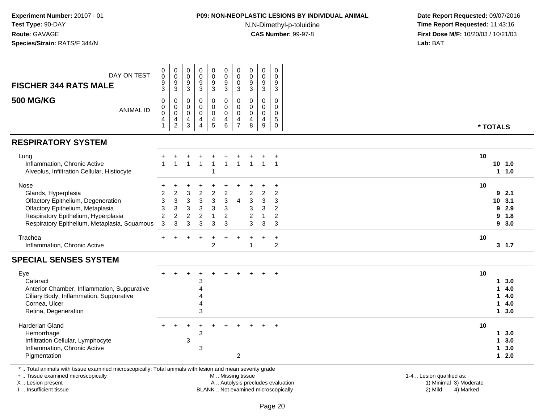### **P09: NON-NEOPLASTIC LESIONS BY INDIVIDUAL ANIMAL**

N,N-Dimethyl-p-toluidine

 **Date Report Requested:** 09/07/2016 **Time Report Requested:** 11:43:16 **First Dose M/F:** 10/20/03 / 10/21/03<br>**Lab:** BAT **Lab:** BAT

| DAY ON TEST<br><b>FISCHER 344 RATS MALE</b>                                                                                                                                                  | 0<br>$\mathbf 0$<br>9<br>$\mathbf{3}$                                 | 0<br>$\pmb{0}$<br>9<br>$\sqrt{3}$               | $\mathbf 0$<br>$\pmb{0}$<br>9<br>$\ensuremath{\mathsf{3}}$ | 0<br>$\pmb{0}$<br>$\boldsymbol{9}$<br>$\mathbf{3}$                                              | $\mathbf 0$<br>$\mathbf 0$<br>$\boldsymbol{9}$<br>$\mathbf{3}$   | 0<br>$\pmb{0}$<br>9<br>$\sqrt{3}$                                   | $\mathbf 0$<br>$\pmb{0}$<br>$\mathbf 0$<br>$\sqrt{3}$            | 0<br>$\pmb{0}$<br>9<br>$\sqrt{3}$                                      | 0<br>$\mathsf 0$<br>9<br>$\mathbf{3}$                                      | 0<br>$\mathbf 0$<br>9<br>$\mathbf{3}$                                 |                                                            |  |
|----------------------------------------------------------------------------------------------------------------------------------------------------------------------------------------------|-----------------------------------------------------------------------|-------------------------------------------------|------------------------------------------------------------|-------------------------------------------------------------------------------------------------|------------------------------------------------------------------|---------------------------------------------------------------------|------------------------------------------------------------------|------------------------------------------------------------------------|----------------------------------------------------------------------------|-----------------------------------------------------------------------|------------------------------------------------------------|--|
| <b>500 MG/KG</b><br><b>ANIMAL ID</b>                                                                                                                                                         | $\mathbf 0$<br>0<br>$\mathbf 0$<br>4                                  | 0<br>0<br>$\mathbf 0$<br>4<br>$\overline{c}$    | $\Omega$<br>$\mathbf 0$<br>$\Omega$<br>4<br>3              | 0<br>$\mathbf 0$<br>$\mathbf 0$<br>4<br>4                                                       | $\mathbf 0$<br>$\mathbf 0$<br>$\mathbf 0$<br>$\overline{4}$<br>5 | $\mathbf 0$<br>$\mathbf 0$<br>$\mathbf 0$<br>4<br>6                 | $\mathbf 0$<br>$\mathbf 0$<br>$\mathbf 0$<br>4<br>$\overline{7}$ | $\Omega$<br>$\mathbf 0$<br>$\mathbf 0$<br>$\overline{\mathbf{4}}$<br>8 | 0<br>$\mathbf 0$<br>$\mathbf 0$<br>$\overline{\mathbf{4}}$<br>9            | $\mathbf 0$<br>$\mathbf 0$<br>$\mathbf 0$<br>$\sqrt{5}$<br>0          | * TOTALS                                                   |  |
| <b>RESPIRATORY SYSTEM</b>                                                                                                                                                                    |                                                                       |                                                 |                                                            |                                                                                                 |                                                                  |                                                                     |                                                                  |                                                                        |                                                                            |                                                                       |                                                            |  |
| Lung<br>Inflammation, Chronic Active<br>Alveolus, Infiltration Cellular, Histiocyte                                                                                                          |                                                                       |                                                 | -1                                                         | $\mathbf{1}$                                                                                    |                                                                  |                                                                     | -1                                                               | -1                                                                     | $\mathbf{1}$                                                               | $\overline{1}$                                                        | 10<br>$10$ 1.0<br>1 1.0                                    |  |
| Nose<br>Glands, Hyperplasia<br>Olfactory Epithelium, Degeneration<br>Olfactory Epithelium, Metaplasia<br>Respiratory Epithelium, Hyperplasia<br>Respiratory Epithelium, Metaplasia, Squamous | $\overline{2}$<br>3<br>$\mathbf{3}$<br>$\overline{c}$<br>$\mathbf{3}$ | $\overline{c}$<br>3<br>3<br>$\overline{c}$<br>3 | 3<br>3<br>$\ensuremath{\mathsf{3}}$<br>$\overline{c}$<br>3 | $\overline{c}$<br>$\ensuremath{\mathsf{3}}$<br>$\ensuremath{\mathsf{3}}$<br>$\overline{c}$<br>3 | $\overline{c}$<br>$\mathbf{3}$<br>3<br>1<br>3                    | $\overline{c}$<br>$\sqrt{3}$<br>$\mathbf{3}$<br>$\overline{c}$<br>3 | 4                                                                | 2<br>3<br>3<br>2<br>3                                                  | $\overline{c}$<br>$\mathbf 3$<br>$\mathsf 3$<br>$\mathbf{1}$<br>$\sqrt{3}$ | $\overline{2}$<br>3<br>$\overline{2}$<br>$\overline{2}$<br>$\sqrt{3}$ | 10<br>92.1<br>3.1<br>10<br>2.9<br>9<br>9<br>1.8<br>93.0    |  |
| Trachea<br>Inflammation, Chronic Active                                                                                                                                                      |                                                                       |                                                 |                                                            |                                                                                                 | $\overline{2}$                                                   |                                                                     |                                                                  | 1                                                                      | $\ddot{}$                                                                  | $\ddot{}$<br>$\overline{2}$                                           | 10<br>3, 1.7                                               |  |
| <b>SPECIAL SENSES SYSTEM</b>                                                                                                                                                                 |                                                                       |                                                 |                                                            |                                                                                                 |                                                                  |                                                                     |                                                                  |                                                                        |                                                                            |                                                                       |                                                            |  |
| Eye<br>Cataract<br>Anterior Chamber, Inflammation, Suppurative<br>Ciliary Body, Inflammation, Suppurative<br>Cornea, Ulcer<br>Retina, Degeneration                                           |                                                                       |                                                 |                                                            | 3<br>4<br>4<br>4<br>3                                                                           |                                                                  |                                                                     |                                                                  |                                                                        |                                                                            | $\ddot{}$                                                             | 10<br>3.0<br>1<br>4.0<br>1<br>4.0<br>1<br>4.0<br>1<br>13.0 |  |
| Harderian Gland<br>Hemorrhage<br>Infiltration Cellular, Lymphocyte<br>Inflammation, Chronic Active<br>Pigmentation                                                                           |                                                                       |                                                 | 3                                                          | 3<br>3                                                                                          |                                                                  |                                                                     | $\overline{c}$                                                   |                                                                        |                                                                            | $\ddot{}$                                                             | 10<br>3.0<br>1<br>3.0<br>1<br>3.0<br>1<br>2.0<br>1         |  |
| *  Total animals with tissue examined microscopically; Total animals with lesion and mean severity grade<br>+  Tissue examined microscopically                                               |                                                                       |                                                 |                                                            |                                                                                                 |                                                                  | M  Missing tissue                                                   |                                                                  |                                                                        |                                                                            |                                                                       | 1-4  Lesion qualified as:                                  |  |

X .. Lesion present

I .. Insufficient tissue

 M .. Missing tissueA .. Autolysis precludes evaluation

1-4 .. Lesion qualified as:<br>1) Minimal 3) Moderate BLANK .. Not examined microscopically 2) Mild 4) Marked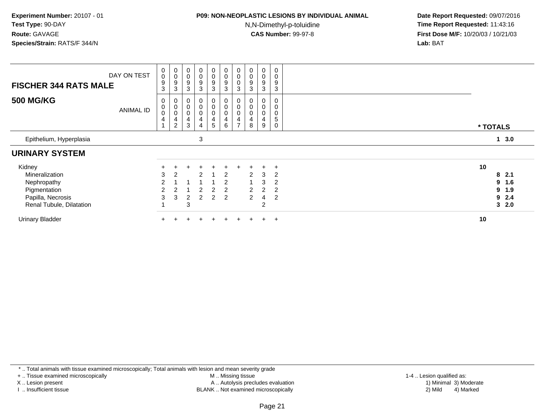### **P09: NON-NEOPLASTIC LESIONS BY INDIVIDUAL ANIMAL**

N,N-Dimethyl-p-toluidine

 **Date Report Requested:** 09/07/2016 **Time Report Requested:** 11:43:16 **First Dose M/F:** 10/20/03 / 10/21/03<br>**Lab:** BAT **Lab:** BAT

| <b>FISCHER 344 RATS MALE</b>                                  | DAY ON TEST      | 0<br>$\mathbf 0$<br>9<br>3 | 0<br>$\pmb{0}$<br>9<br>3                             | $_{\rm 0}^{\rm 0}$<br>$\boldsymbol{9}$<br>$\mathbf{3}$                  | $\begin{smallmatrix}0\0\0\end{smallmatrix}$<br>$\boldsymbol{9}$<br>$\mathbf{3}$ | $\begin{smallmatrix} 0\\0 \end{smallmatrix}$<br>$\boldsymbol{9}$<br>$\mathbf{3}$ | $_{\rm 0}^{\rm 0}$<br>$\boldsymbol{9}$<br>$\sqrt{3}$                  | $_{\rm 0}^{\rm 0}$<br>0<br>3                         | $\begin{smallmatrix}0\\0\end{smallmatrix}$<br>$\boldsymbol{9}$<br>3 | $_0^0$<br>9<br>3              | $\pmb{0}$<br>$\mathsf 0$<br>9<br>$\sqrt{3}$ |                              |  |
|---------------------------------------------------------------|------------------|----------------------------|------------------------------------------------------|-------------------------------------------------------------------------|---------------------------------------------------------------------------------|----------------------------------------------------------------------------------|-----------------------------------------------------------------------|------------------------------------------------------|---------------------------------------------------------------------|-------------------------------|---------------------------------------------|------------------------------|--|
| <b>500 MG/KG</b>                                              | <b>ANIMAL ID</b> | 0<br>$\mathbf 0$<br>0<br>4 | 0<br>$\mathbf 0$<br>$\pmb{0}$<br>4<br>$\overline{2}$ | $\pmb{0}$<br>$\mathbf 0$<br>$\mathbf 0$<br>$\overline{\mathbf{4}}$<br>3 | 0<br>0<br>0<br>$\overline{\mathbf{4}}$<br>4                                     | 0<br>$\pmb{0}$<br>$\pmb{0}$<br>$\overline{\mathbf{4}}$<br>$\sqrt{5}$             | 0<br>$\mathbf 0$<br>$\mathbf 0$<br>$\overline{\mathbf{4}}$<br>$\,6\,$ | 0<br>$\mathsf 0$<br>$\pmb{0}$<br>4<br>$\overline{ }$ | $\pmb{0}$<br>8                                                      | 0<br>$\pmb{0}$<br>0<br>4<br>9 | 0<br>0<br>0<br>5<br>$\pmb{0}$               | * TOTALS                     |  |
| Epithelium, Hyperplasia                                       |                  |                            |                                                      |                                                                         | 3                                                                               |                                                                                  |                                                                       |                                                      |                                                                     |                               |                                             | 3.0<br>$\mathbf 1$           |  |
| <b>URINARY SYSTEM</b>                                         |                  |                            |                                                      |                                                                         |                                                                                 |                                                                                  |                                                                       |                                                      |                                                                     |                               |                                             |                              |  |
| Kidney<br>Mineralization<br>Nephropathy                       |                  | 3<br>2                     | 2                                                    |                                                                         | $\div$<br>2                                                                     |                                                                                  | $\div$<br>2<br>2                                                      |                                                      | $\overline{2}$                                                      | 3<br>3                        | $\ddot{}$<br>2<br>2                         | 10<br>82.1<br>9<br>1.6       |  |
| Pigmentation<br>Papilla, Necrosis<br>Renal Tubule, Dilatation |                  | 3                          | 3                                                    | 3                                                                       | 2<br>$\overline{2}$                                                             | $\overline{2}$<br>$\overline{2}$                                                 | 2<br>$\overline{2}$                                                   |                                                      | $\overline{2}$<br>$\overline{2}$                                    | $\overline{2}$<br>4<br>2      | $\overline{2}$<br>2                         | 9<br>1.9<br>9<br>2.4<br>32.0 |  |
| <b>Urinary Bladder</b>                                        |                  |                            |                                                      |                                                                         |                                                                                 |                                                                                  |                                                                       |                                                      |                                                                     | $+$                           | $+$                                         | 10                           |  |

\* .. Total animals with tissue examined microscopically; Total animals with lesion and mean severity grade

+ .. Tissue examined microscopically

X .. Lesion present

I .. Insufficient tissue

M .. Missing tissue

 Lesion present A .. Autolysis precludes evaluation 1) Minimal 3) ModerateBLANK .. Not examined microscopically 2) Mild 4) Marked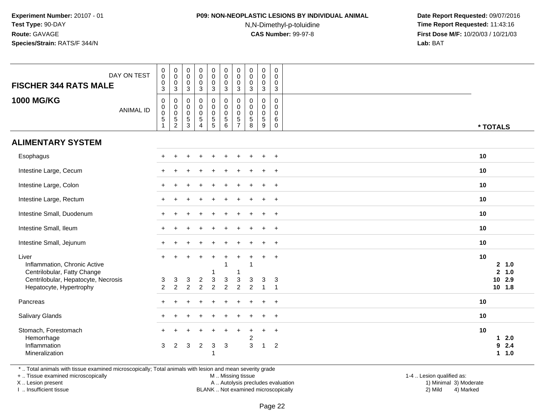## **P09: NON-NEOPLASTIC LESIONS BY INDIVIDUAL ANIMAL**

N,N-Dimethyl-p-toluidine

 **Date Report Requested:** 09/07/2016 **Time Report Requested:** 11:43:16 **First Dose M/F:** 10/20/03 / 10/21/03<br>**Lab:** BAT **Lab:** BAT

| DAY ON TEST<br><b>FISCHER 344 RATS MALE</b>                                                                 |                  | $\boldsymbol{0}$<br>$\boldsymbol{0}$<br>$\boldsymbol{0}$<br>3             | $\pmb{0}$<br>$\mathsf{O}\xspace$<br>$\mathbf 0$<br>$\mathbf{3}$  | $\pmb{0}$<br>$\mathbf 0$<br>$\mathbf 0$<br>$\mathsf 3$                          | $\pmb{0}$<br>$\mathsf{O}\xspace$<br>$\mathbf 0$<br>$\mathbf{3}$ | $\pmb{0}$<br>$\mathbf 0$<br>$\pmb{0}$<br>$\sqrt{3}$           | $\pmb{0}$<br>$\mathbf 0$<br>$\mathbf 0$<br>$\mathbf{3}$                     | 0<br>$\mathsf{O}\xspace$<br>$\mathbf 0$<br>3                   | $\mathbf 0$<br>$\mathsf{O}\xspace$<br>$\mathbf 0$<br>3        | $\pmb{0}$<br>$\pmb{0}$<br>$\pmb{0}$<br>$\overline{3}$ | 0<br>$\mathbf 0$<br>$\mathbf 0$<br>$\mathbf{3}$         |          |                                                      |
|-------------------------------------------------------------------------------------------------------------|------------------|---------------------------------------------------------------------------|------------------------------------------------------------------|---------------------------------------------------------------------------------|-----------------------------------------------------------------|---------------------------------------------------------------|-----------------------------------------------------------------------------|----------------------------------------------------------------|---------------------------------------------------------------|-------------------------------------------------------|---------------------------------------------------------|----------|------------------------------------------------------|
| <b>1000 MG/KG</b>                                                                                           | <b>ANIMAL ID</b> | $\boldsymbol{0}$<br>$\boldsymbol{0}$<br>$\overline{0}$<br>$\sqrt{5}$<br>1 | 0<br>$\mathbf 0$<br>$\mathbf 0$<br>$\,$ 5 $\,$<br>$\overline{c}$ | $\mathbf 0$<br>$\mathbf 0$<br>$\mathsf{O}\xspace$<br>$\sqrt{5}$<br>$\mathbf{3}$ | $\pmb{0}$<br>$\pmb{0}$<br>$\frac{0}{5}$<br>$\overline{4}$       | $\mathbf 0$<br>$\pmb{0}$<br>$\frac{0}{5}$                     | $\boldsymbol{0}$<br>$\mathbf 0$<br>$\mathbf 0$<br>$\overline{5}$<br>$\,6\,$ | 0<br>$\Omega$<br>$\mathbf 0$<br>5<br>$\overline{7}$            | $\mathbf 0$<br>$\Omega$<br>$\mathbf 0$<br>$\overline{5}$<br>8 | 0<br>$\pmb{0}$<br>$\pmb{0}$<br>$\overline{5}$<br>9    | $\mathbf 0$<br>$\Omega$<br>$\Omega$<br>6<br>$\mathbf 0$ | * TOTALS |                                                      |
| <b>ALIMENTARY SYSTEM</b>                                                                                    |                  |                                                                           |                                                                  |                                                                                 |                                                                 |                                                               |                                                                             |                                                                |                                                               |                                                       |                                                         |          |                                                      |
| Esophagus                                                                                                   |                  |                                                                           |                                                                  |                                                                                 |                                                                 |                                                               |                                                                             |                                                                |                                                               |                                                       | $+$                                                     | 10       |                                                      |
| Intestine Large, Cecum                                                                                      |                  |                                                                           |                                                                  |                                                                                 |                                                                 |                                                               |                                                                             |                                                                |                                                               | $\ddot{}$                                             | $+$                                                     | 10       |                                                      |
| Intestine Large, Colon                                                                                      |                  |                                                                           |                                                                  |                                                                                 |                                                                 |                                                               |                                                                             |                                                                |                                                               |                                                       | $+$                                                     | 10       |                                                      |
| Intestine Large, Rectum                                                                                     |                  |                                                                           |                                                                  |                                                                                 |                                                                 |                                                               |                                                                             |                                                                |                                                               |                                                       | $\ddot{}$                                               | 10       |                                                      |
| Intestine Small, Duodenum                                                                                   |                  |                                                                           |                                                                  |                                                                                 |                                                                 |                                                               |                                                                             |                                                                |                                                               |                                                       | $^{+}$                                                  | 10       |                                                      |
| Intestine Small, Ileum                                                                                      |                  |                                                                           |                                                                  |                                                                                 |                                                                 |                                                               |                                                                             |                                                                |                                                               |                                                       | $\ddot{}$                                               | 10       |                                                      |
| Intestine Small, Jejunum                                                                                    |                  |                                                                           |                                                                  |                                                                                 |                                                                 |                                                               |                                                                             |                                                                |                                                               | $\ddot{}$                                             | $+$                                                     | 10       |                                                      |
| Liver<br>Inflammation, Chronic Active<br>Centrilobular, Fatty Change<br>Centrilobular, Hepatocyte, Necrosis |                  | 3<br>$\overline{2}$                                                       | 3<br>$\overline{2}$                                              | 3<br>$\overline{2}$                                                             | $\sqrt{2}$<br>$\overline{2}$                                    | $\ddot{}$<br>1<br>$\ensuremath{\mathsf{3}}$<br>$\overline{c}$ | $\overline{1}$<br>3<br>$\overline{c}$                                       | $\ddot{}$<br>-1<br>$\ensuremath{\mathsf{3}}$<br>$\overline{c}$ | 3<br>$\overline{2}$                                           | $\ddot{}$<br>3<br>$\overline{1}$                      | $+$<br>$\mathbf{3}$<br>$\overline{1}$                   | 10       | 2 1.0<br>2, 1.0<br>10 2.9<br>10 1.8                  |
| Hepatocyte, Hypertrophy<br>Pancreas                                                                         |                  |                                                                           |                                                                  |                                                                                 |                                                                 |                                                               |                                                                             |                                                                |                                                               | $\ddot{}$                                             | $+$                                                     | 10       |                                                      |
| Salivary Glands                                                                                             |                  |                                                                           |                                                                  |                                                                                 |                                                                 |                                                               |                                                                             |                                                                |                                                               |                                                       | $\div$                                                  | 10       |                                                      |
| Stomach, Forestomach<br>Hemorrhage<br>Inflammation<br>Mineralization                                        |                  | 3                                                                         | 2                                                                | 3                                                                               | $\overline{2}$                                                  | $\ensuremath{\mathsf{3}}$                                     | $\mathbf{3}$                                                                |                                                                | 2<br>3                                                        | $\ddot{}$<br>$\overline{1}$                           | $\ddot{}$<br>2                                          | 10       | 2.0<br>$\mathbf 1$<br>9<br>2.4<br>1.0<br>$\mathbf 1$ |

\* .. Total animals with tissue examined microscopically; Total animals with lesion and mean severity grade

+ .. Tissue examined microscopically

X .. Lesion present

I .. Insufficient tissue

 M .. Missing tissueA .. Autolysis precludes evaluation

 1-4 .. Lesion qualified as: BLANK .. Not examined microscopically 2) Mild 4) Marked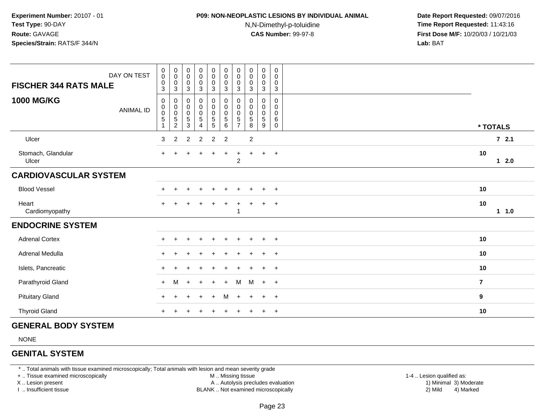## **P09: NON-NEOPLASTIC LESIONS BY INDIVIDUAL ANIMAL**

N,N-Dimethyl-p-toluidine

 **Date Report Requested:** 09/07/2016 **Time Report Requested:** 11:43:16 **First Dose M/F:** 10/20/03 / 10/21/03<br>**Lab:** BAT **Lab:** BAT

| DAY ON TEST<br><b>FISCHER 344 RATS MALE</b> | $_{\rm 0}^{\rm 0}$<br>$\mathsf{O}\xspace$<br>$\mathbf{3}$    | $_{\rm 0}^{\rm 0}$<br>$\mathbf 0$<br>$\mathsf 3$ | $_{\rm 0}^{\rm 0}$<br>$\pmb{0}$<br>$\mathbf{3}$           | $_0^0$<br>$\mathsf{O}\xspace$<br>$\mathbf{3}$ | $\begin{smallmatrix}0\0\0\0\end{smallmatrix}$<br>$\mathbf{3}$ | $_{\rm 0}^{\rm 0}$<br>$\pmb{0}$<br>$\mathbf{3}$  | 0<br>$\pmb{0}$<br>$\pmb{0}$<br>$\sqrt{3}$     | $\begin{smallmatrix}0\\0\end{smallmatrix}$<br>$\pmb{0}$<br>$\sqrt{3}$ | $_0^0$<br>$\mathbf 0$<br>$\mathbf{3}$      | $\pmb{0}$<br>$\mathbf 0$<br>0<br>$\mathbf{3}$     |                |
|---------------------------------------------|--------------------------------------------------------------|--------------------------------------------------|-----------------------------------------------------------|-----------------------------------------------|---------------------------------------------------------------|--------------------------------------------------|-----------------------------------------------|-----------------------------------------------------------------------|--------------------------------------------|---------------------------------------------------|----------------|
| <b>1000 MG/KG</b><br><b>ANIMAL ID</b>       | 0<br>$\pmb{0}$<br>$\pmb{0}$<br>$\,$ 5 $\,$<br>$\overline{1}$ | 0<br>$\pmb{0}$<br>$\mathbf 0$<br>$\frac{5}{2}$   | 0<br>$\,0\,$<br>$\mathbf 0$<br>$\sqrt{5}$<br>$\mathbf{3}$ | $_0^0$<br>$\pmb{0}$<br>$\overline{5}$<br>4    | $_{\rm 0}^{\rm 0}$<br>$\frac{0}{5}$                           | $_{\rm 0}^{\rm 0}$<br>$\pmb{0}$<br>$\frac{5}{6}$ | $\mathbf 0$<br>$\mathbf 0$<br>0<br>$\sqrt{5}$ | $\mathbf 0$<br>$\mathbf 0$<br>$\pmb{0}$<br>$\sqrt{5}$<br>8            | 0<br>$\mathsf{O}$<br>$\mathbf 0$<br>5<br>9 | 0<br>$\mathbf 0$<br>$\pmb{0}$<br>6<br>$\mathbf 0$ | * TOTALS       |
| Ulcer                                       | 3                                                            | 2                                                | 2                                                         | $\overline{2}$                                | $\overline{2}$                                                | $\overline{2}$                                   |                                               | $\sqrt{2}$                                                            |                                            |                                                   | $72.1$         |
| Stomach, Glandular<br>Ulcer                 | $+$                                                          |                                                  |                                                           |                                               |                                                               |                                                  | $\overline{c}$                                |                                                                       | $\ddot{}$                                  | $+$                                               | 10<br>$12.0$   |
| <b>CARDIOVASCULAR SYSTEM</b>                |                                                              |                                                  |                                                           |                                               |                                                               |                                                  |                                               |                                                                       |                                            |                                                   |                |
| <b>Blood Vessel</b>                         |                                                              |                                                  |                                                           |                                               |                                                               |                                                  |                                               |                                                                       |                                            |                                                   | 10             |
| Heart<br>Cardiomyopathy                     | $\ddot{}$                                                    |                                                  |                                                           |                                               |                                                               | $\ddot{}$                                        |                                               |                                                                       | $\ddot{}$                                  | $^{+}$                                            | 10<br>11.0     |
| <b>ENDOCRINE SYSTEM</b>                     |                                                              |                                                  |                                                           |                                               |                                                               |                                                  |                                               |                                                                       |                                            |                                                   |                |
| <b>Adrenal Cortex</b>                       |                                                              |                                                  |                                                           |                                               |                                                               |                                                  |                                               |                                                                       |                                            | $\pm$                                             | 10             |
| Adrenal Medulla                             |                                                              |                                                  |                                                           |                                               |                                                               |                                                  |                                               |                                                                       | $\ddot{}$                                  | $+$                                               | 10             |
| Islets, Pancreatic                          |                                                              |                                                  |                                                           |                                               |                                                               |                                                  |                                               |                                                                       | $\ddot{}$                                  | $+$                                               | 10             |
| Parathyroid Gland                           | $+$                                                          | M                                                | $\div$                                                    | $+$                                           | $\div$                                                        | $+$                                              | M                                             | M                                                                     | $+$                                        | $+$                                               | $\overline{7}$ |
| <b>Pituitary Gland</b>                      | $\pm$                                                        |                                                  |                                                           | $\ddot{}$                                     | $\ddot{}$                                                     | M                                                | $\pm$                                         | $\overline{+}$                                                        | $\ddot{}$                                  | $+$                                               | 9              |
| <b>Thyroid Gland</b>                        |                                                              |                                                  |                                                           |                                               |                                                               |                                                  |                                               |                                                                       |                                            | $\ddot{}$                                         | 10             |

#### **GENERAL BODY SYSTEM**

NONE

#### **GENITAL SYSTEM**

\* .. Total animals with tissue examined microscopically; Total animals with lesion and mean severity grade

+ .. Tissue examined microscopically

X .. Lesion present

I .. Insufficient tissue

M .. Missing tissue

A .. Autolysis precludes evaluation

BLANK .. Not examined microscopically 2) Mild 4) Marked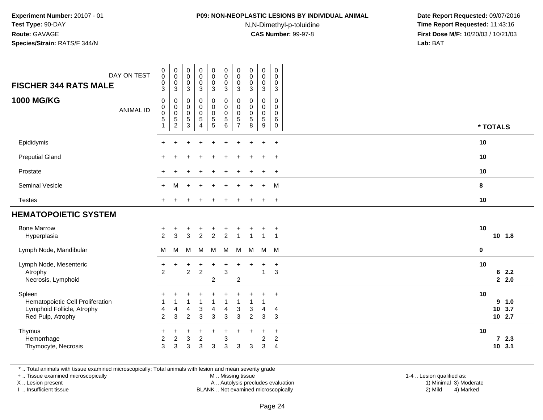### **P09: NON-NEOPLASTIC LESIONS BY INDIVIDUAL ANIMAL**

N,N-Dimethyl-p-toluidine

 **Date Report Requested:** 09/07/2016 **Time Report Requested:** 11:43:16 **First Dose M/F:** 10/20/03 / 10/21/03<br>**Lab:** BAT **Lab:** BAT

| DAY ON TEST<br><b>FISCHER 344 RATS MALE</b><br><b>1000 MG/KG</b>                              | $\pmb{0}$<br>$\pmb{0}$<br>$\pmb{0}$<br>3<br>0 | $_{\rm 0}^{\rm 0}$<br>$\frac{0}{3}$<br>$\pmb{0}$                     | $\pmb{0}$<br>$\mathbf 0$<br>$\pmb{0}$<br>$\mathbf{3}$<br>0 | $\begin{smallmatrix} 0\\0 \end{smallmatrix}$<br>$\mathbf 0$<br>$\mathbf{3}$<br>0 | $\pmb{0}$<br>$\mathbf 0$<br>$\pmb{0}$<br>$\overline{3}$<br>0 | 0<br>$\pmb{0}$<br>0<br>$\mathbf{3}$<br>$\mathbf 0$ | $\pmb{0}$<br>$\mathbf 0$<br>0<br>$\mathbf{3}$<br>$\mathbf 0$ | $_{\rm 0}^{\rm 0}$<br>$\pmb{0}$<br>$\mathfrak{Z}$<br>0 | $\begin{smallmatrix} 0\\0 \end{smallmatrix}$<br>$\mathbf 0$<br>$\mathbf{3}$<br>0 | $\mathbf 0$<br>$\mathbf 0$<br>$\pmb{0}$<br>$\mathbf{3}$<br>$\mathbf 0$ |             |                           |
|-----------------------------------------------------------------------------------------------|-----------------------------------------------|----------------------------------------------------------------------|------------------------------------------------------------|----------------------------------------------------------------------------------|--------------------------------------------------------------|----------------------------------------------------|--------------------------------------------------------------|--------------------------------------------------------|----------------------------------------------------------------------------------|------------------------------------------------------------------------|-------------|---------------------------|
| <b>ANIMAL ID</b>                                                                              | $\pmb{0}$<br>$\mathbf 0$<br>$\mathbf 5$<br>1  | $\pmb{0}$<br>$\ddot{\mathbf{0}}$<br>$\overline{5}$<br>$\overline{c}$ | $\pmb{0}$<br>$\mathbf 0$<br>$\overline{5}$<br>$\sqrt{3}$   | $\mathsf 0$<br>$\mathbf 0$<br>$\overline{5}$<br>$\overline{4}$                   | $\mathbf 0$<br>$\mathsf 0$<br>$\sqrt{5}$<br>$\sqrt{5}$       | $\pmb{0}$<br>$\mathbf 0$<br>5<br>6                 | 0<br>0<br>$\,$ 5 $\,$<br>$\overline{7}$                      | $\pmb{0}$<br>$\pmb{0}$<br>$\overline{5}$<br>8          | $\mathbf 0$<br>$\mathbf 0$<br>$\overline{5}$<br>9                                | $\mathbf 0$<br>$\mathbf 0$<br>6<br>$\mathbf 0$                         |             | * TOTALS                  |
| Epididymis                                                                                    | ÷                                             |                                                                      |                                                            |                                                                                  |                                                              |                                                    |                                                              |                                                        | $\ddot{}$                                                                        | $+$                                                                    | 10          |                           |
| <b>Preputial Gland</b>                                                                        | $+$                                           |                                                                      |                                                            |                                                                                  |                                                              |                                                    |                                                              |                                                        | $\pm$                                                                            | $+$                                                                    | 10          |                           |
| Prostate                                                                                      | ÷                                             |                                                                      |                                                            |                                                                                  |                                                              |                                                    |                                                              |                                                        | $\ddot{}$                                                                        | $+$                                                                    | 10          |                           |
| Seminal Vesicle                                                                               | $\ddot{}$                                     | м                                                                    | $\ddot{}$                                                  |                                                                                  |                                                              |                                                    |                                                              |                                                        | $\ddot{}$                                                                        | M                                                                      | 8           |                           |
| <b>Testes</b>                                                                                 | ÷                                             |                                                                      |                                                            |                                                                                  |                                                              |                                                    |                                                              |                                                        | $\ddot{}$                                                                        | $+$                                                                    | 10          |                           |
| <b>HEMATOPOIETIC SYSTEM</b>                                                                   |                                               |                                                                      |                                                            |                                                                                  |                                                              |                                                    |                                                              |                                                        |                                                                                  |                                                                        |             |                           |
| <b>Bone Marrow</b><br>Hyperplasia                                                             | +<br>$\overline{2}$                           | 3                                                                    | $\ddot{}$<br>3                                             | +<br>$\overline{2}$                                                              | 2                                                            | $\overline{2}$                                     |                                                              |                                                        | 1                                                                                | $\overline{+}$<br>-1                                                   | 10          | $10$ 1.8                  |
| Lymph Node, Mandibular                                                                        | M                                             | M                                                                    | M                                                          | м                                                                                | M                                                            | M                                                  | M                                                            | M                                                      | M                                                                                | M                                                                      | $\mathbf 0$ |                           |
| Lymph Node, Mesenteric<br>Atrophy<br>Necrosis, Lymphoid                                       | $\ddot{}$<br>$\overline{2}$                   | $\ddot{}$                                                            | $\ddot{}$<br>$\overline{2}$                                | $\ddot{}$<br>$\sqrt{2}$                                                          | $\ddot{}$<br>$\boldsymbol{2}$                                | $\ddot{}$<br>$\ensuremath{\mathsf{3}}$             | $\overline{c}$                                               | $\ddot{}$                                              | $\ddot{}$<br>1                                                                   | $+$<br>$\sqrt{3}$                                                      | 10          | 62.2<br>$2 \quad 2.0$     |
| Spleen<br>Hematopoietic Cell Proliferation<br>Lymphoid Follicle, Atrophy<br>Red Pulp, Atrophy | +<br>4<br>$\overline{2}$                      | 4<br>3                                                               | 4<br>$\overline{2}$                                        | 3<br>3                                                                           | 1<br>4<br>3                                                  | 1<br>4<br>3                                        | 3<br>3                                                       | 3<br>$\overline{2}$                                    | 1<br>4<br>$\mathbf{3}$                                                           | $\ddot{}$<br>4<br>3                                                    | 10          | 9 1.0<br>10 3.7<br>10 2.7 |
| Thymus<br>Hemorrhage<br>Thymocyte, Necrosis                                                   | $\ddot{}$<br>$\overline{c}$<br>3              | $\ddot{}$<br>$\boldsymbol{2}$<br>3                                   | $\ddot{}$<br>$\ensuremath{\mathsf{3}}$<br>3                | +<br>$\boldsymbol{2}$<br>$\mathbf{3}$                                            | +<br>3                                                       | $\ddot{}$<br>3<br>3                                | $\ddot{}$<br>3                                               | $\ddot{}$<br>$\sqrt{3}$                                | $\ddot{}$<br>$\overline{\mathbf{c}}$<br>3                                        | $\ddot{}$<br>$\overline{c}$<br>$\overline{4}$                          | 10          | 72.3<br>10 3.1            |

\* .. Total animals with tissue examined microscopically; Total animals with lesion and mean severity grade

+ .. Tissue examined microscopically

X .. Lesion present

I .. Insufficient tissue

M .. Missing tissue

Lesion present A .. Autolysis precludes evaluation 1) Minimal 3) Moderate

 1-4 .. Lesion qualified as: BLANK .. Not examined microscopically 2) Mild 4) Marked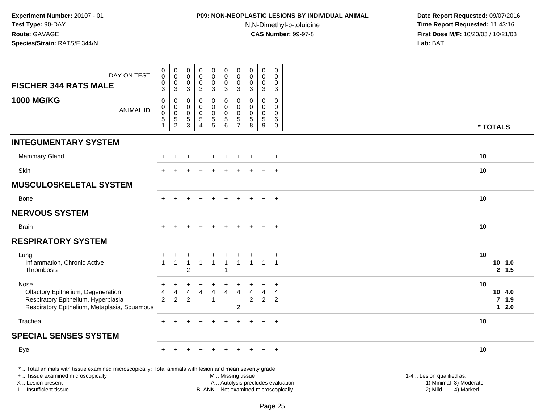# **P09: NON-NEOPLASTIC LESIONS BY INDIVIDUAL ANIMAL**N,N-Dimethyl-p-toluidine

| DAY ON TEST                                                                                                                                                                                   | $\mathbf 0$<br>0<br>$\mathbf 0$                                     | $\pmb{0}$<br>$\mathbf 0$<br>$\mathbf 0$    | $\pmb{0}$<br>$\pmb{0}$<br>$\mathbf 0$                      | $_{\rm 0}^{\rm 0}$<br>$\mathbf 0$                                | 0<br>0<br>$\mathbf 0$                                  | $\pmb{0}$<br>$\mathsf{O}\xspace$<br>$\mathbf 0$                          | $\pmb{0}$<br>$\mathbf 0$<br>$\mathbf 0$                                   | $\mathbf 0$<br>$\mathbf 0$<br>$\mathbf 0$          | $\pmb{0}$<br>0<br>$\mathbf 0$                | $\mathbf 0$<br>$\Omega$<br>$\Omega$              |                                                                                                                                                         |
|-----------------------------------------------------------------------------------------------------------------------------------------------------------------------------------------------|---------------------------------------------------------------------|--------------------------------------------|------------------------------------------------------------|------------------------------------------------------------------|--------------------------------------------------------|--------------------------------------------------------------------------|---------------------------------------------------------------------------|----------------------------------------------------|----------------------------------------------|--------------------------------------------------|---------------------------------------------------------------------------------------------------------------------------------------------------------|
| <b>FISCHER 344 RATS MALE</b>                                                                                                                                                                  | 3                                                                   | 3                                          | $\mathbf{3}$                                               | $\mathbf{3}$                                                     | 3                                                      | 3                                                                        | 3                                                                         | 3                                                  | 3                                            | 3                                                |                                                                                                                                                         |
| <b>1000 MG/KG</b><br><b>ANIMAL ID</b>                                                                                                                                                         | $\pmb{0}$<br>$\mathbf 0$<br>$\pmb{0}$<br>$\sqrt{5}$<br>$\mathbf{1}$ | 0<br>0<br>$\pmb{0}$<br>5<br>$\overline{2}$ | $\mathbf 0$<br>$\mathbf 0$<br>$\pmb{0}$<br>$\sqrt{5}$<br>3 | $\mathsf 0$<br>$\mathbf 0$<br>$\mathsf 0$<br>5<br>$\overline{4}$ | 0<br>$\mathbf 0$<br>$\mathsf 0$<br>5<br>$\overline{5}$ | $\mathbf 0$<br>$\pmb{0}$<br>$\mathbf 0$<br>$\sqrt{5}$<br>$6\phantom{1}6$ | $\mathbf 0$<br>$\mathbf 0$<br>$\mathbf 0$<br>$\sqrt{5}$<br>$\overline{7}$ | $\mathbf 0$<br>0<br>$\mathbf 0$<br>$\sqrt{5}$<br>8 | 0<br>0<br>$\mathbf 0$<br>$\overline{5}$<br>9 | 0<br>$\mathbf 0$<br>$\Omega$<br>6<br>$\mathbf 0$ | * TOTALS                                                                                                                                                |
|                                                                                                                                                                                               |                                                                     |                                            |                                                            |                                                                  |                                                        |                                                                          |                                                                           |                                                    |                                              |                                                  |                                                                                                                                                         |
| <b>INTEGUMENTARY SYSTEM</b>                                                                                                                                                                   |                                                                     |                                            |                                                            |                                                                  |                                                        |                                                                          |                                                                           |                                                    |                                              |                                                  |                                                                                                                                                         |
| <b>Mammary Gland</b>                                                                                                                                                                          |                                                                     |                                            |                                                            |                                                                  |                                                        |                                                                          |                                                                           |                                                    |                                              | $\ddot{}$                                        | 10                                                                                                                                                      |
| <b>Skin</b>                                                                                                                                                                                   |                                                                     |                                            |                                                            |                                                                  |                                                        |                                                                          |                                                                           |                                                    |                                              | $\ddot{}$                                        | 10                                                                                                                                                      |
| <b>MUSCULOSKELETAL SYSTEM</b>                                                                                                                                                                 |                                                                     |                                            |                                                            |                                                                  |                                                        |                                                                          |                                                                           |                                                    |                                              |                                                  |                                                                                                                                                         |
| Bone                                                                                                                                                                                          | $+$                                                                 |                                            |                                                            | $+$                                                              | $\ddot{}$                                              | $+$                                                                      |                                                                           |                                                    | $\pm$                                        | $+$                                              | 10                                                                                                                                                      |
| <b>NERVOUS SYSTEM</b>                                                                                                                                                                         |                                                                     |                                            |                                                            |                                                                  |                                                        |                                                                          |                                                                           |                                                    |                                              |                                                  |                                                                                                                                                         |
| <b>Brain</b>                                                                                                                                                                                  |                                                                     |                                            |                                                            |                                                                  |                                                        |                                                                          |                                                                           |                                                    | $\ddot{}$                                    | $+$                                              | 10                                                                                                                                                      |
| <b>RESPIRATORY SYSTEM</b>                                                                                                                                                                     |                                                                     |                                            |                                                            |                                                                  |                                                        |                                                                          |                                                                           |                                                    |                                              |                                                  |                                                                                                                                                         |
| Lung<br>Inflammation, Chronic Active<br>Thrombosis                                                                                                                                            | $\mathbf{1}$                                                        | $\mathbf{1}$                               | $\overline{2}$                                             | $\mathbf{1}$                                                     | +<br>$\mathbf{1}$                                      | $\overline{1}$<br>$\overline{1}$                                         | +<br>$\mathbf{1}$                                                         | $\mathbf{1}$                                       | $\mathbf{1}$                                 | $^{+}$<br>$\overline{1}$                         | 10<br>$10$ 1.0<br>2, 1.5                                                                                                                                |
| Nose<br>Olfactory Epithelium, Degeneration<br>Respiratory Epithelium, Hyperplasia<br>Respiratory Epithelium, Metaplasia, Squamous                                                             | $\overline{4}$<br>2                                                 | 4<br>$\overline{2}$                        | 4<br>$\overline{2}$                                        | $\overline{4}$                                                   | 4<br>-1                                                | 4                                                                        | $\overline{4}$<br>$\overline{\mathbf{c}}$                                 | 4<br>$\overline{2}$                                | $\overline{4}$<br>$\overline{2}$             | $\overline{4}$<br>$\overline{2}$                 | 10<br>10 4.0<br>$7$ 1.9<br>$12.0$                                                                                                                       |
| Trachea                                                                                                                                                                                       | $+$                                                                 | $\ddot{}$                                  | $+$                                                        | $+$                                                              | $+$                                                    | $\pm$                                                                    | $+$                                                                       | $+$                                                | $+$                                          | $+$                                              | 10                                                                                                                                                      |
| <b>SPECIAL SENSES SYSTEM</b>                                                                                                                                                                  |                                                                     |                                            |                                                            |                                                                  |                                                        |                                                                          |                                                                           |                                                    |                                              |                                                  |                                                                                                                                                         |
| Eye                                                                                                                                                                                           |                                                                     |                                            |                                                            |                                                                  |                                                        |                                                                          |                                                                           |                                                    |                                              | $\ddot{}$                                        | 10                                                                                                                                                      |
| *  Total animals with tissue examined microscopically; Total animals with lesion and mean severity grade<br>+  Tissue examined microscopically<br>X  Lesion present<br>I. Insufficient tissue |                                                                     |                                            |                                                            |                                                                  |                                                        | M  Missing tissue                                                        |                                                                           |                                                    |                                              |                                                  | 1-4  Lesion qualified as:<br>A  Autolysis precludes evaluation<br>1) Minimal 3) Moderate<br>BLANK  Not examined microscopically<br>2) Mild<br>4) Marked |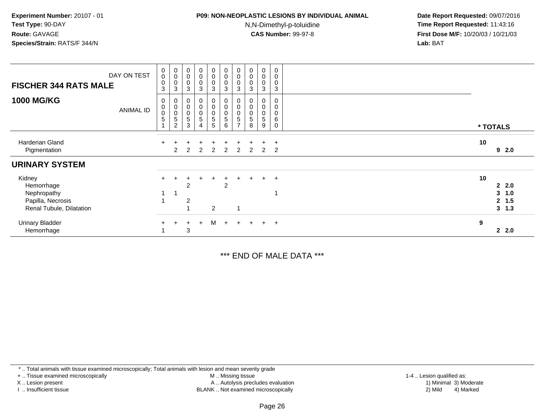## **P09: NON-NEOPLASTIC LESIONS BY INDIVIDUAL ANIMAL**

N,N-Dimethyl-p-toluidine

 **Date Report Requested:** 09/07/2016 **Time Report Requested:** 11:43:16 **First Dose M/F:** 10/20/03 / 10/21/03<br>**Lab:** BAT **Lab:** BAT

| <b>FISCHER 344 RATS MALE</b>                                                         | DAY ON TEST      | $\pmb{0}$<br>$\pmb{0}$<br>$\pmb{0}$<br>3 | $\begin{matrix}0\\0\\0\end{matrix}$<br>3                                        | $\begin{smallmatrix}0\\0\\0\end{smallmatrix}$<br>$\mathbf{3}$                   | $\begin{smallmatrix}0\\0\\0\end{smallmatrix}$<br>$\mathbf{3}$    | $\begin{smallmatrix}0\0\0\0\end{smallmatrix}$<br>3   | $\pmb{0}$<br>$\begin{smallmatrix}0\0\0\end{smallmatrix}$<br>3 | $\begin{smallmatrix}0\\0\\0\end{smallmatrix}$<br>3           | $\begin{smallmatrix}0\\0\\0\end{smallmatrix}$<br>3 | $\pmb{0}$<br>$_{\rm 0}^{\rm 0}$<br>3 | 0<br>0<br>0<br>3                 |    |                                       |
|--------------------------------------------------------------------------------------|------------------|------------------------------------------|---------------------------------------------------------------------------------|---------------------------------------------------------------------------------|------------------------------------------------------------------|------------------------------------------------------|---------------------------------------------------------------|--------------------------------------------------------------|----------------------------------------------------|--------------------------------------|----------------------------------|----|---------------------------------------|
| <b>1000 MG/KG</b>                                                                    | <b>ANIMAL ID</b> | 0<br>$\mathbf 0$<br>$\mathbf 0$<br>5     | 0<br>$\pmb{0}$<br>$\begin{smallmatrix}0\0\0\end{smallmatrix}$<br>$\overline{c}$ | $\pmb{0}$<br>$\pmb{0}$<br>$\begin{array}{c} 0 \\ 5 \end{array}$<br>$\mathbf{3}$ | 0<br>$\begin{matrix} 0 \\ 0 \\ 5 \end{matrix}$<br>$\overline{4}$ | 0<br>0<br>$\begin{array}{c} 0 \\ 5 \end{array}$<br>5 | $\mathbf 0$<br>0<br>$\overline{5}$<br>6                       | $\pmb{0}$<br>$\mathbf 0$<br>$\overline{5}$<br>$\overline{ }$ | $\pmb{0}$<br>$\pmb{0}$<br>$\,$ 5 $\,$<br>8         | $\pmb{0}$<br>0<br>5<br>9             | $\mathbf 0$<br>0<br>0<br>6<br>0  |    | * TOTALS                              |
| Harderian Gland<br>Pigmentation                                                      |                  |                                          | $\mathcal{P}$                                                                   | $\mathcal{P}$                                                                   | 2                                                                | $\overline{2}$                                       | 2                                                             | 2                                                            | 2                                                  | 2                                    | $\overline{+}$<br>$\overline{2}$ | 10 | 92.0                                  |
| <b>URINARY SYSTEM</b>                                                                |                  |                                          |                                                                                 |                                                                                 |                                                                  |                                                      |                                                               |                                                              |                                                    |                                      |                                  |    |                                       |
| Kidney<br>Hemorrhage<br>Nephropathy<br>Papilla, Necrosis<br>Renal Tubule, Dilatation |                  |                                          |                                                                                 | 2<br>$\overline{2}$                                                             |                                                                  | $\div$<br>$\overline{2}$                             | $+$<br>$\overline{2}$                                         | $+$                                                          | $+$                                                |                                      | $+$ $+$                          | 10 | 22.0<br>3, 1.0<br>2, 1.5<br>$3 \t1.3$ |
| <b>Urinary Bladder</b><br>Hemorrhage                                                 |                  | $+$                                      | $\ddot{}$                                                                       | $+$<br>3                                                                        | $+$                                                              | М                                                    | $+$                                                           | $+$                                                          | $+$                                                |                                      | $+$ $+$                          | 9  | 22.0                                  |

\*\*\* END OF MALE DATA \*\*\*

\* .. Total animals with tissue examined microscopically; Total animals with lesion and mean severity grade

+ .. Tissue examined microscopically

X .. Lesion present

I .. Insufficient tissue

 M .. Missing tissueA .. Autolysis precludes evaluation

BLANK .. Not examined microscopically 2) Mild 4) Marked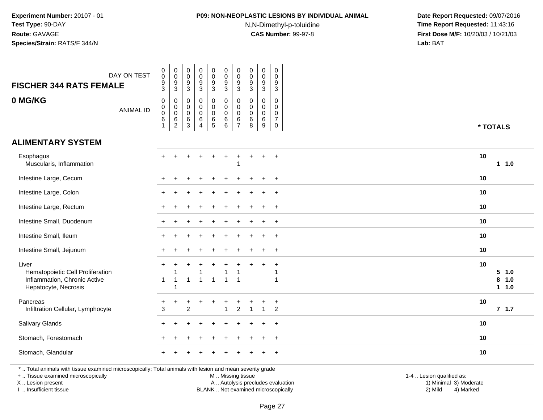## **P09: NON-NEOPLASTIC LESIONS BY INDIVIDUAL ANIMAL**

N,N-Dimethyl-p-toluidine

 **Date Report Requested:** 09/07/2016 **Time Report Requested:** 11:43:16 **First Dose M/F:** 10/20/03 / 10/21/03<br>**Lab:** BAT **Lab:** BAT

| <b>FISCHER 344 RATS FEMALE</b>                                                                           | DAY ON TEST      | $\pmb{0}$<br>$\mathsf{O}\xspace$<br>9<br>$\mathbf{3}$         | $\,0\,$<br>$\pmb{0}$<br>$\boldsymbol{9}$<br>$\mathsf 3$                 | 0<br>0<br>9<br>3                          | $\pmb{0}$<br>$\mathbf 0$<br>9<br>$\ensuremath{\mathsf{3}}$      | $\pmb{0}$<br>$\pmb{0}$<br>9<br>$\mathbf{3}$ | $\mathbf 0$<br>$\mathbf 0$<br>9<br>3              | $\pmb{0}$<br>$\pmb{0}$<br>$9\,$<br>3                                 | $\pmb{0}$<br>$\pmb{0}$<br>$\boldsymbol{9}$<br>$\mathbf 3$ | $\mathsf 0$<br>$\mathbf 0$<br>$9\,$<br>$\mathbf{3}$       | $\mathbf 0$<br>$\mathbf 0$<br>9<br>$\mathbf{3}$                         |                                         |    |                           |
|----------------------------------------------------------------------------------------------------------|------------------|---------------------------------------------------------------|-------------------------------------------------------------------------|-------------------------------------------|-----------------------------------------------------------------|---------------------------------------------|---------------------------------------------------|----------------------------------------------------------------------|-----------------------------------------------------------|-----------------------------------------------------------|-------------------------------------------------------------------------|-----------------------------------------|----|---------------------------|
| 0 MG/KG                                                                                                  | <b>ANIMAL ID</b> | $\pmb{0}$<br>$\overline{0}$<br>0<br>$\,6\,$<br>$\overline{1}$ | $\pmb{0}$<br>$\mathbf 0$<br>$\overline{0}$<br>$\,6\,$<br>$\overline{2}$ | 0<br>$\mathbf 0$<br>$\mathbf 0$<br>6<br>3 | 0<br>$\mathbf 0$<br>$\Omega$<br>$\,6$<br>$\boldsymbol{\Lambda}$ | 0<br>$\mathbf 0$<br>0<br>6<br>5             | $\pmb{0}$<br>$\mathbf 0$<br>$\mathbf 0$<br>6<br>6 | $\mathbf 0$<br>$\pmb{0}$<br>$\mathbf 0$<br>$\,6\,$<br>$\overline{7}$ | $\mathbf 0$<br>$\mathbf 0$<br>$\mathbf 0$<br>$\,6\,$<br>8 | $\mathbf 0$<br>$\mathbf 0$<br>$\mathbf 0$<br>$\,6\,$<br>9 | $\mathbf 0$<br>$\Omega$<br>$\mathbf 0$<br>$\overline{7}$<br>$\mathbf 0$ |                                         |    | * TOTALS                  |
| <b>ALIMENTARY SYSTEM</b>                                                                                 |                  |                                                               |                                                                         |                                           |                                                                 |                                             |                                                   |                                                                      |                                                           |                                                           |                                                                         |                                         |    |                           |
| Esophagus<br>Muscularis, Inflammation                                                                    |                  |                                                               |                                                                         |                                           |                                                                 |                                             |                                                   | 1                                                                    |                                                           |                                                           | $\overline{+}$                                                          |                                         | 10 | $1 1.0$                   |
| Intestine Large, Cecum                                                                                   |                  |                                                               |                                                                         |                                           |                                                                 |                                             |                                                   |                                                                      |                                                           |                                                           | $\ddot{}$                                                               |                                         | 10 |                           |
| Intestine Large, Colon                                                                                   |                  |                                                               |                                                                         |                                           |                                                                 |                                             |                                                   |                                                                      |                                                           |                                                           | $\ddot{}$                                                               |                                         | 10 |                           |
| Intestine Large, Rectum                                                                                  |                  |                                                               |                                                                         |                                           |                                                                 |                                             |                                                   |                                                                      |                                                           |                                                           | $+$                                                                     |                                         | 10 |                           |
| Intestine Small, Duodenum                                                                                |                  |                                                               |                                                                         |                                           |                                                                 |                                             |                                                   |                                                                      |                                                           |                                                           | $\overline{+}$                                                          |                                         | 10 |                           |
| Intestine Small, Ileum                                                                                   |                  |                                                               |                                                                         |                                           |                                                                 |                                             |                                                   |                                                                      |                                                           |                                                           | $\overline{+}$                                                          |                                         | 10 |                           |
| Intestine Small, Jejunum                                                                                 |                  |                                                               |                                                                         |                                           |                                                                 |                                             |                                                   |                                                                      |                                                           |                                                           | $+$                                                                     |                                         | 10 |                           |
| Liver<br>Hematopoietic Cell Proliferation<br>Inflammation, Chronic Active<br>Hepatocyte, Necrosis        |                  | 1                                                             | $\overline{1}$<br>$\overline{1}$                                        | 1                                         | -1                                                              | $\overline{1}$                              | $\overline{ }$                                    | $\overline{\mathbf{1}}$                                              |                                                           |                                                           | $\ddot{}$<br>1<br>1                                                     |                                         | 10 | 5 1.0<br>8<br>1.0<br>11.0 |
| Pancreas<br>Infiltration Cellular, Lymphocyte                                                            |                  | $+$<br>3                                                      | $\ddot{}$                                                               | +<br>$\overline{2}$                       |                                                                 |                                             | $\ddot{}$                                         | ÷<br>$\overline{c}$                                                  |                                                           | 1                                                         | $\ddot{}$<br>$\overline{2}$                                             |                                         | 10 | 7.1.7                     |
| Salivary Glands                                                                                          |                  |                                                               |                                                                         |                                           |                                                                 |                                             |                                                   |                                                                      |                                                           |                                                           | $\ddot{}$                                                               |                                         | 10 |                           |
| Stomach, Forestomach                                                                                     |                  |                                                               |                                                                         |                                           |                                                                 |                                             |                                                   |                                                                      |                                                           |                                                           | $\ddot{}$                                                               |                                         | 10 |                           |
| Stomach, Glandular                                                                                       |                  |                                                               |                                                                         |                                           |                                                                 |                                             |                                                   |                                                                      |                                                           |                                                           | $\ddot{}$                                                               |                                         | 10 |                           |
| *  Total animals with tissue examined microscopically; Total animals with lesion and mean severity grade |                  |                                                               |                                                                         |                                           |                                                                 |                                             |                                                   |                                                                      |                                                           |                                                           |                                                                         | $\sim$ $\sim$ $\sim$ $\sim$<br>$\cdots$ |    |                           |

+ .. Tissue examined microscopically

X .. Lesion present

I .. Insufficient tissue

M .. Missing tissue

 Lesion present A .. Autolysis precludes evaluation 1) Minimal 3) ModerateBLANK .. Not examined microscopically 2) Mild 4) Marked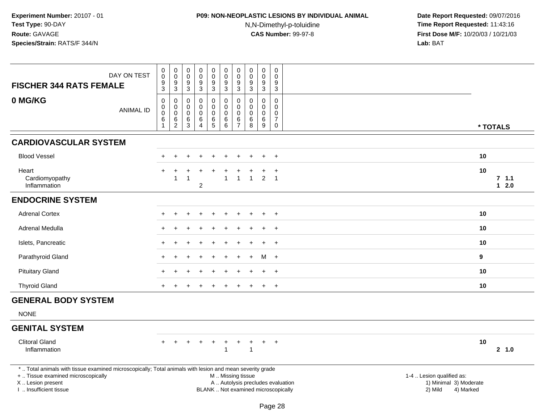# **P09: NON-NEOPLASTIC LESIONS BY INDIVIDUAL ANIMAL**

N,N-Dimethyl-p-toluidine

| <b>FISCHER 344 RATS FEMALE</b>                                                                                                                                                                | DAY ON TEST      | $_{\rm 0}^{\rm 0}$<br>$\boldsymbol{9}$<br>3 | $\mathsf{O}\xspace$<br>$\overline{0}$<br>$\boldsymbol{9}$<br>3       | $\pmb{0}$<br>0<br>$\boldsymbol{9}$<br>3 | $\begin{smallmatrix} 0\\0 \end{smallmatrix}$<br>$\overline{9}$<br>3            | $\pmb{0}$<br>$\mathbf 0$<br>$\boldsymbol{9}$<br>$\mathbf{3}$ | $\pmb{0}$<br>$\mathsf{O}\xspace$<br>$\boldsymbol{9}$<br>3       | $\pmb{0}$<br>$\mathbf 0$<br>9<br>3                  | $\mathbf 0$<br>0<br>$\boldsymbol{9}$<br>$\mathbf{3}$ | $_{\rm 0}^{\rm 0}$<br>$\boldsymbol{9}$<br>$\mathbf{3}$ | $\mathbf 0$<br>$\Omega$<br>9<br>3                                    |                                                                                                                                                         |                 |
|-----------------------------------------------------------------------------------------------------------------------------------------------------------------------------------------------|------------------|---------------------------------------------|----------------------------------------------------------------------|-----------------------------------------|--------------------------------------------------------------------------------|--------------------------------------------------------------|-----------------------------------------------------------------|-----------------------------------------------------|------------------------------------------------------|--------------------------------------------------------|----------------------------------------------------------------------|---------------------------------------------------------------------------------------------------------------------------------------------------------|-----------------|
| 0 MG/KG                                                                                                                                                                                       | <b>ANIMAL ID</b> | 0<br>$\overline{0}$<br>$\,6\,$<br>1         | $\mathbf 0$<br>$\mathbf 0$<br>$\mathsf 0$<br>$\,6$<br>$\overline{c}$ | $\Omega$<br>0<br>$\mathbf 0$<br>6<br>3  | $\mathbf 0$<br>$\mathbf 0$<br>$\mathbf 0$<br>$\,6\,$<br>$\boldsymbol{\Lambda}$ | 0<br>0<br>$\pmb{0}$<br>$\,6\,$<br>$\overline{5}$             | $\mathbf 0$<br>$\mathbf 0$<br>$\mathbf 0$<br>$\,6\,$<br>$\,6\,$ | $\Omega$<br>0<br>$\mathbf 0$<br>6<br>$\overline{7}$ | $\Omega$<br>$\Omega$<br>$\mathbf 0$<br>6<br>8        | $\mathbf 0$<br>0<br>$\pmb{0}$<br>$\,6\,$<br>$9\,$      | $\Omega$<br>$\mathbf 0$<br>$\Omega$<br>$\overline{7}$<br>$\mathbf 0$ | * TOTALS                                                                                                                                                |                 |
| <b>CARDIOVASCULAR SYSTEM</b>                                                                                                                                                                  |                  |                                             |                                                                      |                                         |                                                                                |                                                              |                                                                 |                                                     |                                                      |                                                        |                                                                      |                                                                                                                                                         |                 |
| <b>Blood Vessel</b>                                                                                                                                                                           |                  |                                             | $\ddot{}$                                                            |                                         |                                                                                | $\ddot{}$                                                    |                                                                 |                                                     |                                                      | $\ddot{}$                                              | $+$                                                                  | 10                                                                                                                                                      |                 |
| Heart<br>Cardiomyopathy<br>Inflammation                                                                                                                                                       |                  |                                             | 1                                                                    |                                         | 2                                                                              |                                                              |                                                                 |                                                     | $\mathbf{1}$                                         | $\overline{2}$                                         | $\ddot{}$<br>$\overline{1}$                                          | 10                                                                                                                                                      | 7.1.1<br>$12.0$ |
| <b>ENDOCRINE SYSTEM</b>                                                                                                                                                                       |                  |                                             |                                                                      |                                         |                                                                                |                                                              |                                                                 |                                                     |                                                      |                                                        |                                                                      |                                                                                                                                                         |                 |
| <b>Adrenal Cortex</b>                                                                                                                                                                         |                  |                                             |                                                                      |                                         |                                                                                |                                                              |                                                                 |                                                     |                                                      |                                                        | $\ddot{}$                                                            | 10                                                                                                                                                      |                 |
| Adrenal Medulla                                                                                                                                                                               |                  |                                             |                                                                      |                                         |                                                                                |                                                              |                                                                 |                                                     |                                                      |                                                        | $\div$                                                               | 10                                                                                                                                                      |                 |
| Islets, Pancreatic                                                                                                                                                                            |                  |                                             |                                                                      |                                         |                                                                                |                                                              |                                                                 |                                                     |                                                      |                                                        | $+$                                                                  | 10                                                                                                                                                      |                 |
| Parathyroid Gland                                                                                                                                                                             |                  |                                             |                                                                      |                                         |                                                                                |                                                              |                                                                 |                                                     |                                                      |                                                        | M +                                                                  | 9                                                                                                                                                       |                 |
| <b>Pituitary Gland</b>                                                                                                                                                                        |                  |                                             |                                                                      |                                         |                                                                                |                                                              |                                                                 |                                                     |                                                      | $\mathbf +$                                            | $\div$                                                               | 10                                                                                                                                                      |                 |
| <b>Thyroid Gland</b>                                                                                                                                                                          |                  |                                             |                                                                      |                                         |                                                                                |                                                              |                                                                 |                                                     |                                                      | $\ddot{}$                                              | $+$                                                                  | 10                                                                                                                                                      |                 |
| <b>GENERAL BODY SYSTEM</b>                                                                                                                                                                    |                  |                                             |                                                                      |                                         |                                                                                |                                                              |                                                                 |                                                     |                                                      |                                                        |                                                                      |                                                                                                                                                         |                 |
| <b>NONE</b>                                                                                                                                                                                   |                  |                                             |                                                                      |                                         |                                                                                |                                                              |                                                                 |                                                     |                                                      |                                                        |                                                                      |                                                                                                                                                         |                 |
| <b>GENITAL SYSTEM</b>                                                                                                                                                                         |                  |                                             |                                                                      |                                         |                                                                                |                                                              |                                                                 |                                                     |                                                      |                                                        |                                                                      |                                                                                                                                                         |                 |
| <b>Clitoral Gland</b><br>Inflammation                                                                                                                                                         |                  |                                             |                                                                      |                                         |                                                                                | ÷                                                            | 1                                                               |                                                     | -1                                                   | $+$                                                    | $+$                                                                  | 10                                                                                                                                                      | 2, 1.0          |
| *  Total animals with tissue examined microscopically; Total animals with lesion and mean severity grade<br>+  Tissue examined microscopically<br>X  Lesion present<br>I  Insufficient tissue |                  |                                             |                                                                      |                                         |                                                                                |                                                              |                                                                 |                                                     | M  Missing tissue                                    |                                                        |                                                                      | 1-4  Lesion qualified as:<br>A  Autolysis precludes evaluation<br>1) Minimal 3) Moderate<br>BLANK  Not examined microscopically<br>2) Mild<br>4) Marked |                 |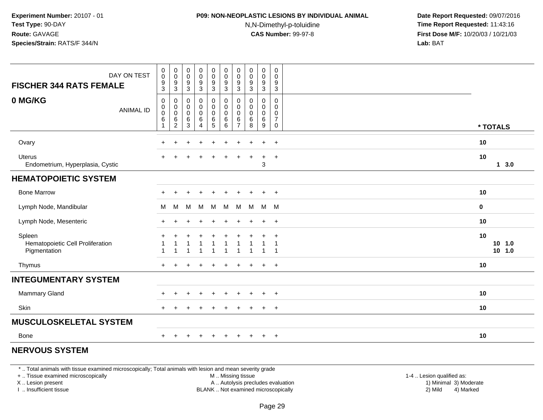# **P09: NON-NEOPLASTIC LESIONS BY INDIVIDUAL ANIMAL**

N,N-Dimethyl-p-toluidine

 **Date Report Requested:** 09/07/2016 **Time Report Requested:** 11:43:16 **First Dose M/F:** 10/20/03 / 10/21/03<br>**Lab:** BAT **Lab:** BAT

| DAY ON TEST<br><b>FISCHER 344 RATS FEMALE</b>              | $\begin{smallmatrix} 0\\0 \end{smallmatrix}$<br>$\frac{9}{3}$     | $\begin{smallmatrix}0\\0\end{smallmatrix}$<br>$\boldsymbol{9}$<br>$\overline{3}$ | 0<br>$\pmb{0}$<br>$\boldsymbol{9}$<br>$\sqrt{3}$ | $\begin{smallmatrix}0\0\0\end{smallmatrix}$<br>$\frac{9}{3}$    | $\begin{array}{c} 0 \\ 0 \\ 9 \\ 3 \end{array}$          | $\begin{matrix} 0 \\ 0 \\ 9 \\ 3 \end{matrix}$                    | $\pmb{0}$<br>0<br>$9\,$<br>$\mathbf{3}$             | $\pmb{0}$<br>$\mathbf 0$<br>$\boldsymbol{9}$<br>$\sqrt{3}$ | $\pmb{0}$<br>$\pmb{0}$<br>$\frac{9}{3}$ | $\mathbf 0$<br>$\mathbf 0$<br>$\boldsymbol{9}$<br>$\overline{3}$ |                            |
|------------------------------------------------------------|-------------------------------------------------------------------|----------------------------------------------------------------------------------|--------------------------------------------------|-----------------------------------------------------------------|----------------------------------------------------------|-------------------------------------------------------------------|-----------------------------------------------------|------------------------------------------------------------|-----------------------------------------|------------------------------------------------------------------|----------------------------|
| 0 MG/KG<br><b>ANIMAL ID</b>                                | $\mathbf 0$<br>$\boldsymbol{0}$<br>$\overline{0}$<br>$\,6\,$<br>1 | $\pmb{0}$<br>$\mathbf 0$<br>$\overline{0}$<br>$\,6\,$<br>$\overline{c}$          | 0<br>$\mathbf 0$<br>$\pmb{0}$<br>$\,6$           | 0<br>$\mathsf{O}$<br>$\mathsf{O}\xspace$<br>6<br>$\overline{4}$ | $\pmb{0}$<br>$\mathbf 0$<br>$\overline{0}$<br>$6\over 5$ | $\pmb{0}$<br>$\pmb{0}$<br>$\pmb{0}$<br>$\,6\,$<br>$6\phantom{1}6$ | 0<br>$\Omega$<br>$\mathbf 0$<br>6<br>$\overline{7}$ | $\mathbf 0$<br>$\Omega$<br>$\mathbf 0$<br>6                | 0<br>0<br>$\mathbf 0$<br>$\,6\,$<br>9   | $\mathbf 0$<br>$\Omega$<br>$\pmb{0}$<br>$\boldsymbol{7}$         |                            |
|                                                            |                                                                   |                                                                                  | 3                                                |                                                                 |                                                          |                                                                   |                                                     | 8                                                          |                                         | $\mathbf 0$                                                      | * TOTALS                   |
| Ovary                                                      | $\ddot{}$                                                         | $\ddot{}$                                                                        |                                                  | $\ddot{}$                                                       | $\ddot{}$                                                | $\ddot{}$                                                         | $\ddot{}$                                           |                                                            | $\ddot{}$                               | $+$                                                              | 10                         |
| <b>Uterus</b><br>Endometrium, Hyperplasia, Cystic          |                                                                   |                                                                                  |                                                  |                                                                 |                                                          |                                                                   |                                                     |                                                            | 3                                       | $\ddot{}$                                                        | 10<br>13.0                 |
| <b>HEMATOPOIETIC SYSTEM</b>                                |                                                                   |                                                                                  |                                                  |                                                                 |                                                          |                                                                   |                                                     |                                                            |                                         |                                                                  |                            |
| <b>Bone Marrow</b>                                         |                                                                   |                                                                                  |                                                  |                                                                 |                                                          |                                                                   |                                                     |                                                            | $\ddot{}$                               | $+$                                                              | 10                         |
| Lymph Node, Mandibular                                     | м                                                                 | M                                                                                | M                                                | M                                                               | M                                                        | M                                                                 | M                                                   |                                                            | M M M                                   |                                                                  | $\mathbf 0$                |
| Lymph Node, Mesenteric                                     |                                                                   |                                                                                  |                                                  |                                                                 |                                                          |                                                                   |                                                     |                                                            |                                         | $\ddot{}$                                                        | 10                         |
| Spleen<br>Hematopoietic Cell Proliferation<br>Pigmentation | -1                                                                | 1                                                                                |                                                  |                                                                 |                                                          |                                                                   | $\overline{\phantom{a}}$                            |                                                            | 1                                       | $\ddot{}$<br>$\overline{1}$                                      | 10<br>$10$ 1.0<br>$10$ 1.0 |
| Thymus                                                     |                                                                   |                                                                                  |                                                  |                                                                 | +                                                        |                                                                   |                                                     |                                                            | $\ddot{}$                               | $+$                                                              | 10                         |
| <b>INTEGUMENTARY SYSTEM</b>                                |                                                                   |                                                                                  |                                                  |                                                                 |                                                          |                                                                   |                                                     |                                                            |                                         |                                                                  |                            |
| Mammary Gland                                              |                                                                   |                                                                                  |                                                  |                                                                 |                                                          |                                                                   |                                                     |                                                            | $\ddot{}$                               | $+$                                                              | 10                         |
| Skin                                                       | $\ddot{}$                                                         |                                                                                  |                                                  |                                                                 |                                                          |                                                                   |                                                     |                                                            | $\ddot{}$                               | $+$                                                              | 10                         |
| <b>MUSCULOSKELETAL SYSTEM</b>                              |                                                                   |                                                                                  |                                                  |                                                                 |                                                          |                                                                   |                                                     |                                                            |                                         |                                                                  |                            |
| <b>Bone</b>                                                |                                                                   |                                                                                  |                                                  |                                                                 | $\pm$                                                    | $\div$                                                            | $\pm$                                               |                                                            | $\ddot{}$                               | $+$                                                              | 10                         |
| <b>NERVOUS SYSTEM</b>                                      |                                                                   |                                                                                  |                                                  |                                                                 |                                                          |                                                                   |                                                     |                                                            |                                         |                                                                  |                            |

#### **NERVOUS SYSTEM**

\* .. Total animals with tissue examined microscopically; Total animals with lesion and mean severity grade

+ .. Tissue examined microscopically

X .. Lesion present

I .. Insufficient tissue

 M .. Missing tissueA .. Autolysis precludes evaluation

 1-4 .. Lesion qualified as: BLANK .. Not examined microscopically 2) Mild 4) Marked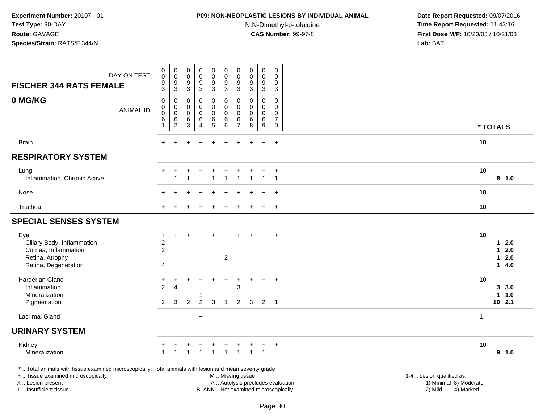### **P09: NON-NEOPLASTIC LESIONS BY INDIVIDUAL ANIMAL**

N,N-Dimethyl-p-toluidine

| <b>FISCHER 344 RATS FEMALE</b>                                                                                                                                                                | DAY ON TEST      | $\pmb{0}$<br>$\mathsf 0$<br>$\boldsymbol{9}$<br>$\mathbf{3}$     | $\overline{0}$<br>$\mathbf 0$<br>$\boldsymbol{9}$<br>$\sqrt{3}$ | $_{\rm 0}^{\rm 0}$<br>$\boldsymbol{9}$<br>$\ensuremath{\mathsf{3}}$ | $\begin{smallmatrix}0\0\0\9\end{smallmatrix}$<br>3 | $\begin{smallmatrix}0\0\0\9\end{smallmatrix}$<br>$\mathbf{3}$ | $_{\rm 0}^{\rm 0}$<br>$\boldsymbol{9}$<br>$\sqrt{3}$                    | $\pmb{0}$<br>$\mathbf 0$<br>9<br>$\sqrt{3}$          | $\pmb{0}$<br>$\mathbf 0$<br>9<br>$\sqrt{3}$      | $\pmb{0}$<br>$\mathbf 0$<br>$\boldsymbol{9}$<br>$\mathbf{3}$ | $\pmb{0}$<br>0<br>9<br>$\sqrt{3}$                                         |                                                                                                                                                         |                                          |                   |
|-----------------------------------------------------------------------------------------------------------------------------------------------------------------------------------------------|------------------|------------------------------------------------------------------|-----------------------------------------------------------------|---------------------------------------------------------------------|----------------------------------------------------|---------------------------------------------------------------|-------------------------------------------------------------------------|------------------------------------------------------|--------------------------------------------------|--------------------------------------------------------------|---------------------------------------------------------------------------|---------------------------------------------------------------------------------------------------------------------------------------------------------|------------------------------------------|-------------------|
| 0 MG/KG                                                                                                                                                                                       | <b>ANIMAL ID</b> | $\mathbf 0$<br>$\mathbf 0$<br>$\mathbf 0$<br>6<br>$\overline{1}$ | $\mathbf 0$<br>$\pmb{0}$<br>$\mathbf 0$<br>6<br>$\sqrt{2}$      | $\mathbf 0$<br>$\mathbf 0$<br>$\mathbf 0$<br>6<br>3                 | 0<br>0<br>0<br>6<br>$\overline{4}$                 | $\mathbf 0$<br>$\mathbf 0$<br>$\mathbf 0$<br>$^6$ 5           | $\mathbf 0$<br>$\mathbf 0$<br>$\mathbf 0$<br>$\,6\,$<br>$6\phantom{1}6$ | $\Omega$<br>0<br>$\mathbf{0}$<br>6<br>$\overline{7}$ | $\Omega$<br>$\mathbf 0$<br>$\mathbf 0$<br>6<br>8 | $\Omega$<br>0<br>$\mathbf 0$<br>$\,6\,$<br>$\boldsymbol{9}$  | $\Omega$<br>$\mathbf 0$<br>$\mathbf 0$<br>$\boldsymbol{7}$<br>$\mathbf 0$ | * TOTALS                                                                                                                                                |                                          |                   |
| <b>Brain</b>                                                                                                                                                                                  |                  | ÷                                                                |                                                                 |                                                                     |                                                    |                                                               |                                                                         |                                                      |                                                  | $\ddot{}$                                                    | $\ddot{}$                                                                 | 10                                                                                                                                                      |                                          |                   |
| <b>RESPIRATORY SYSTEM</b>                                                                                                                                                                     |                  |                                                                  |                                                                 |                                                                     |                                                    |                                                               |                                                                         |                                                      |                                                  |                                                              |                                                                           |                                                                                                                                                         |                                          |                   |
| Lung<br>Inflammation, Chronic Active                                                                                                                                                          |                  |                                                                  |                                                                 |                                                                     | +                                                  | $\ddot{}$                                                     |                                                                         |                                                      |                                                  | $\mathbf{1}$                                                 | $\overline{+}$<br>$\overline{1}$                                          | 10                                                                                                                                                      | 8 1.0                                    |                   |
| Nose                                                                                                                                                                                          |                  |                                                                  |                                                                 |                                                                     |                                                    |                                                               |                                                                         |                                                      |                                                  |                                                              | $\ddot{}$                                                                 | 10                                                                                                                                                      |                                          |                   |
| Trachea                                                                                                                                                                                       |                  |                                                                  |                                                                 |                                                                     |                                                    |                                                               |                                                                         |                                                      |                                                  | $\ddot{}$                                                    | $+$                                                                       | 10                                                                                                                                                      |                                          |                   |
| <b>SPECIAL SENSES SYSTEM</b>                                                                                                                                                                  |                  |                                                                  |                                                                 |                                                                     |                                                    |                                                               |                                                                         |                                                      |                                                  |                                                              |                                                                           |                                                                                                                                                         |                                          |                   |
| Eye<br>Ciliary Body, Inflammation<br>Cornea, Inflammation<br>Retina, Atrophy<br>Retina, Degeneration                                                                                          |                  | $\ddot{}$<br>$\sqrt{2}$<br>$\overline{2}$<br>4                   |                                                                 |                                                                     |                                                    |                                                               | $\overline{2}$                                                          |                                                      |                                                  |                                                              | $\ddot{}$                                                                 | 10                                                                                                                                                      | $\mathbf 1$<br>1.<br>$\mathbf 1$<br>14.0 | 2.0<br>2.0<br>2.0 |
| Harderian Gland<br>Inflammation<br>Mineralization<br>Pigmentation                                                                                                                             |                  | $\ddot{}$<br>$\overline{2}$<br>$\overline{2}$                    | +<br>$\overline{4}$<br>3                                        | $\overline{2}$                                                      | $\ddot{}$<br>-1<br>$\overline{2}$                  | +<br>3                                                        | $\ddot{}$<br>$\overline{1}$                                             | $\ddot{}$<br>3<br>$\overline{2}$                     | +<br>$\mathbf{3}$                                | $\ddot{}$<br>$\overline{2}$                                  | $+$<br>$\overline{1}$                                                     | 10                                                                                                                                                      | 3, 3.0<br>$\mathbf{1}$<br>$10$ 2.1       | 1.0               |
| <b>Lacrimal Gland</b>                                                                                                                                                                         |                  |                                                                  |                                                                 |                                                                     | $+$                                                |                                                               |                                                                         |                                                      |                                                  |                                                              |                                                                           | $\mathbf 1$                                                                                                                                             |                                          |                   |
| <b>URINARY SYSTEM</b>                                                                                                                                                                         |                  |                                                                  |                                                                 |                                                                     |                                                    |                                                               |                                                                         |                                                      |                                                  |                                                              |                                                                           |                                                                                                                                                         |                                          |                   |
| Kidney<br>Mineralization                                                                                                                                                                      |                  | $\overline{1}$                                                   | $\mathbf{1}$                                                    | $\mathbf 1$                                                         | $\mathbf{1}$                                       | $\mathbf{1}$                                                  | $\overline{1}$                                                          | $\mathbf{1}$                                         | $\mathbf{1}$                                     | $\overline{1}$                                               | $+$                                                                       | 10                                                                                                                                                      | 9 1.0                                    |                   |
| *  Total animals with tissue examined microscopically; Total animals with lesion and mean severity grade<br>+  Tissue examined microscopically<br>X  Lesion present<br>I  Insufficient tissue |                  |                                                                  |                                                                 |                                                                     |                                                    |                                                               | M  Missing tissue                                                       |                                                      |                                                  |                                                              |                                                                           | 1-4  Lesion qualified as:<br>A  Autolysis precludes evaluation<br>1) Minimal 3) Moderate<br>BLANK  Not examined microscopically<br>2) Mild<br>4) Marked |                                          |                   |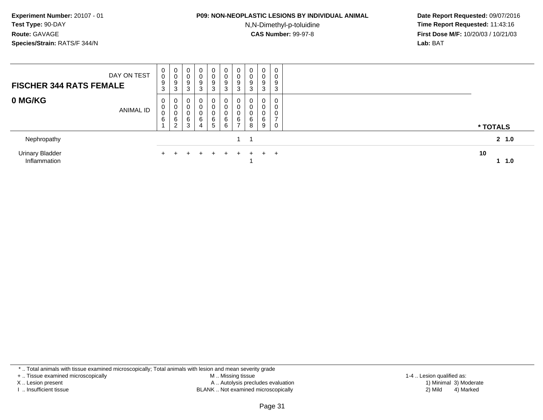### **P09: NON-NEOPLASTIC LESIONS BY INDIVIDUAL ANIMAL**

N,N-Dimethyl-p-toluidine

 **Date Report Requested:** 09/07/2016 **Time Report Requested:** 11:43:16 **First Dose M/F:** 10/20/03 / 10/21/03<br>**Lab:** BAT **Lab:** BAT

| <b>FISCHER 344 RATS FEMALE</b>  | DAY ON TEST      | U<br>υ<br>9<br>3 | 0<br>v<br>9<br>3                    | 0<br>υ<br>9<br>3          | 0<br>U<br>$\boldsymbol{9}$<br>3    | 0<br>0<br>$\boldsymbol{9}$<br>3    | 0<br>0<br>$\boldsymbol{9}$<br>3       | U<br>U<br>9<br>3 | 0<br>U<br>9<br>3 | $\overline{0}$<br>0<br>9<br>3 | 0<br>0<br>9<br>3                   |          |        |
|---------------------------------|------------------|------------------|-------------------------------------|---------------------------|------------------------------------|------------------------------------|---------------------------------------|------------------|------------------|-------------------------------|------------------------------------|----------|--------|
| 0 MG/KG                         | <b>ANIMAL ID</b> | 0<br>U<br>U<br>6 | v<br>U<br>◡<br>6<br>ົ<br>$\epsilon$ | 0<br>U<br>υ<br>$\,6$<br>3 | 0<br>0<br>0<br>6<br>$\overline{4}$ | 0<br>0<br>0<br>6<br>$\overline{5}$ | 0<br>$\mathbf 0$<br>0<br>$\,6\,$<br>6 | 6<br>-           | 0<br>6<br>8      | 0<br>0<br>0<br>6<br>9         | 0<br>0<br>0<br>$\overline{ }$<br>0 | * TOTALS |        |
| Nephropathy                     |                  |                  |                                     |                           |                                    |                                    |                                       |                  |                  |                               |                                    |          | 2, 1.0 |
| Urinary Bladder<br>Inflammation |                  | $+$              |                                     |                           | $+$                                | $+$                                | $+$                                   | $\pm$            | $+$              | $+$ $-$                       | $+$                                | 10       | 1.0    |

\* .. Total animals with tissue examined microscopically; Total animals with lesion and mean severity grade

+ .. Tissue examined microscopically

X .. Lesion present

I .. Insufficient tissue

 M .. Missing tissueA .. Autolysis precludes evaluation

BLANK .. Not examined microscopically 2) Mild 4) Marked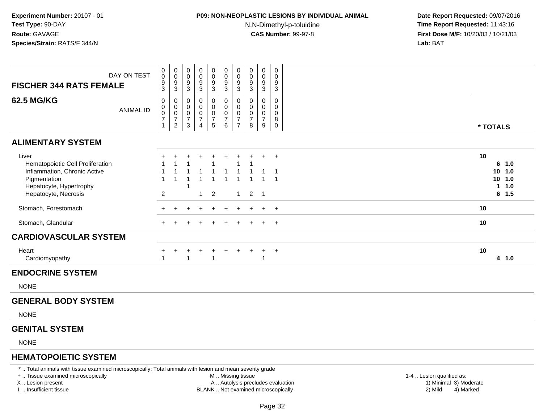# **P09: NON-NEOPLASTIC LESIONS BY INDIVIDUAL ANIMAL**

N,N-Dimethyl-p-toluidine

 **Date Report Requested:** 09/07/2016 **Time Report Requested:** 11:43:16 **First Dose M/F:** 10/20/03 / 10/21/03<br>**Lab:** BAT **Lab:** BAT

| DAY ON TEST<br><b>FISCHER 344 RATS FEMALE</b>                                                                                                | 0<br>$\ddot{\mathbf{0}}$<br>$\frac{9}{3}$                              | $\pmb{0}$<br>$\pmb{0}$<br>$\boldsymbol{9}$<br>$\sqrt{3}$ | 0<br>0<br>9<br>$\mathbf{3}$                                                       | 0<br>0<br>9<br>$\sqrt{3}$                                           | 0<br>$\begin{array}{c} 0 \\ 9 \\ 3 \end{array}$                   | 0<br>$\mathsf{O}\xspace$<br>$\overline{9}$<br>$\mathsf 3$                       | 0<br>$\ddot{\mathbf{0}}$<br>$\frac{9}{3}$                                           | 0<br>$\mathbf 0$<br>9<br>$\ensuremath{\mathsf{3}}$               | $\mathbf 0$<br>0<br>9<br>$\sqrt{3}$                                                  | 0<br>$\mathbf 0$<br>9<br>$\mathbf{3}$                       |                                                                     |
|----------------------------------------------------------------------------------------------------------------------------------------------|------------------------------------------------------------------------|----------------------------------------------------------|-----------------------------------------------------------------------------------|---------------------------------------------------------------------|-------------------------------------------------------------------|---------------------------------------------------------------------------------|-------------------------------------------------------------------------------------|------------------------------------------------------------------|--------------------------------------------------------------------------------------|-------------------------------------------------------------|---------------------------------------------------------------------|
| <b>62.5 MG/KG</b><br><b>ANIMAL ID</b>                                                                                                        | 0<br>$\boldsymbol{0}$<br>$\pmb{0}$<br>$\boldsymbol{7}$<br>$\mathbf{1}$ | 0<br>$\mathbf 0$<br>$\,0\,$<br>$\overline{7}$            | 0<br>0<br>$\mathsf{O}\xspace$<br>$\overline{7}$<br>$\overline{2}$<br>$\mathbf{3}$ | 0<br>$\mathbf 0$<br>$\pmb{0}$<br>$\boldsymbol{7}$<br>$\overline{4}$ | 0<br>$\pmb{0}$<br>$\pmb{0}$<br>$\boldsymbol{7}$<br>$\overline{5}$ | $\mathbf 0$<br>$\mathbf 0$<br>$\mathbf 0$<br>$\boldsymbol{7}$<br>$6\phantom{1}$ | $\mathbf 0$<br>$\ddot{\mathbf{0}}$<br>$\pmb{0}$<br>$\overline{7}$<br>$\overline{7}$ | $\mathbf 0$<br>$\mathbf 0$<br>$\mathbf 0$<br>$\overline{7}$<br>8 | $\mathbf 0$<br>$\mathbf 0$<br>$\boldsymbol{0}$<br>$\overline{7}$<br>$\boldsymbol{9}$ | $\mathbf 0$<br>$\mathbf 0$<br>0<br>8<br>$\mathsf{O}\xspace$ | * TOTALS                                                            |
| <b>ALIMENTARY SYSTEM</b>                                                                                                                     |                                                                        |                                                          |                                                                                   |                                                                     |                                                                   |                                                                                 |                                                                                     |                                                                  |                                                                                      |                                                             |                                                                     |
| Liver<br>Hematopoietic Cell Proliferation<br>Inflammation, Chronic Active<br>Pigmentation<br>Hepatocyte, Hypertrophy<br>Hepatocyte, Necrosis | $\mathbf{1}$<br>$\overline{2}$                                         |                                                          | 1                                                                                 | $\mathbf 1$                                                         | $\overline{2}$                                                    |                                                                                 | $\overline{1}$                                                                      | $\overline{2}$                                                   | $+$<br>$\overline{1}$                                                                | $^{+}$<br>-1                                                | 10<br>6, 1.0<br>10, 1.0<br>10, 1.0<br>1.0<br>$\mathbf 1$<br>$6$ 1.5 |
| Stomach, Forestomach                                                                                                                         | $+$                                                                    |                                                          |                                                                                   |                                                                     |                                                                   |                                                                                 |                                                                                     | $\ddot{}$                                                        | $+$                                                                                  | $+$                                                         | 10                                                                  |
| Stomach, Glandular                                                                                                                           | $\pm$                                                                  |                                                          |                                                                                   |                                                                     | $\pm$                                                             | $\pm$                                                                           |                                                                                     | $\ddot{}$                                                        | $+$                                                                                  | $+$                                                         | 10                                                                  |
| <b>CARDIOVASCULAR SYSTEM</b>                                                                                                                 |                                                                        |                                                          |                                                                                   |                                                                     |                                                                   |                                                                                 |                                                                                     |                                                                  |                                                                                      |                                                             |                                                                     |
| Heart<br>Cardiomyopathy                                                                                                                      | +<br>1                                                                 |                                                          | ÷<br>+<br>$\overline{1}$                                                          | $\ddot{}$                                                           | $\div$<br>$\overline{1}$                                          | $+$                                                                             | $\ddot{}$                                                                           | $\ddot{}$                                                        | $\ddot{}$                                                                            | $+$                                                         | 10<br>4 1.0                                                         |
| <b>ENDOCRINE SYSTEM</b>                                                                                                                      |                                                                        |                                                          |                                                                                   |                                                                     |                                                                   |                                                                                 |                                                                                     |                                                                  |                                                                                      |                                                             |                                                                     |
| <b>NONE</b>                                                                                                                                  |                                                                        |                                                          |                                                                                   |                                                                     |                                                                   |                                                                                 |                                                                                     |                                                                  |                                                                                      |                                                             |                                                                     |
| <b>GENERAL BODY SYSTEM</b>                                                                                                                   |                                                                        |                                                          |                                                                                   |                                                                     |                                                                   |                                                                                 |                                                                                     |                                                                  |                                                                                      |                                                             |                                                                     |
| <b>NONE</b>                                                                                                                                  |                                                                        |                                                          |                                                                                   |                                                                     |                                                                   |                                                                                 |                                                                                     |                                                                  |                                                                                      |                                                             |                                                                     |
| <b>GENITAL SYSTEM</b>                                                                                                                        |                                                                        |                                                          |                                                                                   |                                                                     |                                                                   |                                                                                 |                                                                                     |                                                                  |                                                                                      |                                                             |                                                                     |
| <b>NONE</b>                                                                                                                                  |                                                                        |                                                          |                                                                                   |                                                                     |                                                                   |                                                                                 |                                                                                     |                                                                  |                                                                                      |                                                             |                                                                     |
| <b>HEMATOPOIETIC SYSTEM</b>                                                                                                                  |                                                                        |                                                          |                                                                                   |                                                                     |                                                                   |                                                                                 |                                                                                     |                                                                  |                                                                                      |                                                             |                                                                     |

\* .. Total animals with tissue examined microscopically; Total animals with lesion and mean severity grade

+ .. Tissue examined microscopically

X .. Lesion present

I .. Insufficient tissue

M .. Missing tissue

A .. Autolysis precludes evaluation

BLANK .. Not examined microscopically 2) Mild 4) Marked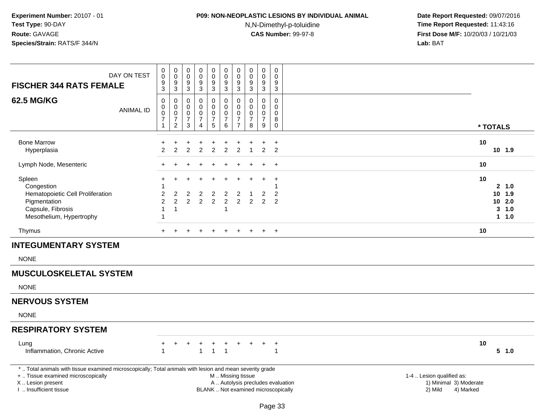# **P09: NON-NEOPLASTIC LESIONS BY INDIVIDUAL ANIMAL**

N,N-Dimethyl-p-toluidine

| DAY ON TEST<br><b>FISCHER 344 RATS FEMALE</b>                                                                                                                                                 | $\pmb{0}$<br>0<br>$\frac{9}{3}$                                   | $_{\rm 0}^{\rm 0}$<br>$\frac{9}{3}$                                         | $\boldsymbol{0}$<br>$\mathbf 0$<br>$\boldsymbol{9}$<br>$\mathsf 3$ | 0<br>$\mathbf 0$<br>9<br>$\sqrt{3}$                         | $\begin{smallmatrix}0\0\0\end{smallmatrix}$<br>$\frac{9}{3}$ | $\pmb{0}$<br>$\pmb{0}$<br>$\frac{9}{3}$                                                       | $_{\rm 0}^{\rm 0}$<br>$\frac{9}{3}$                                 | $\pmb{0}$<br>$\pmb{0}$<br>$\frac{9}{3}$              | $\pmb{0}$<br>$\mathbf 0$<br>$\boldsymbol{9}$<br>$\mathbf{3}$                  | $\pmb{0}$<br>$\mathbf 0$<br>$\boldsymbol{9}$<br>3  |                                                                             |                                                          |
|-----------------------------------------------------------------------------------------------------------------------------------------------------------------------------------------------|-------------------------------------------------------------------|-----------------------------------------------------------------------------|--------------------------------------------------------------------|-------------------------------------------------------------|--------------------------------------------------------------|-----------------------------------------------------------------------------------------------|---------------------------------------------------------------------|------------------------------------------------------|-------------------------------------------------------------------------------|----------------------------------------------------|-----------------------------------------------------------------------------|----------------------------------------------------------|
| <b>62.5 MG/KG</b><br><b>ANIMAL ID</b>                                                                                                                                                         | $\mathsf 0$<br>$\mathbf 0$<br>0<br>$\overline{7}$<br>$\mathbf{1}$ | $\mathbf 0$<br>$\pmb{0}$<br>$\pmb{0}$<br>$\boldsymbol{7}$<br>$\overline{2}$ | $\mathbf 0$<br>$\mathbf 0$<br>$\mathbf 0$<br>$\overline{7}$<br>3   | 0<br>$\mathbf 0$<br>0<br>$\boldsymbol{7}$<br>$\overline{4}$ | 0<br>$\mathbf 0$<br>$\pmb{0}$<br>$\frac{7}{5}$               | $\pmb{0}$<br>$\mathbf 0$<br>$\mathbf 0$<br>$\boldsymbol{7}$<br>6                              | 0<br>$\mathbf 0$<br>$\mathbf 0$<br>$\overline{7}$<br>$\overline{7}$ | 0<br>$\mathbf 0$<br>$\pmb{0}$<br>$\overline{7}$<br>8 | $\pmb{0}$<br>$\mathbf 0$<br>$\mathbf 0$<br>$\overline{7}$<br>$\boldsymbol{9}$ | 0<br>$\Omega$<br>$\mathbf 0$<br>8<br>$\pmb{0}$     |                                                                             | * TOTALS                                                 |
| <b>Bone Marrow</b><br>Hyperplasia                                                                                                                                                             | +<br>$\overline{2}$                                               | 2                                                                           | $\overline{2}$                                                     | $\overline{2}$                                              | $\ddot{}$<br>$\overline{2}$                                  | +<br>$\overline{2}$                                                                           | $\overline{2}$                                                      | $\overline{1}$                                       | $\overline{2}$                                                                | $\ddot{}$<br>$\overline{2}$                        |                                                                             | 10<br>10 1.9                                             |
| Lymph Node, Mesenteric                                                                                                                                                                        |                                                                   |                                                                             |                                                                    |                                                             |                                                              |                                                                                               |                                                                     |                                                      |                                                                               | $\ddot{}$                                          |                                                                             | 10                                                       |
| Spleen<br>Congestion<br>Hematopoietic Cell Proliferation<br>Pigmentation<br>Capsule, Fibrosis<br>Mesothelium, Hypertrophy                                                                     | $\overline{c}$<br>$\overline{c}$<br>$\mathbf{1}$<br>1             | $\overline{c}$<br>$\overline{2}$<br>$\overline{1}$                          | $\overline{\mathbf{c}}$<br>$\overline{2}$                          | $\overline{c}$<br>$\overline{c}$                            | $\overline{c}$<br>$\overline{2}$                             | $\overline{c}$<br>$\overline{2}$<br>1                                                         | $\boldsymbol{2}$<br>$\overline{2}$                                  | -1<br>$\overline{2}$                                 | $\overline{c}$<br>$\overline{2}$                                              | $\ddot{}$<br>1<br>$\overline{c}$<br>$\overline{2}$ |                                                                             | 10<br>2, 1.0<br>10 1.9<br>10 2.0<br>$3 - 1.0$<br>$1 1.0$ |
| Thymus                                                                                                                                                                                        |                                                                   |                                                                             |                                                                    |                                                             |                                                              |                                                                                               |                                                                     |                                                      | $+$                                                                           | $+$                                                |                                                                             | 10                                                       |
| <b>INTEGUMENTARY SYSTEM</b>                                                                                                                                                                   |                                                                   |                                                                             |                                                                    |                                                             |                                                              |                                                                                               |                                                                     |                                                      |                                                                               |                                                    |                                                                             |                                                          |
| <b>NONE</b>                                                                                                                                                                                   |                                                                   |                                                                             |                                                                    |                                                             |                                                              |                                                                                               |                                                                     |                                                      |                                                                               |                                                    |                                                                             |                                                          |
| <b>MUSCULOSKELETAL SYSTEM</b>                                                                                                                                                                 |                                                                   |                                                                             |                                                                    |                                                             |                                                              |                                                                                               |                                                                     |                                                      |                                                                               |                                                    |                                                                             |                                                          |
| <b>NONE</b>                                                                                                                                                                                   |                                                                   |                                                                             |                                                                    |                                                             |                                                              |                                                                                               |                                                                     |                                                      |                                                                               |                                                    |                                                                             |                                                          |
| <b>NERVOUS SYSTEM</b>                                                                                                                                                                         |                                                                   |                                                                             |                                                                    |                                                             |                                                              |                                                                                               |                                                                     |                                                      |                                                                               |                                                    |                                                                             |                                                          |
| <b>NONE</b>                                                                                                                                                                                   |                                                                   |                                                                             |                                                                    |                                                             |                                                              |                                                                                               |                                                                     |                                                      |                                                                               |                                                    |                                                                             |                                                          |
| <b>RESPIRATORY SYSTEM</b>                                                                                                                                                                     |                                                                   |                                                                             |                                                                    |                                                             |                                                              |                                                                                               |                                                                     |                                                      |                                                                               |                                                    |                                                                             |                                                          |
| Lung<br>Inflammation, Chronic Active                                                                                                                                                          | +                                                                 |                                                                             | +                                                                  | $\ddot{}$<br>1                                              | $\ddot{}$<br>$\overline{1}$                                  | $\ddot{}$<br>$\mathbf{1}$                                                                     | $\ddot{}$                                                           | $+$                                                  | $\ddot{}$                                                                     | $+$<br>$\mathbf{1}$                                |                                                                             | 10<br>5 1.0                                              |
| *  Total animals with tissue examined microscopically; Total animals with lesion and mean severity grade<br>+  Tissue examined microscopically<br>X  Lesion present<br>I. Insufficient tissue |                                                                   |                                                                             |                                                                    |                                                             |                                                              | M  Missing tissue<br>A  Autolysis precludes evaluation<br>BLANK  Not examined microscopically |                                                                     |                                                      |                                                                               |                                                    | 1-4  Lesion qualified as:<br>1) Minimal 3) Moderate<br>2) Mild<br>4) Marked |                                                          |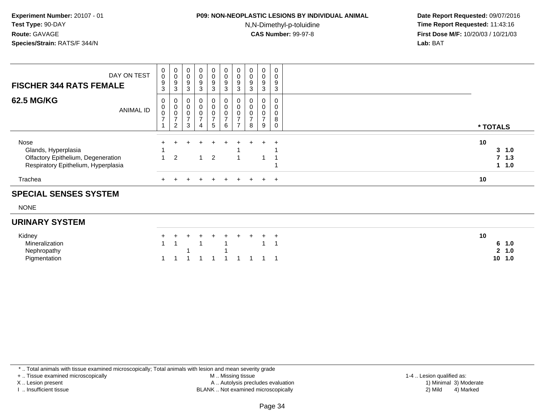## **P09: NON-NEOPLASTIC LESIONS BY INDIVIDUAL ANIMAL**N,N-Dimethyl-p-toluidine

 **Date Report Requested:** 09/07/2016 **Time Report Requested:** 11:43:16 **First Dose M/F:** 10/20/03 / 10/21/03<br>**Lab:** BAT **Lab:** BAT

| DAY ON TEST<br><b>FISCHER 344 RATS FEMALE</b>                                                            | $\,0\,$<br>$9\,$         | 0<br>0<br>9                                    | 0<br>$\mathbf 0$<br>$\boldsymbol{9}$                       | $\overline{0}$<br>$_{9}^{\rm 0}$                                                      | $\overline{0}$<br>$\overline{0}$<br>9                          | $\begin{smallmatrix}0\\0\\9\end{smallmatrix}$      | $\mathbf 0$<br>$\mathbf 0$<br>9 | 0<br>$\pmb{0}$<br>9 | $\mathbf{0}$<br>0<br>9 | 0<br>0<br>9           |                                |
|----------------------------------------------------------------------------------------------------------|--------------------------|------------------------------------------------|------------------------------------------------------------|---------------------------------------------------------------------------------------|----------------------------------------------------------------|----------------------------------------------------|---------------------------------|---------------------|------------------------|-----------------------|--------------------------------|
|                                                                                                          | 3                        | 3                                              | $\sqrt{3}$                                                 | $\sqrt{3}$                                                                            | $\mathbf{3}$                                                   | 3                                                  | 3                               | 3                   | 3                      | 3                     |                                |
| <b>62.5 MG/KG</b><br><b>ANIMAL ID</b>                                                                    | 0<br>0<br>$\overline{ }$ | 0<br>0<br>0<br>$\rightarrow$<br>$\overline{2}$ | 0<br>$\boldsymbol{0}$<br>$\mathbf 0$<br>$\rightarrow$<br>3 | $\overline{0}$<br>$\mathsf{O}\xspace$<br>$\pmb{0}$<br>$\rightarrow$<br>$\overline{4}$ | $\mathbf 0$<br>$\mathbf 0$<br>$\frac{0}{7}$<br>$5\overline{)}$ | 0<br>$\pmb{0}$<br>$\pmb{0}$<br>$\overline{z}$<br>6 | $\mathbf 0$<br>$\mathbf 0$      | 0<br>0<br>8         | 0<br>0<br>0<br>-<br>9  | 0<br>0<br>0<br>8<br>0 | * TOTALS                       |
| Nose<br>Glands, Hyperplasia<br>Olfactory Epithelium, Degeneration<br>Respiratory Epithelium, Hyperplasia |                          | $\mathcal{P}$                                  |                                                            | ÷                                                                                     | $+$<br>2                                                       | $+$                                                | $\div$                          | $+$                 | $+$                    | $\div$                | 10<br>3, 1.0<br>7, 1.3<br>11.0 |
| Trachea                                                                                                  | $+$                      |                                                |                                                            |                                                                                       | ÷                                                              | $+$                                                | $\div$                          | $+$                 | $+$                    | $+$                   | 10                             |

### **SPECIAL SENSES SYSTEM**

NONE

#### **URINARY SYSTEM**

| Kidney         |  | + + + + + + + + + + |  |  |  | 10        |  |
|----------------|--|---------------------|--|--|--|-----------|--|
| Mineralization |  | 1 1 1 1 1 1 1       |  |  |  | 1.0       |  |
| Nephropathy    |  |                     |  |  |  | $-1.0$    |  |
| Pigmentation   |  | 1 1 1 1 1 1 1 1 1 1 |  |  |  | 10<br>1.0 |  |

\* .. Total animals with tissue examined microscopically; Total animals with lesion and mean severity grade

+ .. Tissue examined microscopically

X .. Lesion present

I .. Insufficient tissue

 M .. Missing tissueA .. Autolysis precludes evaluation

BLANK .. Not examined microscopically 2) Mild 4) Marked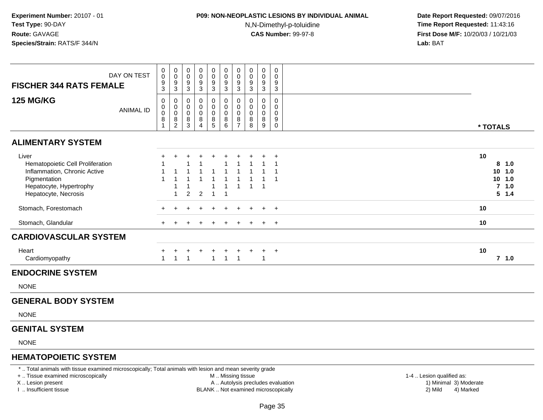# **P09: NON-NEOPLASTIC LESIONS BY INDIVIDUAL ANIMAL**

N,N-Dimethyl-p-toluidine

 **Date Report Requested:** 09/07/2016 **Time Report Requested:** 11:43:16 **First Dose M/F:** 10/20/03 / 10/21/03<br>**Lab:** BAT **Lab:** BAT

| DAY ON TEST<br><b>FISCHER 344 RATS FEMALE</b>                                                                                                | 0<br>$\mathsf{O}\xspace$<br>9<br>3 | $\begin{array}{c} 0 \\ 0 \\ 9 \\ 3 \end{array}$ | 0<br>$\mathbf 0$<br>9<br>3                             | 0<br>0<br>9<br>$\mathbf{3}$        | $\begin{array}{c} 0 \\ 0 \\ 9 \\ 3 \end{array}$              | $\begin{array}{c} 0 \\ 0 \\ 9 \\ 3 \end{array}$  | 0<br>$\mathbf 0$<br>$\frac{9}{3}$                            | $\pmb{0}$<br>$\mathbf 0$<br>9<br>3 | $\mathbf 0$<br>0<br>9<br>$\mathbf{3}$                    | 0<br>$\mathbf 0$<br>9<br>3                          |                                                             |
|----------------------------------------------------------------------------------------------------------------------------------------------|------------------------------------|-------------------------------------------------|--------------------------------------------------------|------------------------------------|--------------------------------------------------------------|--------------------------------------------------|--------------------------------------------------------------|------------------------------------|----------------------------------------------------------|-----------------------------------------------------|-------------------------------------------------------------|
| <b>125 MG/KG</b><br><b>ANIMAL ID</b>                                                                                                         | 0<br>0<br>$\pmb{0}$<br>8           | 0<br>$_{\rm 0}^{\rm 0}$<br>$\frac{8}{2}$        | 0<br>$\mathbf 0$<br>$\mathbf 0$<br>8<br>$\overline{3}$ | 0<br>0<br>0<br>8<br>$\overline{4}$ | 0<br>$\ddot{\mathbf{0}}$<br>$\pmb{0}$<br>$\overline{8}$<br>5 | 0<br>$\mathbf 0$<br>$\mathbf 0$<br>$\frac{8}{6}$ | 0<br>$\mathbf 0$<br>$\mathbf 0$<br>$\bf 8$<br>$\overline{7}$ | 0<br>0<br>$\mathbf 0$<br>8<br>8    | 0<br>$\mathbf 0$<br>$\mathbf 0$<br>8<br>$\boldsymbol{9}$ | 0<br>$\mathbf 0$<br>$\mathbf 0$<br>9<br>$\mathbf 0$ | * TOTALS                                                    |
| <b>ALIMENTARY SYSTEM</b>                                                                                                                     |                                    |                                                 |                                                        |                                    |                                                              |                                                  |                                                              |                                    |                                                          |                                                     |                                                             |
| Liver<br>Hematopoietic Cell Proliferation<br>Inflammation, Chronic Active<br>Pigmentation<br>Hepatocyte, Hypertrophy<br>Hepatocyte, Necrosis |                                    |                                                 | $\overline{2}$                                         | $\overline{c}$                     |                                                              |                                                  |                                                              |                                    |                                                          | $\ddot{}$                                           | 10<br>8 1.0<br>$10$ 1.0<br>$10$ 1.0<br>$7$ 1.0<br>$5 \t1.4$ |
| Stomach, Forestomach                                                                                                                         |                                    |                                                 |                                                        |                                    |                                                              |                                                  |                                                              |                                    |                                                          | $\overline{+}$                                      | 10                                                          |
| Stomach, Glandular                                                                                                                           | $\pm$                              |                                                 | $\pm$                                                  | $\pm$                              | $\div$                                                       | $\ddot{}$                                        | $\pm$                                                        | $\pm$                              | $+$                                                      | $+$                                                 | 10                                                          |
| <b>CARDIOVASCULAR SYSTEM</b>                                                                                                                 |                                    |                                                 |                                                        |                                    |                                                              |                                                  |                                                              |                                    |                                                          |                                                     |                                                             |
| Heart<br>Cardiomyopathy                                                                                                                      | $\mathbf{1}$                       | $\ddot{}$<br>$\overline{1}$                     | $\ddot{}$<br>$\overline{1}$                            | $+$                                | $\ddot{}$<br>$\overline{1}$                                  | $\ddot{}$                                        | $\ddot{}$<br>$1 \quad 1$                                     | $\ddot{}$                          | $+$<br>$\mathbf{1}$                                      | $+$                                                 | 10<br>$7$ 1.0                                               |
| <b>ENDOCRINE SYSTEM</b>                                                                                                                      |                                    |                                                 |                                                        |                                    |                                                              |                                                  |                                                              |                                    |                                                          |                                                     |                                                             |
| <b>NONE</b>                                                                                                                                  |                                    |                                                 |                                                        |                                    |                                                              |                                                  |                                                              |                                    |                                                          |                                                     |                                                             |
| <b>GENERAL BODY SYSTEM</b>                                                                                                                   |                                    |                                                 |                                                        |                                    |                                                              |                                                  |                                                              |                                    |                                                          |                                                     |                                                             |
| <b>NONE</b>                                                                                                                                  |                                    |                                                 |                                                        |                                    |                                                              |                                                  |                                                              |                                    |                                                          |                                                     |                                                             |
| <b>GENITAL SYSTEM</b>                                                                                                                        |                                    |                                                 |                                                        |                                    |                                                              |                                                  |                                                              |                                    |                                                          |                                                     |                                                             |
| <b>NONE</b>                                                                                                                                  |                                    |                                                 |                                                        |                                    |                                                              |                                                  |                                                              |                                    |                                                          |                                                     |                                                             |
| <b>HEMATOPOIETIC SYSTEM</b>                                                                                                                  |                                    |                                                 |                                                        |                                    |                                                              |                                                  |                                                              |                                    |                                                          |                                                     |                                                             |

\* .. Total animals with tissue examined microscopically; Total animals with lesion and mean severity grade

+ .. Tissue examined microscopically

X .. Lesion present

I .. Insufficient tissue

M .. Missing tissue

A .. Autolysis precludes evaluation

BLANK .. Not examined microscopically 2) Mild 4) Marked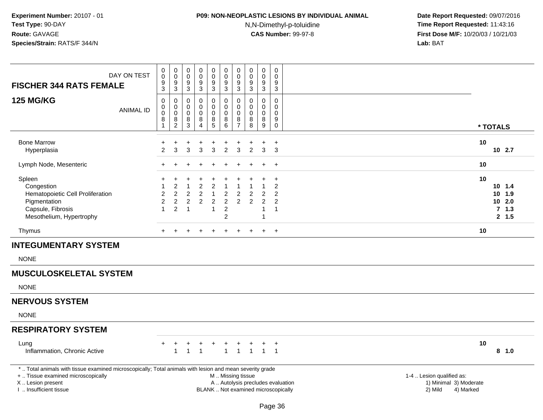### **P09: NON-NEOPLASTIC LESIONS BY INDIVIDUAL ANIMAL**

N,N-Dimethyl-p-toluidine

 **Date Report Requested:** 09/07/2016 **Time Report Requested:** 11:43:16 **First Dose M/F:** 10/20/03 / 10/21/03<br>**Lab:** BAT **Lab:** BAT

| DAY ON TEST<br><b>FISCHER 344 RATS FEMALE</b>                                                                                                               | $\mathbf 0$<br>$\mathsf{O}\xspace$<br>$\frac{9}{3}$ | $\pmb{0}$<br>$\mathbf 0$<br>9<br>3                     | $\mathbf 0$<br>0<br>9<br>3                         | $\mathbf 0$<br>$\pmb{0}$<br>9<br>3    | 0<br>0<br>9<br>3                                                   | $\pmb{0}$<br>$\pmb{0}$<br>$\frac{9}{3}$                 | $\mathbf 0$<br>$\pmb{0}$<br>9<br>3                         | 0<br>0<br>9<br>3                    | $\mathbf 0$<br>0<br>9<br>3                 | 0<br>0<br>9<br>3                                                   |                                                          |  |
|-------------------------------------------------------------------------------------------------------------------------------------------------------------|-----------------------------------------------------|--------------------------------------------------------|----------------------------------------------------|---------------------------------------|--------------------------------------------------------------------|---------------------------------------------------------|------------------------------------------------------------|-------------------------------------|--------------------------------------------|--------------------------------------------------------------------|----------------------------------------------------------|--|
| <b>125 MG/KG</b><br><b>ANIMAL ID</b>                                                                                                                        | 0<br>0<br>0<br>8                                    | $\mathbf 0$<br>0<br>$\mathbf 0$<br>8<br>$\overline{2}$ | 0<br>0<br>0<br>8<br>$\mathsf 3$                    | 0<br>0<br>0<br>8<br>4                 | 0<br>0<br>$\mathbf 0$<br>$\frac{8}{5}$                             | 0<br>$\mathbf 0$<br>0<br>$_{6}^{8}$                     | $\mathbf 0$<br>$\mathbf 0$<br>$\mathbf 0$<br>$\frac{8}{7}$ | 0<br>$\Omega$<br>$\Omega$<br>8<br>8 | $\mathbf 0$<br>$\mathbf 0$<br>0<br>8<br>9  | 0<br>0<br>0<br>9<br>0                                              | * TOTALS                                                 |  |
|                                                                                                                                                             |                                                     |                                                        |                                                    |                                       |                                                                    |                                                         |                                                            |                                     |                                            |                                                                    |                                                          |  |
| <b>Bone Marrow</b><br>Hyperplasia                                                                                                                           | +<br>$\overline{2}$                                 | 3                                                      | 3                                                  | 3                                     | $\ddot{}$<br>3                                                     | $\overline{2}$                                          | 3                                                          | $\overline{2}$                      | 3                                          | $\ddot{}$<br>3                                                     | 10<br>10 2.7                                             |  |
| Lymph Node, Mesenteric                                                                                                                                      | $+$                                                 |                                                        |                                                    |                                       | $\ddot{}$                                                          | $\ddot{}$                                               |                                                            |                                     | $\pm$                                      | $+$                                                                | 10                                                       |  |
| Spleen<br>Congestion<br>Hematopoietic Cell Proliferation<br>Pigmentation<br>Capsule, Fibrosis<br>Mesothelium, Hypertrophy                                   | $\overline{2}$<br>$\overline{c}$<br>$\mathbf{1}$    | $\overline{2}$<br>2<br>2                               | $\overline{c}$<br>$\overline{c}$<br>$\overline{1}$ | 2<br>$\overline{c}$<br>$\overline{c}$ | $\overline{2}$<br>$\mathbf{1}$<br>$\overline{c}$<br>$\overline{1}$ | $\overline{2}$<br>$\overline{2}$<br>$\overline{c}$<br>2 | 2<br>$\overline{2}$                                        | 2<br>$\overline{2}$                 | $\overline{c}$<br>$\overline{c}$<br>1<br>1 | $\ddot{}$<br>$\overline{c}$<br>2<br>$\overline{2}$<br>$\mathbf{1}$ | 10<br>$10$ 1.4<br>10 1.9<br>$10$ 2.0<br>7, 1.3<br>2, 1.5 |  |
| Thymus                                                                                                                                                      | $+$                                                 | $+$                                                    | $+$                                                | $\ddot{}$                             | $+$                                                                | $+$                                                     | $+$                                                        | $+$                                 | $+$                                        | $+$                                                                | 10                                                       |  |
| <b>INTEGUMENTARY SYSTEM</b>                                                                                                                                 |                                                     |                                                        |                                                    |                                       |                                                                    |                                                         |                                                            |                                     |                                            |                                                                    |                                                          |  |
| <b>NONE</b>                                                                                                                                                 |                                                     |                                                        |                                                    |                                       |                                                                    |                                                         |                                                            |                                     |                                            |                                                                    |                                                          |  |
| <b>MUSCULOSKELETAL SYSTEM</b>                                                                                                                               |                                                     |                                                        |                                                    |                                       |                                                                    |                                                         |                                                            |                                     |                                            |                                                                    |                                                          |  |
| <b>NONE</b>                                                                                                                                                 |                                                     |                                                        |                                                    |                                       |                                                                    |                                                         |                                                            |                                     |                                            |                                                                    |                                                          |  |
| <b>NERVOUS SYSTEM</b>                                                                                                                                       |                                                     |                                                        |                                                    |                                       |                                                                    |                                                         |                                                            |                                     |                                            |                                                                    |                                                          |  |
| <b>NONE</b>                                                                                                                                                 |                                                     |                                                        |                                                    |                                       |                                                                    |                                                         |                                                            |                                     |                                            |                                                                    |                                                          |  |
| <b>RESPIRATORY SYSTEM</b>                                                                                                                                   |                                                     |                                                        |                                                    |                                       |                                                                    |                                                         |                                                            |                                     |                                            |                                                                    |                                                          |  |
| Lung<br>Inflammation, Chronic Active                                                                                                                        | $+$                                                 | $\ddot{}$<br>1                                         | +<br>$\mathbf{1}$                                  | $\overline{1}$                        | $\ddot{}$                                                          | $\ddot{}$<br>$\mathbf{1}$                               | $+$<br>$\overline{1}$                                      | $\overline{1}$                      |                                            | $+$ $+$<br>$1 \quad 1$                                             | 10<br>8 1.0                                              |  |
| *  Total animals with tissue examined microscopically; Total animals with lesion and mean severity grade<br>The sure is considered as forested as families. |                                                     |                                                        |                                                    |                                       |                                                                    | <b>MARA</b> Material Alex                               |                                                            |                                     |                                            |                                                                    | A A I distance in a lift and some                        |  |

+ .. Tissue examined microscopicallyX .. Lesion present

I .. Insufficient tissue

- M .. Missing tissueA .. Autolysis precludes evaluation
- BLANK .. Not examined microscopically 2) Mild 4) Marked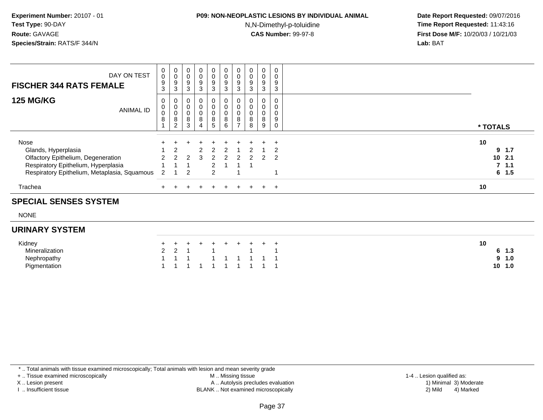# **P09: NON-NEOPLASTIC LESIONS BY INDIVIDUAL ANIMAL**

N,N-Dimethyl-p-toluidine

 **Date Report Requested:** 09/07/2016 **Time Report Requested:** 11:43:16 **First Dose M/F:** 10/20/03 / 10/21/03<br>**Lab:** BAT **Lab:** BAT

| DAY ON TEST<br><b>FISCHER 344 RATS FEMALE</b> | $\mathbf{0}$<br>0<br>9<br>3 | 0<br>$\,0\,$<br>9<br>3                       | $\mathbf 0$<br>$\pmb{0}$<br>9<br>3 | 0<br>0<br>$\boldsymbol{9}$<br>$\mathbf{3}$ | 0<br>0<br>9<br>$\mathbf{3}$ | 0<br>$\frac{0}{9}$<br>$\mathbf{3}$              | 0<br>0<br>9<br>3                   | $\mathbf 0$<br>9<br>3 | 0<br>$\pmb{0}$<br>$\boldsymbol{9}$<br>3 | 0<br>0<br>9<br>3 |           |
|-----------------------------------------------|-----------------------------|----------------------------------------------|------------------------------------|--------------------------------------------|-----------------------------|-------------------------------------------------|------------------------------------|-----------------------|-----------------------------------------|------------------|-----------|
| <b>125 MG/KG</b><br><b>ANIMAL ID</b>          | 0<br>0<br>0<br>8            | 0<br>$\mathbf 0$<br>0<br>8<br>$\overline{2}$ | 0<br>$\mathbf 0$<br>8<br>3         | $\overline{0}$<br>0<br>0<br>8<br>4         | 0<br>0<br>0<br>8<br>5       | 0<br>$\pmb{0}$<br>$_{\rm 8}^{\rm 0}$<br>$\,6\,$ | 0<br>0<br>0<br>8<br>$\overline{ }$ | 8<br>8                | 0<br>$\mathbf 0$<br>$\pmb{0}$<br>8<br>9 | 0<br>0<br>9<br>0 | * TOTALS  |
| Nose                                          |                             |                                              |                                    |                                            |                             |                                                 |                                    |                       |                                         | $\pm$            | 10        |
| Glands, Hyperplasia                           |                             |                                              |                                    |                                            |                             |                                                 |                                    |                       |                                         |                  | $9 \t1.7$ |
| Olfactory Epithelium, Degeneration            |                             |                                              |                                    | З                                          |                             |                                                 |                                    |                       |                                         |                  | $10$ 2.1  |
| Respiratory Epithelium, Hyperplasia           |                             |                                              |                                    |                                            |                             |                                                 |                                    |                       |                                         |                  | 7, 1.1    |
| Respiratory Epithelium, Metaplasia, Squamous  | -2                          |                                              | $\mathfrak{p}$                     |                                            | $\mathcal{P}$               |                                                 |                                    |                       |                                         |                  | $6 \t1.5$ |
| Trachea                                       |                             |                                              |                                    |                                            | $\div$                      | $_{+}$                                          | $\pm$                              |                       | $+$                                     | $+$              | 10        |

#### **SPECIAL SENSES SYSTEM**

NONE

#### **URINARY SYSTEM**

| Kidney         |  | + + + + + + + + + + |  |  |  |  |
|----------------|--|---------------------|--|--|--|--|
| Mineralization |  | 2 2 1 1 1 1         |  |  |  |  |
| Nephropathy    |  | 1 1 1 1 1 1 1 1 1   |  |  |  |  |
| Piamentation   |  | 1 1 1 1 1 1 1 1 1 1 |  |  |  |  |

\* .. Total animals with tissue examined microscopically; Total animals with lesion and mean severity grade

+ .. Tissue examined microscopically

X .. Lesion present

I .. Insufficient tissue

 M .. Missing tissueA .. Autolysis precludes evaluation

BLANK .. Not examined microscopically 2) Mild 4) Marked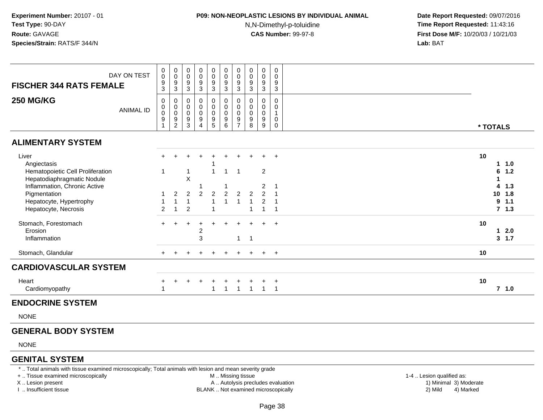## **P09: NON-NEOPLASTIC LESIONS BY INDIVIDUAL ANIMAL**

N,N-Dimethyl-p-toluidine

 **Date Report Requested:** 09/07/2016 **Time Report Requested:** 11:43:16 **First Dose M/F:** 10/20/03 / 10/21/03<br>**Lab:** BAT **Lab:** BAT

| DAY ON TEST<br><b>FISCHER 344 RATS FEMALE</b>                                                  | $\pmb{0}$<br>$\pmb{0}$<br>$\frac{9}{3}$                                             | 0<br>$\pmb{0}$<br>$\boldsymbol{9}$<br>3                                               | 0<br>$\mathsf{O}\xspace$<br>9<br>3                                 | $\pmb{0}$<br>$\pmb{0}$<br>9<br>$\mathbf{3}$                   | $_{\rm 0}^{\rm 0}$<br>$\boldsymbol{9}$<br>$\mathbf{3}$         | $\begin{smallmatrix} 0\\0 \end{smallmatrix}$<br>$\frac{9}{3}$  | $\begin{smallmatrix} 0\\0 \end{smallmatrix}$<br>$9\,$<br>$\mathbf{3}$ | 0<br>$\pmb{0}$<br>9<br>$\mathbf{3}$                  | 0<br>$\pmb{0}$<br>$\boldsymbol{9}$<br>$\sqrt{3}$         | 0<br>0<br>$\boldsymbol{9}$<br>$\mathbf{3}$ |                       |  |
|------------------------------------------------------------------------------------------------|-------------------------------------------------------------------------------------|---------------------------------------------------------------------------------------|--------------------------------------------------------------------|---------------------------------------------------------------|----------------------------------------------------------------|----------------------------------------------------------------|-----------------------------------------------------------------------|------------------------------------------------------|----------------------------------------------------------|--------------------------------------------|-----------------------|--|
| <b>250 MG/KG</b><br><b>ANIMAL ID</b>                                                           | 0<br>$\begin{smallmatrix}0\\0\end{smallmatrix}$<br>$\boldsymbol{9}$<br>$\mathbf{1}$ | 0<br>$\begin{smallmatrix}0\\0\end{smallmatrix}$<br>$\boldsymbol{9}$<br>$\overline{c}$ | 0<br>$\begin{smallmatrix} 0\\0 \end{smallmatrix}$<br>$\frac{9}{3}$ | 0<br>$_{\rm 0}^{\rm 0}$<br>$\boldsymbol{9}$<br>$\overline{4}$ | $\begin{smallmatrix}0\\0\\0\end{smallmatrix}$<br>$\frac{9}{5}$ | $\mathbf 0$<br>$\begin{array}{c} 0 \\ 0 \\ 9 \\ 6 \end{array}$ | $\pmb{0}$<br>$\overline{0}$<br>$\frac{9}{7}$                          | 0<br>$\pmb{0}$<br>$\pmb{0}$<br>$\boldsymbol{9}$<br>8 | $\pmb{0}$<br>$_{\rm 0}^{\rm 0}$<br>$\boldsymbol{9}$<br>9 | 0<br>0<br>$\mathbf{1}$<br>0<br>$\mathbf 0$ | * TOTALS              |  |
| <b>ALIMENTARY SYSTEM</b>                                                                       |                                                                                     |                                                                                       |                                                                    |                                                               |                                                                |                                                                |                                                                       |                                                      |                                                          |                                            |                       |  |
| Liver<br>Angiectasis                                                                           | +                                                                                   |                                                                                       |                                                                    |                                                               |                                                                | ÷                                                              |                                                                       |                                                      | $+$                                                      | $+$                                        | 10<br>1.0<br>1        |  |
| Hematopoietic Cell Proliferation<br>Hepatodiaphragmatic Nodule<br>Inflammation, Chronic Active | 1                                                                                   |                                                                                       | X                                                                  |                                                               |                                                                | 1                                                              | $\overline{1}$                                                        |                                                      | $\overline{2}$<br>2                                      | -1                                         | 1.2<br>6<br>1.3<br>4  |  |
| Pigmentation<br>Hepatocyte, Hypertrophy                                                        |                                                                                     | $\overline{2}$                                                                        | $\overline{2}$<br>$\overline{1}$                                   | 2                                                             | $\overline{2}$                                                 | $\overline{2}$                                                 | $\overline{2}$<br>1                                                   | $\overline{2}$                                       | $\mathfrak{p}$<br>$\overline{c}$                         | $\overline{1}$                             | 10<br>1.8<br>1.1<br>9 |  |
| Hepatocyte, Necrosis<br>Stomach, Forestomach                                                   | 2<br>$\pm$                                                                          |                                                                                       | $\overline{2}$                                                     |                                                               |                                                                |                                                                |                                                                       |                                                      |                                                          | $+$                                        | 7, 1.3<br>10          |  |
| Erosion<br>Inflammation                                                                        |                                                                                     |                                                                                       |                                                                    | 2<br>3                                                        |                                                                |                                                                | $\mathbf{1}$                                                          | $\overline{\mathbf{1}}$                              |                                                          |                                            | 2.0<br>1<br>3, 1.7    |  |
| Stomach, Glandular                                                                             | $\pm$                                                                               |                                                                                       |                                                                    |                                                               |                                                                |                                                                |                                                                       | $\ddot{}$                                            | $+$                                                      | $+$                                        | 10                    |  |
| <b>CARDIOVASCULAR SYSTEM</b>                                                                   |                                                                                     |                                                                                       |                                                                    |                                                               |                                                                |                                                                |                                                                       |                                                      |                                                          |                                            |                       |  |
| Heart<br>Cardiomyopathy                                                                        |                                                                                     |                                                                                       |                                                                    |                                                               |                                                                | $\overline{1}$                                                 | $\overline{1}$                                                        |                                                      |                                                          | $\overline{ }$<br>$\overline{1}$           | 10<br>$7$ 1.0         |  |
| <b>ENDOCRINE SYSTEM</b>                                                                        |                                                                                     |                                                                                       |                                                                    |                                                               |                                                                |                                                                |                                                                       |                                                      |                                                          |                                            |                       |  |

NONE

### **GENERAL BODY SYSTEM**

NONE

#### **GENITAL SYSTEM**

\* .. Total animals with tissue examined microscopically; Total animals with lesion and mean severity grade

+ .. Tissue examined microscopically

X .. Lesion present

I .. Insufficient tissue

- M .. Missing tissue
- A .. Autolysis precludes evaluation
- BLANK .. Not examined microscopically 2) Mild 4) Marked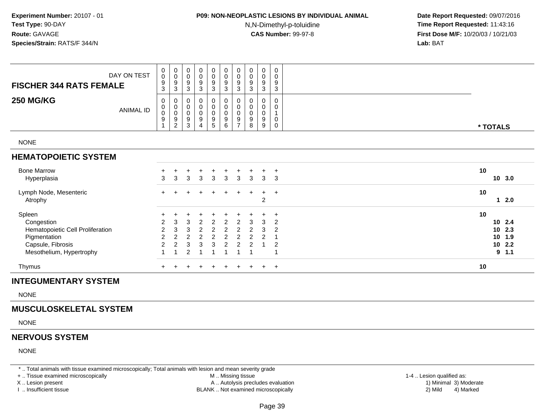# **P09: NON-NEOPLASTIC LESIONS BY INDIVIDUAL ANIMAL**

N,N-Dimethyl-p-toluidine

 **Date Report Requested:** 09/07/2016 **Time Report Requested:** 11:43:16 **First Dose M/F:** 10/20/03 / 10/21/03<br>**Lab:** BAT **Lab:** BAT

| DAY ON TEST<br><b>FISCHER 344 RATS FEMALE</b>                            | 0<br>$\boldsymbol{0}$<br>$\boldsymbol{9}$<br>$\ensuremath{\mathsf{3}}$ | $_{\rm 0}^{\rm 0}$<br>$\boldsymbol{9}$<br>$\mathbf 3$                                 | $\begin{matrix} 0 \\ 0 \\ 9 \\ 3 \end{matrix}$                           | $\begin{smallmatrix}0\\0\\9\end{smallmatrix}$<br>$\sqrt{3}$ | $\begin{smallmatrix}0\0\0\end{smallmatrix}$<br>$\boldsymbol{9}$<br>$\mathbf{3}$ | $_{\rm 0}^{\rm 0}$<br>$\boldsymbol{9}$<br>$\sqrt{3}$ | $\begin{smallmatrix}0\\0\end{smallmatrix}$<br>$\boldsymbol{9}$<br>$\sqrt{3}$          | $\begin{smallmatrix}0\0\0\9\end{smallmatrix}$<br>$\sqrt{3}$ | $\begin{smallmatrix}0\0\0\9\end{smallmatrix}$<br>$\sqrt{3}$              | $\pmb{0}$<br>$\pmb{0}$<br>9<br>3              |                      |                   |
|--------------------------------------------------------------------------|------------------------------------------------------------------------|---------------------------------------------------------------------------------------|--------------------------------------------------------------------------|-------------------------------------------------------------|---------------------------------------------------------------------------------|------------------------------------------------------|---------------------------------------------------------------------------------------|-------------------------------------------------------------|--------------------------------------------------------------------------|-----------------------------------------------|----------------------|-------------------|
| <b>250 MG/KG</b><br><b>ANIMAL ID</b>                                     | 0<br>0<br>$\ddot{\mathbf{0}}$<br>$\boldsymbol{9}$<br>$\overline{A}$    | 0<br>$\begin{smallmatrix}0\\0\end{smallmatrix}$<br>$\boldsymbol{9}$<br>$\overline{c}$ | $\mathbf 0$<br>$\begin{matrix} 0 \\ 0 \\ 9 \end{matrix}$<br>$\mathbf{3}$ | $\pmb{0}$<br>$\overline{0}$<br>$\boldsymbol{9}$<br>4        | 0<br>$\mathsf{O}$<br>$\overline{0}$<br>$\boldsymbol{9}$<br>5                    | 0<br>0<br>$\mathsf 0$<br>9<br>6                      | 0<br>$\begin{smallmatrix}0\\0\end{smallmatrix}$<br>$\boldsymbol{9}$<br>$\overline{ }$ | 0<br>$\pmb{0}$<br>$\overline{0}$<br>$\boldsymbol{9}$<br>8   | 0<br>$\begin{smallmatrix}0\\0\end{smallmatrix}$<br>$\boldsymbol{9}$<br>9 | 0<br>0<br>1<br>$\pmb{0}$<br>0                 | * TOTALS             |                   |
| <b>NONE</b>                                                              |                                                                        |                                                                                       |                                                                          |                                                             |                                                                                 |                                                      |                                                                                       |                                                             |                                                                          |                                               |                      |                   |
| <b>HEMATOPOIETIC SYSTEM</b>                                              |                                                                        |                                                                                       |                                                                          |                                                             |                                                                                 |                                                      |                                                                                       |                                                             |                                                                          |                                               |                      |                   |
| <b>Bone Marrow</b><br>Hyperplasia                                        | $\div$<br>3                                                            | $\mathbf{3}$                                                                          | 3                                                                        | 3                                                           | $\mathbf{3}$                                                                    | 3                                                    | 3                                                                                     | 3                                                           | 3                                                                        | $\ddot{}$<br>3                                | 10                   | 10, 3.0           |
| Lymph Node, Mesenteric<br>Atrophy                                        |                                                                        |                                                                                       |                                                                          |                                                             |                                                                                 |                                                      | +                                                                                     |                                                             | $\ddot{}$<br>$\overline{2}$                                              | $\overline{+}$                                | 10                   | 2.0               |
| Spleen<br>Congestion<br>Hematopoietic Cell Proliferation<br>Pigmentation | $\overline{\mathbf{c}}$<br>$\overline{2}$<br>$\overline{c}$            | 3<br>3<br>$\overline{c}$                                                              | 3<br>3<br>$\overline{c}$                                                 | $\overline{2}$<br>$\overline{2}$<br>$\overline{c}$          | 2<br>$\boldsymbol{2}$<br>$\overline{c}$                                         | 2<br>$\overline{2}$<br>$\overline{c}$                | $\overline{2}$<br>$\overline{2}$<br>$\overline{c}$                                    | 3<br>$\overline{2}$<br>$\overline{c}$                       | 3<br>3<br>2                                                              | $\ddot{}$<br>$\overline{c}$<br>$\overline{2}$ | 10<br>10<br>10<br>10 | 2.4<br>2.3<br>1.9 |
| Capsule, Fibrosis<br>Mesothelium, Hypertrophy                            | $\overline{c}$                                                         | $\overline{2}$                                                                        | 3<br>$\overline{2}$                                                      | 3                                                           | 3                                                                               | $\overline{2}$                                       | $\overline{2}$                                                                        | $\overline{2}$                                              |                                                                          | $\overline{2}$                                | 10<br>9              | 2.2<br>1.1        |
| Thymus                                                                   |                                                                        |                                                                                       |                                                                          |                                                             |                                                                                 |                                                      |                                                                                       |                                                             |                                                                          | $+$                                           | 10                   |                   |

#### **INTEGUMENTARY SYSTEM**

NONE

#### **MUSCULOSKELETAL SYSTEM**

NONE

#### **NERVOUS SYSTEM**

NONE

\* .. Total animals with tissue examined microscopically; Total animals with lesion and mean severity grade

+ .. Tissue examined microscopically

X .. Lesion present

I .. Insufficient tissue

 M .. Missing tissueA .. Autolysis precludes evaluation

BLANK .. Not examined microscopically 2) Mild 4) Marked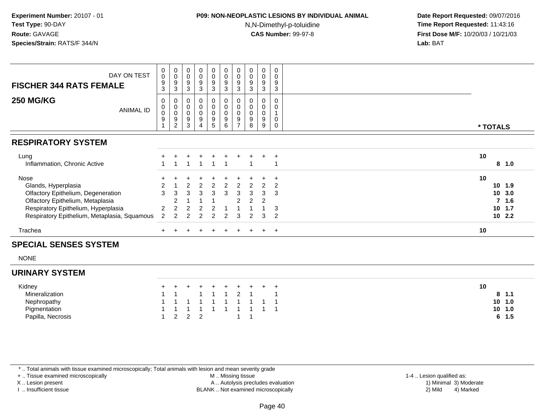#### **P09: NON-NEOPLASTIC LESIONS BY INDIVIDUAL ANIMAL**

N,N-Dimethyl-p-toluidine

 **Date Report Requested:** 09/07/2016 **Time Report Requested:** 11:43:16 **First Dose M/F:** 10/20/03 / 10/21/03<br>**Lab:** BAT **Lab:** BAT

| DAY ON TEST<br><b>FISCHER 344 RATS FEMALE</b>                                                                                                                                                | 0<br>0<br>9<br>3       | $_{\rm 0}^{\rm 0}$<br>$\boldsymbol{9}$<br>3                          | $_{\rm 0}^{\rm 0}$<br>$\boldsymbol{9}$<br>3  | $_{0}^{0}$<br>9<br>3                                                | $\begin{smallmatrix} 0\\0 \end{smallmatrix}$<br>9<br>3 | $_{\rm 0}^{\rm 0}$<br>$\boldsymbol{9}$<br>3 | $\begin{smallmatrix}0\0\0\end{smallmatrix}$<br>$\boldsymbol{9}$<br>3 | $\pmb{0}$<br>$\mathbf 0$<br>$\boldsymbol{9}$<br>3 | $_{\rm 0}^{\rm 0}$<br>$\boldsymbol{9}$<br>3 | 0<br>0<br>9<br>3           |                                  |                                                |
|----------------------------------------------------------------------------------------------------------------------------------------------------------------------------------------------|------------------------|----------------------------------------------------------------------|----------------------------------------------|---------------------------------------------------------------------|--------------------------------------------------------|---------------------------------------------|----------------------------------------------------------------------|---------------------------------------------------|---------------------------------------------|----------------------------|----------------------------------|------------------------------------------------|
| <b>250 MG/KG</b><br><b>ANIMAL ID</b>                                                                                                                                                         | 0<br>$\,0\,$<br>0<br>9 | 0<br>$\overline{0}$<br>$\,0\,$<br>$\boldsymbol{9}$<br>$\overline{2}$ | 0<br>$\pmb{0}$<br>0<br>$\boldsymbol{9}$<br>3 | 0<br>$\pmb{0}$<br>$\mathbf 0$<br>$\boldsymbol{9}$<br>$\overline{4}$ | 0<br>$\pmb{0}$<br>$\mathbf 0$<br>$\boldsymbol{9}$<br>5 | 0<br>0<br>0<br>$\boldsymbol{9}$<br>6        | 0<br>$\mathsf 0$<br>$\pmb{0}$<br>$\boldsymbol{9}$<br>$\overline{ }$  | 9<br>8                                            | 0<br>$\mathbf 0$<br>$\pmb{0}$<br>9<br>9     | 0<br>0<br>0<br>$\mathbf 0$ | * TOTALS                         |                                                |
| <b>RESPIRATORY SYSTEM</b>                                                                                                                                                                    |                        |                                                                      |                                              |                                                                     |                                                        |                                             |                                                                      |                                                   |                                             |                            |                                  |                                                |
| Lung<br>Inflammation, Chronic Active                                                                                                                                                         |                        |                                                                      |                                              |                                                                     |                                                        |                                             |                                                                      |                                                   |                                             | $\pm$                      | 10                               | 8 1.0                                          |
| Nose<br>Glands, Hyperplasia<br>Olfactory Epithelium, Degeneration<br>Olfactory Epithelium, Metaplasia<br>Respiratory Epithelium, Hyperplasia<br>Respiratory Epithelium, Metaplasia, Squamous | 3<br>2                 | З                                                                    | 3                                            |                                                                     | 3                                                      | 3                                           | 3<br>2<br>З                                                          |                                                   | 3<br>2<br>3                                 | 2<br>3<br>3<br>2           | 10<br>10 <sub>1</sub><br>10, 1.7 | $10 \t1.9$<br>3.0<br>7 <sub>1.6</sub><br>102.2 |
| Trachea                                                                                                                                                                                      |                        |                                                                      |                                              |                                                                     |                                                        | $\pm$                                       | $+$                                                                  | $+$                                               |                                             | $+$                        | 10                               |                                                |

#### **SPECIAL SENSES SYSTEM**

NONE

#### **URINARY SYSTEM**

| Kidney            |  | + + + + + + + + + + |  |  |  | 10 |
|-------------------|--|---------------------|--|--|--|----|
| Mineralization    |  | 1 1 1 1 1 2 1 1     |  |  |  |    |
| Nephropathy       |  | 1 1 1 1 1 1 1 1 1 1 |  |  |  |    |
| Pigmentation      |  | 1 1 1 1 1 1 1 1 1 1 |  |  |  |    |
| Papilla, Necrosis |  | 1 2 2 2             |  |  |  |    |

\* .. Total animals with tissue examined microscopically; Total animals with lesion and mean severity grade

+ .. Tissue examined microscopically

X .. Lesion present

I .. Insufficient tissue

M .. Missing tissue

A .. Autolysis precludes evaluation 1 and 1 and 2 ... Autolysis precludes evaluation 1 and 30 Minimal 3) Minim<br>1) Minimal 3) Mild

1-4 .. Lesion qualified as:<br>1) Minimal 3) Moderate BLANK .. Not examined microscopically 2) Mild 4) Marked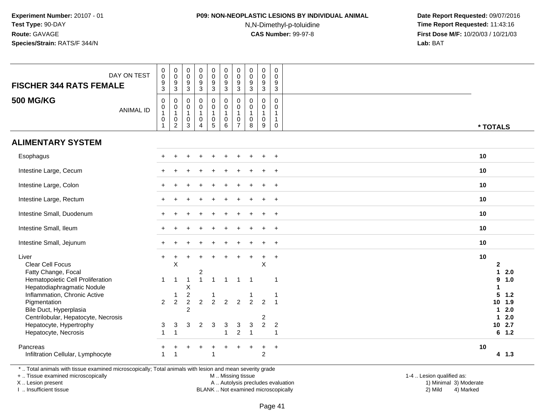### **P09: NON-NEOPLASTIC LESIONS BY INDIVIDUAL ANIMAL**

N,N-Dimethyl-p-toluidine

 **Date Report Requested:** 09/07/2016 **Time Report Requested:** 11:43:16 **First Dose M/F:** 10/20/03 / 10/21/03<br>**Lab:** BAT **Lab:** BAT

| <b>FISCHER 344 RATS FEMALE</b>                                                                          | DAY ON TEST      | $_{\rm 0}^{\rm 0}$<br>$\boldsymbol{9}$<br>$\mathbf{3}$                    | $\begin{smallmatrix} 0\\0 \end{smallmatrix}$<br>$\boldsymbol{9}$<br>$\overline{3}$ | 0<br>$\mathsf{O}\xspace$<br>9<br>3               | $\pmb{0}$<br>$\ddot{\mathbf{0}}$<br>$9\,$<br>3                   | $\pmb{0}$<br>$\mathsf{O}\xspace$<br>$\boldsymbol{9}$<br>$\mathbf{3}$    | $\mathbf 0$<br>$\mathsf{O}\xspace$<br>$\boldsymbol{9}$<br>$\mathbf{3}$ | $\pmb{0}$<br>$\mathsf{O}\xspace$<br>9<br>3                       | $\pmb{0}$<br>$\pmb{0}$<br>9<br>$\mathbf{3}$ | $_{\rm 0}^{\rm 0}$<br>$\boldsymbol{9}$<br>3                                    | 0<br>$\mathbf 0$<br>9<br>$\mathbf{3}$ |                                    |                   |
|---------------------------------------------------------------------------------------------------------|------------------|---------------------------------------------------------------------------|------------------------------------------------------------------------------------|--------------------------------------------------|------------------------------------------------------------------|-------------------------------------------------------------------------|------------------------------------------------------------------------|------------------------------------------------------------------|---------------------------------------------|--------------------------------------------------------------------------------|---------------------------------------|------------------------------------|-------------------|
| <b>500 MG/KG</b>                                                                                        | <b>ANIMAL ID</b> | $\mathbf 0$<br>$\mathsf 0$<br>$\mathbf{1}$<br>$\mathbf 0$<br>$\mathbf{1}$ | 0<br>$\mathsf{O}\xspace$<br>$\mathbf{1}$<br>$\pmb{0}$<br>$\overline{2}$            | $\Omega$<br>$\mathbf 0$<br>1<br>$\mathbf 0$<br>3 | $\mathbf 0$<br>$\mathbf 0$<br>1<br>$\mathbf 0$<br>$\overline{4}$ | 0<br>$\mathsf{O}\xspace$<br>$\mathbf{1}$<br>$\pmb{0}$<br>$\overline{5}$ | 0<br>$\mathbf 0$<br>$\mathbf{1}$<br>$\mathsf 0$<br>6                   | 0<br>$\mathbf 0$<br>$\mathbf 1$<br>$\mathbf 0$<br>$\overline{7}$ | 0<br>$\mathbf 0$<br>0<br>8                  | $\mathbf{0}$<br>$\mathbf 0$<br>$\mathbf{1}$<br>$\mathbf 0$<br>$\boldsymbol{9}$ | 0<br>$\Omega$<br>$\overline{1}$<br>0  | * TOTALS                           |                   |
| <b>ALIMENTARY SYSTEM</b>                                                                                |                  |                                                                           |                                                                                    |                                                  |                                                                  |                                                                         |                                                                        |                                                                  |                                             |                                                                                |                                       |                                    |                   |
| Esophagus                                                                                               |                  |                                                                           |                                                                                    |                                                  |                                                                  |                                                                         |                                                                        |                                                                  |                                             |                                                                                | $\ddot{}$                             | 10                                 |                   |
| Intestine Large, Cecum                                                                                  |                  |                                                                           |                                                                                    |                                                  |                                                                  |                                                                         |                                                                        |                                                                  |                                             |                                                                                | $+$                                   | 10                                 |                   |
| Intestine Large, Colon                                                                                  |                  |                                                                           |                                                                                    |                                                  |                                                                  |                                                                         |                                                                        |                                                                  |                                             |                                                                                | $\overline{+}$                        | 10                                 |                   |
| Intestine Large, Rectum                                                                                 |                  |                                                                           |                                                                                    |                                                  |                                                                  |                                                                         |                                                                        |                                                                  |                                             |                                                                                | $\ddot{}$                             | 10                                 |                   |
| Intestine Small, Duodenum                                                                               |                  |                                                                           |                                                                                    |                                                  |                                                                  |                                                                         |                                                                        |                                                                  |                                             |                                                                                | $\overline{+}$                        | 10                                 |                   |
| Intestine Small, Ileum                                                                                  |                  |                                                                           |                                                                                    |                                                  |                                                                  |                                                                         |                                                                        |                                                                  |                                             |                                                                                | $\ddot{}$                             | 10                                 |                   |
| Intestine Small, Jejunum                                                                                |                  |                                                                           |                                                                                    |                                                  |                                                                  |                                                                         |                                                                        |                                                                  |                                             |                                                                                | $\overline{+}$                        | 10                                 |                   |
| Liver<br>Clear Cell Focus<br>Fatty Change, Focal                                                        |                  | $+$                                                                       | $\ddot{}$<br>$\sf X$                                                               |                                                  | $\overline{c}$                                                   |                                                                         |                                                                        |                                                                  |                                             | $\ddot{}$<br>$\mathsf X$                                                       | $\ddot{}$                             | 10<br>$\mathbf{2}$<br>$\mathbf{1}$ | 2.0               |
| Hematopoietic Cell Proliferation<br>Hepatodiaphragmatic Nodule<br>Inflammation, Chronic Active          |                  | 1                                                                         | $\overline{1}$<br>-1                                                               | 1<br>Χ<br>$\overline{c}$                         | $\overline{1}$                                                   | $\mathbf{1}$<br>1                                                       | $\mathbf 1$                                                            | $\mathbf{1}$                                                     | -1                                          |                                                                                | $\overline{1}$<br>$\overline{1}$      | 9<br>1<br>5                        | 1.0<br>$1.2$      |
| Pigmentation<br>Bile Duct, Hyperplasia<br>Centrilobular, Hepatocyte, Necrosis                           |                  | $\overline{2}$                                                            | 2                                                                                  | $\overline{2}$<br>$\overline{2}$                 | $\overline{2}$                                                   | 2                                                                       | $\overline{2}$                                                         | $\overline{2}$                                                   | $\overline{2}$                              | 2<br>$\overline{\mathbf{c}}$                                                   |                                       | 10<br>1<br>$\mathbf{1}$            | 1.9<br>2.0<br>2.0 |
| Hepatocyte, Hypertrophy<br>Hepatocyte, Necrosis                                                         |                  | 3                                                                         | 3<br>$\overline{1}$                                                                | 3                                                | $\overline{2}$                                                   | 3                                                                       | 3<br>1                                                                 | 3<br>$\overline{c}$                                              | $\sqrt{3}$<br>$\mathbf{1}$                  | $\overline{2}$                                                                 | $\overline{2}$<br>$\overline{1}$      | 10                                 | 2.7<br>6 1.2      |
| Pancreas<br>Infiltration Cellular, Lymphocyte                                                           |                  |                                                                           |                                                                                    |                                                  |                                                                  |                                                                         |                                                                        |                                                                  | $\ddot{}$                                   | $\ddot{}$<br>$\overline{2}$                                                    | $+$                                   | 10                                 | $4 \t1.3$         |
| * Total animals with tissue examined microscopically: Total animals with lesion and mean severity grade |                  |                                                                           |                                                                                    |                                                  |                                                                  |                                                                         |                                                                        |                                                                  |                                             |                                                                                |                                       |                                    |                   |

\* .. Total animals with tissue examined microscopically; Total animals with lesion and mean severity grade

+ .. Tissue examined microscopically

X .. Lesion present

I .. Insufficient tissue

M .. Missing tissue

A .. Autolysis precludes evaluation 1999 (1999) 1999 (1999) 1999 (1999) 1999 (1999) Minimal 3) Minimal 3) Minimal 3) Minimal 3) Mild

 1-4 .. Lesion qualified as: BLANK .. Not examined microscopically 2) Mild 4) Marked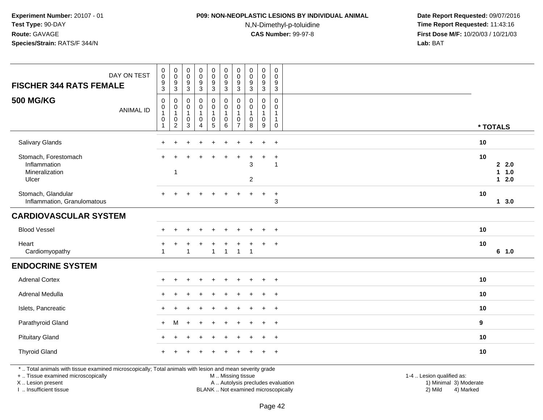# **P09: NON-NEOPLASTIC LESIONS BY INDIVIDUAL ANIMAL**

N,N-Dimethyl-p-toluidine

 **Date Report Requested:** 09/07/2016 **Time Report Requested:** 11:43:16 **First Dose M/F:** 10/20/03 / 10/21/03<br>**Lab:** BAT **Lab:** BAT

| <b>FISCHER 344 RATS FEMALE</b>                                                                                                                 | DAY ON TEST      | $\begin{smallmatrix} 0\\0 \end{smallmatrix}$<br>$\frac{9}{3}$      | $_{\rm 0}^{\rm 0}$<br>$\boldsymbol{9}$<br>$\sqrt{3}$            | $\pmb{0}$<br>$\mathbf 0$<br>$\boldsymbol{9}$<br>$\sqrt{3}$ | $\pmb{0}$<br>$\boldsymbol{0}$<br>$\frac{9}{3}$                   | $\begin{smallmatrix}0\0\0\end{smallmatrix}$<br>$\frac{9}{3}$                      | $\pmb{0}$<br>$\pmb{0}$<br>$\frac{9}{3}$                              | $\begin{smallmatrix} 0\\0 \end{smallmatrix}$<br>$\frac{9}{3}$                 | $\pmb{0}$<br>$\mathbf 0$<br>$\frac{9}{3}$                              | 0<br>$\mathbf 0$<br>$\frac{9}{3}$                  | $\pmb{0}$<br>$\mathbf 0$<br>$\frac{9}{3}$                       |                           |          |                                      |
|------------------------------------------------------------------------------------------------------------------------------------------------|------------------|--------------------------------------------------------------------|-----------------------------------------------------------------|------------------------------------------------------------|------------------------------------------------------------------|-----------------------------------------------------------------------------------|----------------------------------------------------------------------|-------------------------------------------------------------------------------|------------------------------------------------------------------------|----------------------------------------------------|-----------------------------------------------------------------|---------------------------|----------|--------------------------------------|
| <b>500 MG/KG</b>                                                                                                                               | <b>ANIMAL ID</b> | $\boldsymbol{0}$<br>$\mathbf 0$<br>$\mathbf{1}$<br>$\pmb{0}$<br>-1 | 0<br>$\mathbf 0$<br>$\mathbf{1}$<br>$\pmb{0}$<br>$\overline{2}$ | $\mathbf 0$<br>$\mathbf 0$<br>1<br>$\pmb{0}$<br>3          | $\mathbf 0$<br>$\mathbf 0$<br>1<br>$\mathbf 0$<br>$\overline{4}$ | $\pmb{0}$<br>$\mathbf 0$<br>$\mathbf{1}$<br>$\begin{array}{c} 0 \\ 5 \end{array}$ | $\pmb{0}$<br>$\ddot{\mathbf{0}}$<br>1<br>$\pmb{0}$<br>$6\phantom{1}$ | $\mathbf 0$<br>$\mathbf 0$<br>$\overline{1}$<br>$\mathbf 0$<br>$\overline{7}$ | $\mathbf 0$<br>$\mathbf 0$<br>$\mathbf{1}$<br>$\mathsf{O}\xspace$<br>8 | 0<br>$\mathbf{0}$<br>1<br>$\mathsf{O}\xspace$<br>9 | 0<br>$\mathbf 0$<br>$\mathbf{1}$<br>$\mathbf{1}$<br>$\mathbf 0$ |                           | * TOTALS |                                      |
| Salivary Glands                                                                                                                                |                  | $\pm$                                                              | $\ddot{}$                                                       | ٠                                                          | $\ddot{}$                                                        | $\ddot{}$                                                                         | $\ddot{}$                                                            | +                                                                             | $\ddot{}$                                                              | $\ddot{}$                                          | $+$                                                             |                           | 10       |                                      |
| Stomach, Forestomach<br>Inflammation<br>Mineralization<br>Ulcer                                                                                |                  |                                                                    | 1                                                               |                                                            |                                                                  |                                                                                   |                                                                      |                                                                               | 3<br>$\overline{2}$                                                    | $\ddot{}$                                          | $\ddot{}$<br>$\mathbf{1}$                                       |                           | 10       | 2.2.0<br>1.0<br>$\mathbf{1}$<br>12.0 |
| Stomach, Glandular<br>Inflammation, Granulomatous                                                                                              |                  |                                                                    |                                                                 |                                                            |                                                                  |                                                                                   |                                                                      |                                                                               |                                                                        | $\ddot{}$                                          | $\ddot{}$<br>3                                                  |                           | 10       | 13.0                                 |
| <b>CARDIOVASCULAR SYSTEM</b>                                                                                                                   |                  |                                                                    |                                                                 |                                                            |                                                                  |                                                                                   |                                                                      |                                                                               |                                                                        |                                                    |                                                                 |                           |          |                                      |
| <b>Blood Vessel</b>                                                                                                                            |                  |                                                                    |                                                                 |                                                            |                                                                  |                                                                                   |                                                                      |                                                                               |                                                                        |                                                    | $\ddot{}$                                                       |                           | 10       |                                      |
| Heart<br>Cardiomyopathy                                                                                                                        |                  | $\overline{1}$                                                     |                                                                 | -1                                                         |                                                                  | $\mathbf{1}$                                                                      | $\overline{1}$                                                       | $\mathbf{1}$                                                                  | $\overline{1}$                                                         | ÷                                                  | $^{+}$                                                          |                           | 10       | 6 1.0                                |
| <b>ENDOCRINE SYSTEM</b>                                                                                                                        |                  |                                                                    |                                                                 |                                                            |                                                                  |                                                                                   |                                                                      |                                                                               |                                                                        |                                                    |                                                                 |                           |          |                                      |
| <b>Adrenal Cortex</b>                                                                                                                          |                  |                                                                    |                                                                 |                                                            |                                                                  |                                                                                   |                                                                      |                                                                               |                                                                        |                                                    |                                                                 |                           | 10       |                                      |
| Adrenal Medulla                                                                                                                                |                  |                                                                    |                                                                 |                                                            |                                                                  |                                                                                   |                                                                      |                                                                               |                                                                        |                                                    | $\overline{+}$                                                  |                           | 10       |                                      |
| Islets, Pancreatic                                                                                                                             |                  |                                                                    |                                                                 |                                                            |                                                                  |                                                                                   |                                                                      |                                                                               |                                                                        |                                                    | $\div$                                                          |                           | 10       |                                      |
| Parathyroid Gland                                                                                                                              |                  | $+$                                                                | м                                                               |                                                            |                                                                  |                                                                                   |                                                                      |                                                                               |                                                                        |                                                    | $\ddot{}$                                                       |                           | 9        |                                      |
| <b>Pituitary Gland</b>                                                                                                                         |                  |                                                                    |                                                                 |                                                            |                                                                  |                                                                                   |                                                                      |                                                                               |                                                                        | $\ddot{}$                                          | $\overline{+}$                                                  |                           | 10       |                                      |
| <b>Thyroid Gland</b>                                                                                                                           |                  |                                                                    |                                                                 |                                                            |                                                                  |                                                                                   |                                                                      |                                                                               |                                                                        |                                                    |                                                                 |                           | 10       |                                      |
| *  Total animals with tissue examined microscopically; Total animals with lesion and mean severity grade<br>+  Tissue examined microscopically |                  |                                                                    |                                                                 |                                                            |                                                                  |                                                                                   | M  Missing tissue                                                    |                                                                               |                                                                        |                                                    |                                                                 | 1-4  Lesion qualified as: |          |                                      |

X .. Lesion present

I .. Insufficient tissue

BLANK .. Not examined microscopically

A .. Autolysis precludes evaluation and the series of the series of the series of the series of the series of the series of the series of the series of the series of the series of the series of the series of the series of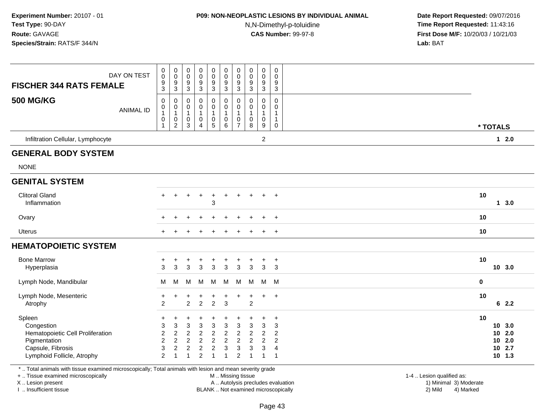### **P09: NON-NEOPLASTIC LESIONS BY INDIVIDUAL ANIMAL**

N,N-Dimethyl-p-toluidine

 **Date Report Requested:** 09/07/2016 **Time Report Requested:** 11:43:16 **First Dose M/F:** 10/20/03 / 10/21/03<br>**Lab:** BAT **Lab:** BAT

| DAY ON TEST<br><b>FISCHER 344 RATS FEMALE</b>                                                                               | $\mathbf 0$<br>0<br>$\frac{9}{3}$                    | $_{\rm 0}^{\rm 0}$<br>$\frac{9}{3}$                                                      | 0<br>$\mathbf 0$<br>$\boldsymbol{9}$<br>$\mathbf{3}$                        | 0<br>0<br>9<br>3                                                             | $\begin{smallmatrix} 0\\0 \end{smallmatrix}$<br>$\frac{9}{3}$                                                    | $\pmb{0}$<br>$\pmb{0}$<br>$\frac{9}{3}$                  | $\pmb{0}$<br>$\pmb{0}$<br>9<br>$\mathbf{3}$                                  | $\mathbf 0$<br>$\mathbf 0$<br>9<br>3    | $\pmb{0}$<br>$\mathbf 0$<br>9<br>3                           | 0<br>0<br>9<br>3                                                                                                 |             |                                              |
|-----------------------------------------------------------------------------------------------------------------------------|------------------------------------------------------|------------------------------------------------------------------------------------------|-----------------------------------------------------------------------------|------------------------------------------------------------------------------|------------------------------------------------------------------------------------------------------------------|----------------------------------------------------------|------------------------------------------------------------------------------|-----------------------------------------|--------------------------------------------------------------|------------------------------------------------------------------------------------------------------------------|-------------|----------------------------------------------|
| <b>500 MG/KG</b><br><b>ANIMAL ID</b>                                                                                        | 0<br>0<br>$\overline{1}$<br>$\pmb{0}$<br>1           | $\mathbf 0$<br>$\begin{smallmatrix}0\\1\end{smallmatrix}$<br>$\pmb{0}$<br>$\overline{2}$ | $\mathbf 0$<br>$\mathbf 0$<br>$\overline{1}$<br>$\mathbf 0$<br>3            | $\mathbf 0$<br>0<br>$\overline{1}$<br>$\pmb{0}$<br>$\overline{4}$            | 0<br>0<br>$\mathbf{1}$<br>0<br>5                                                                                 | $\pmb{0}$<br>$\pmb{0}$<br>$\mathbf{1}$<br>$_{6}^{\rm 0}$ | $\mathbf 0$<br>$\mathbf 0$<br>$\mathbf{1}$<br>$\pmb{0}$<br>$\overline{7}$    | 0<br>$\Omega$<br>-1<br>0<br>8           | $\mathbf 0$<br>$\mathbf 0$<br>$\mathbf{1}$<br>$\pmb{0}$<br>9 | $\mathbf 0$<br>$\Omega$<br>1<br>$\mathbf 0$                                                                      | * TOTALS    |                                              |
| Infiltration Cellular, Lymphocyte                                                                                           |                                                      |                                                                                          |                                                                             |                                                                              |                                                                                                                  |                                                          |                                                                              |                                         | $\overline{c}$                                               |                                                                                                                  |             | $12.0$                                       |
| <b>GENERAL BODY SYSTEM</b>                                                                                                  |                                                      |                                                                                          |                                                                             |                                                                              |                                                                                                                  |                                                          |                                                                              |                                         |                                                              |                                                                                                                  |             |                                              |
| <b>NONE</b>                                                                                                                 |                                                      |                                                                                          |                                                                             |                                                                              |                                                                                                                  |                                                          |                                                                              |                                         |                                                              |                                                                                                                  |             |                                              |
| <b>GENITAL SYSTEM</b>                                                                                                       |                                                      |                                                                                          |                                                                             |                                                                              |                                                                                                                  |                                                          |                                                                              |                                         |                                                              |                                                                                                                  |             |                                              |
| <b>Clitoral Gland</b><br>Inflammation                                                                                       |                                                      |                                                                                          |                                                                             |                                                                              | $\overline{1}$<br>3                                                                                              | ÷.                                                       |                                                                              |                                         |                                                              | $+$                                                                                                              | 10          | 13.0                                         |
| Ovary                                                                                                                       |                                                      |                                                                                          |                                                                             |                                                                              |                                                                                                                  |                                                          |                                                                              |                                         |                                                              | $\ddot{}$                                                                                                        | 10          |                                              |
| Uterus                                                                                                                      |                                                      |                                                                                          |                                                                             |                                                                              |                                                                                                                  |                                                          |                                                                              |                                         | $\pm$                                                        | $+$                                                                                                              | 10          |                                              |
| <b>HEMATOPOIETIC SYSTEM</b>                                                                                                 |                                                      |                                                                                          |                                                                             |                                                                              |                                                                                                                  |                                                          |                                                                              |                                         |                                                              |                                                                                                                  |             |                                              |
| <b>Bone Marrow</b><br>Hyperplasia                                                                                           | 3                                                    | 3                                                                                        | +<br>3                                                                      | 3                                                                            | +<br>3                                                                                                           | ÷<br>3                                                   | $\ddot{}$<br>$\mathbf{3}$                                                    | +<br>3                                  | +<br>3                                                       | $\overline{1}$<br>3                                                                                              | 10          | 10 3.0                                       |
| Lymph Node, Mandibular                                                                                                      | м                                                    | м                                                                                        | м                                                                           | M                                                                            | M                                                                                                                | M                                                        | M                                                                            | м                                       | M M                                                          |                                                                                                                  | $\mathbf 0$ |                                              |
| Lymph Node, Mesenteric<br>Atrophy                                                                                           | $\ddot{}$<br>$\overline{2}$                          |                                                                                          | $\overline{c}$                                                              | $\overline{2}$                                                               | +<br>$\overline{c}$                                                                                              | $\ddot{}$<br>$\mathbf{3}$                                | $\overline{ }$                                                               | +<br>$\overline{2}$                     | $+$                                                          | $+$                                                                                                              | 10          | 62.2                                         |
| Spleen<br>Congestion<br>Hematopoietic Cell Proliferation<br>Pigmentation<br>Capsule, Fibrosis<br>Lymphoid Follicle, Atrophy | ٠<br>3<br>$\overline{c}$<br>$\overline{2}$<br>3<br>2 | 3<br>$\boldsymbol{2}$<br>$\overline{c}$<br>$\overline{c}$<br>$\overline{1}$              | 3<br>$\boldsymbol{2}$<br>$\overline{c}$<br>$\overline{c}$<br>$\overline{1}$ | 3<br>$\boldsymbol{2}$<br>$\boldsymbol{2}$<br>$\overline{2}$<br>$\mathcal{P}$ | $\ddot{}$<br>$\ensuremath{\mathsf{3}}$<br>$\boldsymbol{2}$<br>$\overline{c}$<br>$\overline{c}$<br>$\overline{1}$ | 3<br>$\overline{c}$<br>$\overline{2}$<br>3               | $\sqrt{3}$<br>$\sqrt{2}$<br>$\overline{2}$<br>$\mathbf{3}$<br>$\mathfrak{p}$ | 3<br>$\overline{c}$<br>$\mathbf 2$<br>3 | 3<br>$\overline{\mathbf{c}}$<br>$\overline{c}$<br>3          | $\ddot{}$<br>$\ensuremath{\mathsf{3}}$<br>$\boldsymbol{2}$<br>$\overline{c}$<br>$\overline{4}$<br>$\overline{1}$ | 10<br>10    | 10 3.0<br>2.0<br>102.0<br>10 2.7<br>$10$ 1.3 |
| *  Total animals with tissue examined microscopically; Total animals with lesion and mean severity grade                    |                                                      |                                                                                          |                                                                             |                                                                              |                                                                                                                  |                                                          |                                                                              |                                         |                                                              |                                                                                                                  |             |                                              |

+ .. Tissue examined microscopically

X .. Lesion present

I .. Insufficient tissue

M .. Missing tissue

A .. Autolysis precludes evaluation 1999 (1999) 1999 (1999) 1999 (1999) 1999 (1999) 1999 (1999) 1999 (1999) 1<br>1) Minimal 3) Mild 3) Mild 3) Mild 3) Mild 3, 2009 (1999) 1999 (1999) 1999 (1999) 1999 (1999) 1999 (1999) 199 BLANK .. Not examined microscopically 2) Mild 4) Marked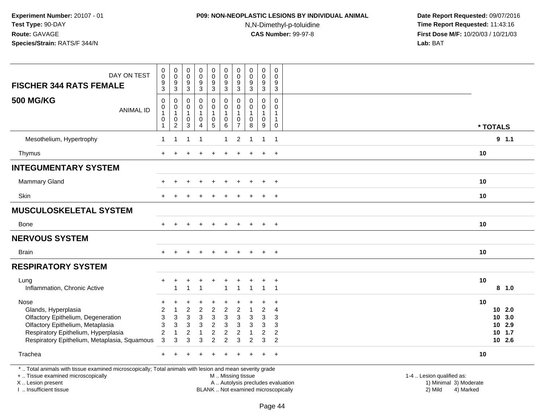# **P09: NON-NEOPLASTIC LESIONS BY INDIVIDUAL ANIMAL**

N,N-Dimethyl-p-toluidine

| DAY ON TEST<br><b>FISCHER 344 RATS FEMALE</b>                                                                           | $\,0\,$<br>$\pmb{0}$<br>9<br>3                                                                                                                                                                            | $\pmb{0}$<br>$\mathbf 0$<br>$\boldsymbol{9}$<br>$\mathsf 3$                              | $\pmb{0}$<br>$\mathbf 0$<br>$\boldsymbol{9}$<br>$\mathbf{3}$ | $\pmb{0}$<br>$\mathbf 0$<br>$\boldsymbol{9}$<br>$\mathbf{3}$ | $\pmb{0}$<br>$\mathbf 0$<br>$\boldsymbol{9}$<br>$\mathbf{3}$            | $\mathsf 0$<br>$\mathbf 0$<br>9<br>$\mathbf{3}$    | $\pmb{0}$<br>0<br>9<br>3                       | $\pmb{0}$<br>$\mathbf 0$<br>$\boldsymbol{9}$<br>$\sqrt{3}$   | $\pmb{0}$<br>0<br>9<br>3         | $\boldsymbol{0}$<br>$\mathbf 0$<br>9<br>$\overline{3}$ |                                                                             |
|-------------------------------------------------------------------------------------------------------------------------|-----------------------------------------------------------------------------------------------------------------------------------------------------------------------------------------------------------|------------------------------------------------------------------------------------------|--------------------------------------------------------------|--------------------------------------------------------------|-------------------------------------------------------------------------|----------------------------------------------------|------------------------------------------------|--------------------------------------------------------------|----------------------------------|--------------------------------------------------------|-----------------------------------------------------------------------------|
| <b>500 MG/KG</b><br><b>ANIMAL ID</b>                                                                                    | $\mathbf 0$<br>$\pmb{0}$<br>1<br>$\mathbf 0$<br>-1                                                                                                                                                        | $\mathbf 0$<br>$\begin{smallmatrix}0\\1\end{smallmatrix}$<br>$\pmb{0}$<br>$\overline{2}$ | $\mathbf 0$<br>0<br>$\mathbf{1}$<br>0<br>$\mathbf{3}$        | 0<br>$\mathsf{O}\xspace$<br>$\mathbf{1}$<br>$\mathbf 0$<br>4 | $\mathbf 0$<br>$\pmb{0}$<br>$\mathbf{1}$<br>$\pmb{0}$<br>$\overline{5}$ | 0<br>$\pmb{0}$<br>$\mathbf{1}$<br>$\mathbf 0$<br>6 | 0<br>$\Omega$<br>$\mathbf 0$<br>$\overline{7}$ | $\mathbf 0$<br>$\pmb{0}$<br>$\mathbf{1}$<br>$\mathbf 0$<br>8 | 0<br>0<br>$\mathbf{1}$<br>0<br>9 | $\mathbf 0$<br>$\mathbf 0$<br>1<br>$\mathbf{1}$<br>0   | * TOTALS                                                                    |
| Mesothelium, Hypertrophy                                                                                                | $\mathbf{1}$                                                                                                                                                                                              | $\overline{1}$                                                                           | $\overline{1}$                                               | $\overline{1}$                                               |                                                                         | $\mathbf{1}$                                       | $\overline{c}$                                 | $\overline{1}$                                               | $\mathbf{1}$                     | $\overline{1}$                                         | 9 1.1                                                                       |
| Thymus                                                                                                                  | $+$                                                                                                                                                                                                       | $\ddot{}$                                                                                |                                                              | $\ddot{}$                                                    |                                                                         | ÷.                                                 |                                                | $\ddot{}$                                                    | $\overline{+}$                   | $+$                                                    | 10                                                                          |
| <b>INTEGUMENTARY SYSTEM</b>                                                                                             |                                                                                                                                                                                                           |                                                                                          |                                                              |                                                              |                                                                         |                                                    |                                                |                                                              |                                  |                                                        |                                                                             |
| <b>Mammary Gland</b>                                                                                                    | $\ddot{}$                                                                                                                                                                                                 | $+$                                                                                      | $\ddot{}$                                                    | $\ddot{}$                                                    | $\ddot{}$                                                               | $\ddot{}$                                          | $\ddot{}$                                      | $\ddot{}$                                                    | $\ddot{}$                        | $+$                                                    | 10                                                                          |
| <b>Skin</b>                                                                                                             |                                                                                                                                                                                                           |                                                                                          |                                                              |                                                              |                                                                         |                                                    |                                                |                                                              | $\ddot{}$                        | $\overline{+}$                                         | 10                                                                          |
| <b>MUSCULOSKELETAL SYSTEM</b>                                                                                           |                                                                                                                                                                                                           |                                                                                          |                                                              |                                                              |                                                                         |                                                    |                                                |                                                              |                                  |                                                        |                                                                             |
| Bone                                                                                                                    | $+$                                                                                                                                                                                                       | $+$                                                                                      | $\pm$                                                        | $+$                                                          | $+$                                                                     | $+$                                                | $+$                                            | $+$                                                          | $+$                              | $+$                                                    | 10                                                                          |
| <b>NERVOUS SYSTEM</b>                                                                                                   |                                                                                                                                                                                                           |                                                                                          |                                                              |                                                              |                                                                         |                                                    |                                                |                                                              |                                  |                                                        |                                                                             |
| <b>Brain</b>                                                                                                            | $+$                                                                                                                                                                                                       | $+$                                                                                      | $+$                                                          | $+$                                                          | $+$                                                                     | $+$                                                | $+$                                            | $+$                                                          | $+$                              | $+$                                                    | 10                                                                          |
| <b>RESPIRATORY SYSTEM</b>                                                                                               |                                                                                                                                                                                                           |                                                                                          |                                                              |                                                              |                                                                         |                                                    |                                                |                                                              |                                  |                                                        |                                                                             |
| Lung<br>Inflammation, Chronic Active                                                                                    | $\ddot{}$                                                                                                                                                                                                 | +<br>1                                                                                   | +<br>$\overline{1}$                                          | +<br>$\overline{1}$                                          | $\ddot{}$                                                               | $\ddot{}$<br>$\overline{1}$                        | +<br>$\overline{ }$                            | $\ddot{}$<br>$\overline{1}$                                  | $\ddot{}$<br>$\mathbf{1}$        | $\overline{+}$<br>$\overline{1}$                       | 10<br>8 1.0                                                                 |
| Nose<br>Glands, Hyperplasia<br>Olfactory Epithelium, Degeneration                                                       | +<br>$\overline{c}$<br>3                                                                                                                                                                                  | $\overline{1}$<br>3                                                                      | $\overline{2}$<br>3                                          | $\overline{c}$<br>$\sqrt{3}$                                 | $\overline{2}$<br>$\ensuremath{\mathsf{3}}$                             | $\overline{2}$<br>$\sqrt{3}$                       | $\overline{2}$<br>3                            | $\overline{1}$<br>3                                          | $\overline{c}$<br>3              | 4<br>3                                                 | 10<br>$10$ 2.0<br>10 3.0                                                    |
| Olfactory Epithelium, Metaplasia<br>Respiratory Epithelium, Hyperplasia<br>Respiratory Epithelium, Metaplasia, Squamous | $\sqrt{3}$<br>$\overline{c}$<br>3                                                                                                                                                                         | $\sqrt{3}$<br>$\overline{1}$<br>3                                                        | $\sqrt{3}$<br>$\overline{2}$<br>3                            | $\mathfrak{Z}$<br>$\mathbf{1}$<br>3                          | $\overline{c}$<br>$\overline{c}$<br>2                                   | $\sqrt{3}$<br>$\overline{2}$<br>$\overline{2}$     | 3<br>$\overline{2}$<br>3                       | $\mathbf{3}$<br>$\overline{1}$<br>2                          | 3<br>$\overline{2}$<br>3         | 3<br>2<br>2                                            | 10 2.9<br>$10$ 1.7<br>10 2.6                                                |
| Trachea                                                                                                                 |                                                                                                                                                                                                           |                                                                                          |                                                              |                                                              |                                                                         |                                                    |                                                |                                                              |                                  | $\ddot{}$                                              | 10                                                                          |
| +  Tissue examined microscopically<br>X  Lesion present<br>I  Insufficient tissue                                       | *  Total animals with tissue examined microscopically; Total animals with lesion and mean severity grade<br>M  Missing tissue<br>A  Autolysis precludes evaluation<br>BLANK  Not examined microscopically |                                                                                          |                                                              |                                                              |                                                                         |                                                    |                                                |                                                              |                                  |                                                        | 1-4  Lesion qualified as:<br>1) Minimal 3) Moderate<br>2) Mild<br>4) Marked |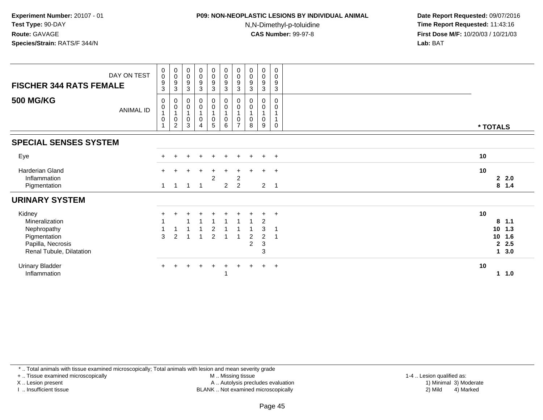# **P09: NON-NEOPLASTIC LESIONS BY INDIVIDUAL ANIMAL**

N,N-Dimethyl-p-toluidine

 **Date Report Requested:** 09/07/2016 **Time Report Requested:** 11:43:16 **First Dose M/F:** 10/20/03 / 10/21/03<br>**Lab:** BAT **Lab:** BAT

| DAY ON TEST<br><b>FISCHER 344 RATS FEMALE</b>                                                            |                  | $\pmb{0}$<br>$\pmb{0}$<br>$\boldsymbol{9}$<br>$\mathbf{3}$ | $\mathbf 0$<br>$\mathbf 0$<br>9<br>3 | $\begin{smallmatrix} 0\\0 \end{smallmatrix}$<br>$\boldsymbol{9}$<br>$\mathbf{3}$ | $\begin{smallmatrix}0\0\0\end{smallmatrix}$<br>9<br>3   | $\begin{smallmatrix} 0\\0 \end{smallmatrix}$<br>$\boldsymbol{9}$<br>3 | $\begin{smallmatrix} 0\\0 \end{smallmatrix}$<br>$\boldsymbol{9}$<br>$\mathbf{3}$ | $\begin{smallmatrix} 0\\0 \end{smallmatrix}$<br>$\boldsymbol{9}$<br>$\mathbf{3}$ | $_{\rm 0}^{\rm 0}$<br>$\boldsymbol{9}$<br>$\mathbf{3}$ | $\pmb{0}$<br>$\mathbf 0$<br>9<br>3                                        | $\pmb{0}$<br>$\mathbf 0$<br>$\boldsymbol{9}$<br>$\mathbf{3}$ |                                                                  |            |
|----------------------------------------------------------------------------------------------------------|------------------|------------------------------------------------------------|--------------------------------------|----------------------------------------------------------------------------------|---------------------------------------------------------|-----------------------------------------------------------------------|----------------------------------------------------------------------------------|----------------------------------------------------------------------------------|--------------------------------------------------------|---------------------------------------------------------------------------|--------------------------------------------------------------|------------------------------------------------------------------|------------|
| <b>500 MG/KG</b>                                                                                         | <b>ANIMAL ID</b> | 0<br>$\pmb{0}$<br>$\mathbf{1}$<br>$\pmb{0}$<br>1           | 0<br>$\,0\,$<br>0<br>$\overline{c}$  | $\mathbf 0$<br>$\pmb{0}$<br>$\mathbf{1}$<br>$\overline{0}$<br>$\sqrt{3}$         | 0<br>$\mathsf{O}\xspace$<br>$\pmb{0}$<br>$\overline{4}$ | 0<br>$\pmb{0}$<br>$\begin{array}{c} 0 \\ 5 \end{array}$               | $\boldsymbol{0}$<br>$\pmb{0}$<br>$\pmb{0}$<br>6                                  | 0<br>0<br>0<br>$\overline{7}$                                                    | 0<br>$\mathbf 0$<br>$\mathbf{1}$<br>0<br>8             | 0<br>0<br>0<br>9                                                          | 0<br>0<br>$\mathbf{1}$<br>$\mathbf{1}$<br>0                  | * TOTALS                                                         |            |
| <b>SPECIAL SENSES SYSTEM</b>                                                                             |                  |                                                            |                                      |                                                                                  |                                                         |                                                                       |                                                                                  |                                                                                  |                                                        |                                                                           |                                                              |                                                                  |            |
| Eye                                                                                                      |                  | $+$                                                        |                                      |                                                                                  | $\ddot{}$                                               | $+$                                                                   | $\pm$                                                                            | $\pm$                                                                            | $\ddot{}$                                              | $\ddot{}$                                                                 | $+$                                                          | 10                                                               |            |
| <b>Harderian Gland</b><br>Inflammation<br>Pigmentation                                                   |                  | $+$<br>$\mathbf{1}$                                        | $\overline{1}$                       | $\mathbf{1}$                                                                     | $\ddot{}$<br>- 1                                        | $\pm$<br>2                                                            | $\overline{2}$                                                                   | 2<br>2                                                                           |                                                        | $\ddot{}$<br>2 <sub>1</sub>                                               | $+$                                                          | 10<br>22.0<br>8 1.4                                              |            |
| <b>URINARY SYSTEM</b>                                                                                    |                  |                                                            |                                      |                                                                                  |                                                         |                                                                       |                                                                                  |                                                                                  |                                                        |                                                                           |                                                              |                                                                  |            |
| Kidney<br>Mineralization<br>Nephropathy<br>Pigmentation<br>Papilla, Necrosis<br>Renal Tubule, Dilatation |                  | 3                                                          | 2                                    |                                                                                  |                                                         | $\overline{2}$<br>$\overline{c}$                                      |                                                                                  |                                                                                  | 2<br>$\overline{c}$                                    | $\overline{c}$<br>3<br>$\boldsymbol{2}$<br>$\ensuremath{\mathsf{3}}$<br>3 | $\ddot{}$                                                    | 10<br>$8$ 1.1<br>10 <sup>1</sup><br>10 1.6<br>2.5<br>$\mathbf 1$ | 1.3<br>3.0 |
| <b>Urinary Bladder</b><br>Inflammation                                                                   |                  | $+$                                                        | $\ddot{}$                            | $+$                                                                              | $+$                                                     | $+$                                                                   | $\overline{+}$                                                                   | $\pm$                                                                            |                                                        | $\ddot{}$                                                                 | $+$                                                          | 10<br>$1 \t1.0$                                                  |            |

\* .. Total animals with tissue examined microscopically; Total animals with lesion and mean severity grade

+ .. Tissue examined microscopically

X .. Lesion present

I .. Insufficient tissue

M .. Missing tissue

Lesion present A .. Autolysis precludes evaluation 1) Minimal 3) Moderate

 1-4 .. Lesion qualified as: BLANK .. Not examined microscopically 2) Mild 4) Marked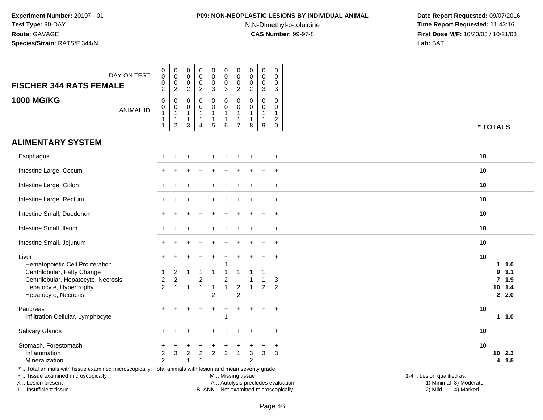## **P09: NON-NEOPLASTIC LESIONS BY INDIVIDUAL ANIMAL**

N,N-Dimethyl-p-toluidine

 **Date Report Requested:** 09/07/2016 **Time Report Requested:** 11:43:16 **First Dose M/F:** 10/20/03 / 10/21/03<br>**Lab:** BAT **Lab:** BAT

| DAY ON TEST<br><b>FISCHER 344 RATS FEMALE</b>                                                                                                                       | 0<br>0<br>$\pmb{0}$<br>$\overline{2}$                            | $\mathbf 0$<br>$\mathbf 0$<br>0<br>$\overline{a}$                             | $\pmb{0}$<br>0<br>0<br>$\overline{c}$      | $_{\rm 0}^{\rm 0}$<br>$\mathsf{O}\xspace$<br>$\sqrt{2}$                    | 0<br>$\mathbf 0$<br>0<br>3                              | $\pmb{0}$<br>$\mathsf{O}\xspace$<br>$\pmb{0}$<br>$\ensuremath{\mathsf{3}}$            | 0<br>$\mathbf 0$<br>0<br>$\overline{c}$       | $\pmb{0}$<br>0<br>0<br>$\overline{2}$      | $\pmb{0}$<br>$\mathsf{O}\xspace$<br>$\pmb{0}$<br>$\sqrt{3}$ | $\mathbf 0$<br>$\mathbf 0$<br>$\mathbf 0$<br>$\mathsf 3$                        |                                                                                          |  |
|---------------------------------------------------------------------------------------------------------------------------------------------------------------------|------------------------------------------------------------------|-------------------------------------------------------------------------------|--------------------------------------------|----------------------------------------------------------------------------|---------------------------------------------------------|---------------------------------------------------------------------------------------|-----------------------------------------------|--------------------------------------------|-------------------------------------------------------------|---------------------------------------------------------------------------------|------------------------------------------------------------------------------------------|--|
| <b>1000 MG/KG</b><br><b>ANIMAL ID</b>                                                                                                                               | $\mathbf 0$<br>0<br>$\mathbf{1}$<br>$\mathbf{1}$<br>$\mathbf{1}$ | $\mathbf 0$<br>$\mathsf{O}$<br>$\mathbf{1}$<br>$\mathbf{1}$<br>$\overline{2}$ | 0<br>0<br>$\mathbf{1}$<br>$\mathbf 1$<br>3 | $\mathbf 0$<br>$\pmb{0}$<br>$\mathbf{1}$<br>$\mathbf{1}$<br>$\overline{4}$ | 0<br>$\mathbf 0$<br>$\mathbf{1}$<br>1<br>$\overline{5}$ | $\mathbf 0$<br>$\mathsf{O}\xspace$<br>$\mathbf{1}$<br>$\mathbf{1}$<br>$6\phantom{1}6$ | 0<br>0<br>$\mathbf{1}$<br>1<br>$\overline{7}$ | $\Omega$<br>0<br>$\overline{1}$<br>-1<br>8 | $\mathbf 0$<br>0<br>$\mathbf{1}$<br>9                       | $\mathbf 0$<br>$\mathbf 0$<br>$\mathbf{1}$<br>$\sqrt{2}$<br>$\mathsf{O}\xspace$ | * TOTALS                                                                                 |  |
| <b>ALIMENTARY SYSTEM</b>                                                                                                                                            |                                                                  |                                                                               |                                            |                                                                            |                                                         |                                                                                       |                                               |                                            |                                                             |                                                                                 |                                                                                          |  |
| Esophagus                                                                                                                                                           |                                                                  |                                                                               |                                            |                                                                            |                                                         |                                                                                       |                                               |                                            |                                                             | $\ddot{}$                                                                       | 10                                                                                       |  |
| Intestine Large, Cecum                                                                                                                                              |                                                                  |                                                                               |                                            |                                                                            |                                                         |                                                                                       |                                               |                                            | $\ddot{}$                                                   | $\ddot{}$                                                                       | 10                                                                                       |  |
| Intestine Large, Colon                                                                                                                                              |                                                                  |                                                                               |                                            |                                                                            |                                                         |                                                                                       |                                               |                                            |                                                             |                                                                                 | 10                                                                                       |  |
| Intestine Large, Rectum                                                                                                                                             |                                                                  |                                                                               |                                            |                                                                            |                                                         |                                                                                       |                                               |                                            |                                                             | $\overline{+}$                                                                  | 10                                                                                       |  |
| Intestine Small, Duodenum                                                                                                                                           |                                                                  |                                                                               |                                            |                                                                            |                                                         |                                                                                       |                                               |                                            | $\ddot{}$                                                   | $+$                                                                             | 10                                                                                       |  |
| Intestine Small, Ileum                                                                                                                                              |                                                                  |                                                                               |                                            |                                                                            |                                                         |                                                                                       |                                               |                                            |                                                             | $\ddot{}$                                                                       | 10                                                                                       |  |
| Intestine Small, Jejunum                                                                                                                                            |                                                                  |                                                                               |                                            |                                                                            |                                                         |                                                                                       |                                               |                                            |                                                             | $+$                                                                             | 10                                                                                       |  |
| Liver<br>Hematopoietic Cell Proliferation                                                                                                                           |                                                                  |                                                                               |                                            |                                                                            | ÷                                                       |                                                                                       |                                               |                                            | $\pm$                                                       | $+$                                                                             | 10<br>1.0                                                                                |  |
| Centrilobular, Fatty Change<br>Centrilobular, Hepatocyte, Necrosis<br>Hepatocyte, Hypertrophy                                                                       | $\boldsymbol{2}$<br>$\overline{2}$                               | 2<br>$\boldsymbol{2}$<br>$\overline{1}$                                       | $\mathbf{1}$                               | -1<br>$\overline{c}$<br>$\overline{1}$                                     | $\overline{1}$<br>$\overline{\mathbf{1}}$               | -1<br>$\overline{c}$<br>$\mathbf{1}$                                                  | $\overline{c}$                                |                                            | $\overline{2}$                                              | 3<br>$\overline{2}$                                                             | 9<br>1.1<br>$7$ 1.9<br>$10$ 1.4                                                          |  |
| Hepatocyte, Necrosis                                                                                                                                                |                                                                  |                                                                               |                                            |                                                                            | $\overline{c}$                                          |                                                                                       | $\overline{c}$                                |                                            |                                                             |                                                                                 | 2.2.0                                                                                    |  |
| Pancreas<br>Infiltration Cellular, Lymphocyte                                                                                                                       |                                                                  |                                                                               |                                            |                                                                            |                                                         | -1                                                                                    |                                               |                                            | $\ddot{}$                                                   | $\ddot{}$                                                                       | 10<br>11.0                                                                               |  |
| <b>Salivary Glands</b>                                                                                                                                              |                                                                  |                                                                               |                                            |                                                                            |                                                         |                                                                                       |                                               |                                            |                                                             | $\ddot{}$                                                                       | 10                                                                                       |  |
| Stomach, Forestomach                                                                                                                                                |                                                                  |                                                                               |                                            |                                                                            |                                                         |                                                                                       |                                               |                                            | $\ddot{}$                                                   | $\ddot{}$                                                                       | 10                                                                                       |  |
| Inflammation<br>Mineralization                                                                                                                                      | 2<br>$\overline{2}$                                              | 3                                                                             | $\overline{c}$                             | $\overline{2}$                                                             | $\overline{c}$                                          | 2                                                                                     | 1                                             | 3<br>$\overline{2}$                        | $\mathfrak{Z}$                                              | 3                                                                               | 10 2.3<br>4 1.5                                                                          |  |
| *  Total animals with tissue examined microscopically; Total animals with lesion and mean severity grade<br>+  Tissue examined microscopically<br>X  Lesion present |                                                                  |                                                                               |                                            |                                                                            |                                                         | M  Missing tissue                                                                     |                                               |                                            |                                                             |                                                                                 | 1-4  Lesion qualified as:<br>A  Autolysis precludes evaluation<br>1) Minimal 3) Moderate |  |

I .. Insufficient tissue

BLANK .. Not examined microscopically 2) Mild 4) Marked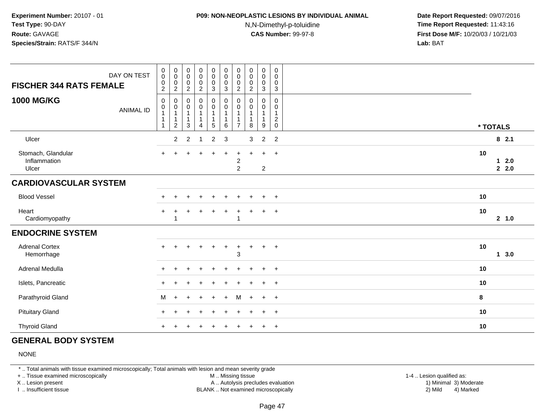### **P09: NON-NEOPLASTIC LESIONS BY INDIVIDUAL ANIMAL**

N,N-Dimethyl-p-toluidine

 **Date Report Requested:** 09/07/2016 **Time Report Requested:** 11:43:16 **First Dose M/F:** 10/20/03 / 10/21/03<br>**Lab:** BAT **Lab:** BAT

| DAY ON TEST<br><b>FISCHER 344 RATS FEMALE</b> | $\mathbf 0$<br>$\mathbf 0$<br>$\mathbf 0$                                        | $\pmb{0}$<br>$\ddot{\mathbf{0}}$<br>$\mathbf 0$                                     | $\boldsymbol{0}$<br>$\overline{0}$<br>$\mathbf 0$                                          | $\begin{smallmatrix}0\0\0\end{smallmatrix}$<br>$\pmb{0}$                                             | 0<br>$\overline{0}$<br>$\mathsf{O}\xspace$ | $_{\rm 0}^{\rm 0}$<br>$\mathsf 0$                                                       | $\pmb{0}$<br>$\pmb{0}$<br>$\mathbf 0$                                       | $\mathbf 0$<br>$\pmb{0}$<br>$\pmb{0}$                       | $\begin{smallmatrix} 0\\0 \end{smallmatrix}$<br>$\mathsf{O}$                    | 0<br>0<br>0                                                   |                       |
|-----------------------------------------------|----------------------------------------------------------------------------------|-------------------------------------------------------------------------------------|--------------------------------------------------------------------------------------------|------------------------------------------------------------------------------------------------------|--------------------------------------------|-----------------------------------------------------------------------------------------|-----------------------------------------------------------------------------|-------------------------------------------------------------|---------------------------------------------------------------------------------|---------------------------------------------------------------|-----------------------|
| <b>1000 MG/KG</b><br><b>ANIMAL ID</b>         | $\sqrt{2}$<br>$\mathsf{O}$<br>$\mathbf 0$<br>$\overline{1}$<br>$\mathbf{1}$<br>1 | $\boldsymbol{2}$<br>$\mathbf 0$<br>$\pmb{0}$<br>1<br>$\mathbf{1}$<br>$\overline{c}$ | $\overline{c}$<br>$\mathbf 0$<br>$\mathbf 0$<br>$\mathbf{1}$<br>$\mathbf{1}$<br>$\sqrt{3}$ | $\overline{c}$<br>$\mathsf{O}\xspace$<br>$\pmb{0}$<br>$\mathbf{1}$<br>$\mathbf{1}$<br>$\overline{4}$ | 3<br>0<br>0<br>5                           | $\mathbf{3}$<br>$\mathbf 0$<br>$\mathbf 0$<br>$\mathbf{1}$<br>$\overline{1}$<br>$\,6\,$ | $\boldsymbol{2}$<br>$\mathbf 0$<br>0<br>$\mathbf{1}$<br>1<br>$\overline{7}$ | $\overline{c}$<br>$\mathbf 0$<br>0<br>1<br>$\mathbf 1$<br>8 | $\mathbf{3}$<br>$\mathbf 0$<br>$\mathbf 0$<br>$\mathbf{1}$<br>$\mathbf{1}$<br>9 | $\sqrt{3}$<br>$\mathbf 0$<br>0<br>$\overline{c}$<br>$\pmb{0}$ |                       |
| Ulcer                                         |                                                                                  | $\overline{c}$                                                                      | 2                                                                                          | $\overline{1}$                                                                                       | $\overline{c}$                             | $\mathbf{3}$                                                                            |                                                                             | 3                                                           | $\sqrt{2}$                                                                      | $\overline{2}$                                                | * TOTALS<br>82.1      |
| Stomach, Glandular<br>Inflammation<br>Ulcer   |                                                                                  |                                                                                     |                                                                                            |                                                                                                      |                                            |                                                                                         | $\overline{c}$<br>$\overline{2}$                                            |                                                             | $\div$<br>$\overline{2}$                                                        | $+$                                                           | 10<br>$12.0$<br>2.2.0 |
| <b>CARDIOVASCULAR SYSTEM</b>                  |                                                                                  |                                                                                     |                                                                                            |                                                                                                      |                                            |                                                                                         |                                                                             |                                                             |                                                                                 |                                                               |                       |
| <b>Blood Vessel</b>                           |                                                                                  |                                                                                     |                                                                                            |                                                                                                      |                                            |                                                                                         |                                                                             |                                                             |                                                                                 | $\ddot{}$                                                     | 10                    |
| Heart<br>Cardiomyopathy                       |                                                                                  |                                                                                     |                                                                                            |                                                                                                      |                                            |                                                                                         | 1                                                                           |                                                             |                                                                                 | $+$                                                           | 10<br>2 1.0           |
| <b>ENDOCRINE SYSTEM</b>                       |                                                                                  |                                                                                     |                                                                                            |                                                                                                      |                                            |                                                                                         |                                                                             |                                                             |                                                                                 |                                                               |                       |
| <b>Adrenal Cortex</b><br>Hemorrhage           |                                                                                  |                                                                                     |                                                                                            |                                                                                                      |                                            |                                                                                         | 3                                                                           |                                                             | $\ddot{}$                                                                       | $+$                                                           | 10<br>13.0            |
| Adrenal Medulla                               |                                                                                  |                                                                                     |                                                                                            |                                                                                                      |                                            |                                                                                         |                                                                             |                                                             | ÷.                                                                              | $\ddot{}$                                                     | 10                    |
| Islets, Pancreatic                            |                                                                                  |                                                                                     |                                                                                            |                                                                                                      |                                            |                                                                                         |                                                                             |                                                             | $\div$                                                                          | $\overline{+}$                                                | 10                    |
| Parathyroid Gland                             | M                                                                                | $\div$                                                                              |                                                                                            | $\div$                                                                                               | ÷                                          | $\div$                                                                                  | M                                                                           |                                                             | $\ddot{}$                                                                       | $+$                                                           | 8                     |
| <b>Pituitary Gland</b>                        |                                                                                  |                                                                                     |                                                                                            |                                                                                                      |                                            |                                                                                         |                                                                             |                                                             | $\ddot{}$                                                                       | $+$                                                           | 10                    |
| <b>Thyroid Gland</b>                          |                                                                                  |                                                                                     |                                                                                            |                                                                                                      |                                            |                                                                                         |                                                                             |                                                             |                                                                                 | $\ddot{}$                                                     | 10                    |

### **GENERAL BODY SYSTEM**

NONE

\* .. Total animals with tissue examined microscopically; Total animals with lesion and mean severity grade

+ .. Tissue examined microscopically

X .. Lesion present

I .. Insufficient tissue

 M .. Missing tissueA .. Autolysis precludes evaluation

BLANK .. Not examined microscopically 2) Mild 4) Marked

1-4 .. Lesion qualified as:<br>1) Minimal 3) Moderate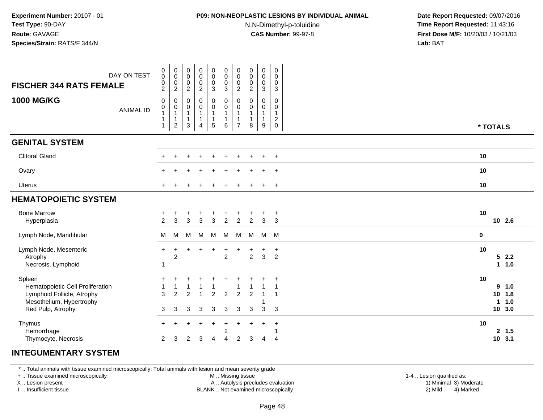# **P09: NON-NEOPLASTIC LESIONS BY INDIVIDUAL ANIMAL**

N,N-Dimethyl-p-toluidine

 **Date Report Requested:** 09/07/2016 **Time Report Requested:** 11:43:16 **First Dose M/F:** 10/20/03 / 10/21/03<br>**Lab:** BAT **Lab:** BAT

| <b>FISCHER 344 RATS FEMALE</b>                                                                                            | DAY ON TEST      | $\pmb{0}$<br>$\overline{0}$<br>$\pmb{0}$<br>$\sqrt{2}$                       | $\pmb{0}$<br>$\pmb{0}$<br>$\mathbf 0$<br>$\overline{2}$            | 0<br>$\mathbf 0$<br>$\pmb{0}$<br>$\overline{2}$         | $_{\rm 0}^{\rm 0}$<br>$\pmb{0}$<br>$\overline{c}$             | $_{\rm 0}^{\rm 0}$<br>$\mathsf{O}\xspace$<br>$\sqrt{3}$            | $\begin{smallmatrix} 0\\0 \end{smallmatrix}$<br>$\mathsf 0$<br>$\mathbf{3}$ | 0<br>$\mathsf{O}\xspace$<br>0<br>$\overline{c}$ | $\pmb{0}$<br>$\overline{0}$<br>$\mathsf{O}\xspace$<br>$\overline{2}$ | $_{\rm 0}^{\rm 0}$<br>$\mathsf{O}\xspace$<br>$\mathbf{3}$ | $\mathsf 0$<br>0<br>0<br>$\mathbf{3}$  |    |                                         |
|---------------------------------------------------------------------------------------------------------------------------|------------------|------------------------------------------------------------------------------|--------------------------------------------------------------------|---------------------------------------------------------|---------------------------------------------------------------|--------------------------------------------------------------------|-----------------------------------------------------------------------------|-------------------------------------------------|----------------------------------------------------------------------|-----------------------------------------------------------|----------------------------------------|----|-----------------------------------------|
| <b>1000 MG/KG</b>                                                                                                         | <b>ANIMAL ID</b> | $\mathbf 0$<br>$\pmb{0}$<br>$\overline{1}$<br>$\overline{1}$<br>$\mathbf{1}$ | 0<br>$\mathbf 0$<br>$\mathbf{1}$<br>$\mathbf{1}$<br>$\overline{c}$ | 0<br>$\mathbf 0$<br>$\mathbf{1}$<br>$\overline{1}$<br>3 | $\pmb{0}$<br>$\pmb{0}$<br>1<br>$\mathbf{1}$<br>$\overline{4}$ | $_{\rm 0}^{\rm 0}$<br>$\mathbf{1}$<br>$\overline{1}$<br>$\sqrt{5}$ | $\pmb{0}$<br>$\mathbf 0$<br>$\mathbf{1}$<br>$\mathbf{1}$<br>6               | 0<br>0<br>1<br>$\overline{7}$                   | $\mathbf 0$<br>0<br>1<br>1<br>8                                      | 0<br>$\pmb{0}$<br>$\mathbf{1}$<br>$\mathbf{1}$<br>9       | 0<br>0<br>$\mathbf{1}$<br>$^2_{\rm 0}$ |    | * TOTALS                                |
| <b>GENITAL SYSTEM</b>                                                                                                     |                  |                                                                              |                                                                    |                                                         |                                                               |                                                                    |                                                                             |                                                 |                                                                      |                                                           |                                        |    |                                         |
| <b>Clitoral Gland</b>                                                                                                     |                  |                                                                              |                                                                    | ÷                                                       | $\div$                                                        | $\ddot{}$                                                          |                                                                             |                                                 |                                                                      | $\pm$                                                     | $+$                                    | 10 |                                         |
| Ovary                                                                                                                     |                  |                                                                              |                                                                    |                                                         |                                                               |                                                                    |                                                                             |                                                 |                                                                      | $\ddot{}$                                                 | $^{+}$                                 | 10 |                                         |
| <b>Uterus</b>                                                                                                             |                  |                                                                              |                                                                    |                                                         |                                                               |                                                                    |                                                                             |                                                 |                                                                      | $\ddot{}$                                                 | $+$                                    | 10 |                                         |
| <b>HEMATOPOIETIC SYSTEM</b>                                                                                               |                  |                                                                              |                                                                    |                                                         |                                                               |                                                                    |                                                                             |                                                 |                                                                      |                                                           |                                        |    |                                         |
| <b>Bone Marrow</b><br>Hyperplasia                                                                                         |                  | 2                                                                            | 3                                                                  | $\ddot{}$<br>3                                          | $\ddot{}$<br>$\mathbf{3}$                                     | $\ddot{}$<br>$\mathbf{3}$                                          | $\ddot{}$<br>$\overline{2}$                                                 | $\ddot{}$<br>$\overline{c}$                     | $\overline{2}$                                                       | $\ddot{}$<br>$\mathsf 3$                                  | $+$<br>$\mathbf{3}$                    | 10 | 10 2.6                                  |
| Lymph Node, Mandibular                                                                                                    |                  | M                                                                            | M                                                                  | M                                                       | M                                                             | M                                                                  | M                                                                           | M                                               | M                                                                    |                                                           | M M                                    | 0  |                                         |
| Lymph Node, Mesenteric<br>Atrophy<br>Necrosis, Lymphoid                                                                   |                  | +<br>1                                                                       | $\ddot{}$<br>$\overline{2}$                                        |                                                         | $\div$                                                        | $\ddot{}$                                                          | +<br>$\overline{2}$                                                         | +                                               | $\overline{c}$                                                       | $\ddot{}$<br>$\mathbf{3}$                                 | $+$<br>2                               | 10 | 52.2<br>11.0                            |
| Spleen<br>Hematopoietic Cell Proliferation<br>Lymphoid Follicle, Atrophy<br>Mesothelium, Hypertrophy<br>Red Pulp, Atrophy |                  | 1<br>3<br>3                                                                  | 1<br>$\overline{2}$<br>3                                           | 2<br>3                                                  | $\overline{1}$<br>3                                           | $\overline{2}$<br>3                                                | $\overline{2}$<br>3                                                         | $\overline{2}$<br>3                             | $\overline{2}$<br>3                                                  | 3                                                         | $\ddot{}$<br>3                         | 10 | 9, 1.0<br>10 1.8<br>1.0<br>1.<br>10 3.0 |
| Thymus<br>Hemorrhage<br>Thymocyte, Necrosis                                                                               |                  | $\pm$<br>$\overline{2}$                                                      | 3                                                                  | 2                                                       | $\overline{+}$<br>3                                           | $\ddot{}$<br>$\overline{4}$                                        | $\ddot{}$<br>$\overline{2}$<br>4                                            | $\ddot{}$<br>$\overline{c}$                     | 3                                                                    | $\ddot{}$<br>$\overline{4}$                               | $\div$<br>$\overline{4}$               | 10 | 2, 1.5<br>$10$ 3.1                      |

#### **INTEGUMENTARY SYSTEM**

\* .. Total animals with tissue examined microscopically; Total animals with lesion and mean severity grade

+ .. Tissue examined microscopically

X .. Lesion present

I .. Insufficient tissue

M .. Missing tissue

A .. Autolysis precludes evaluation

BLANK .. Not examined microscopically 2) Mild 4) Marked

1-4 .. Lesion qualified as:<br>1) Minimal 3) Moderate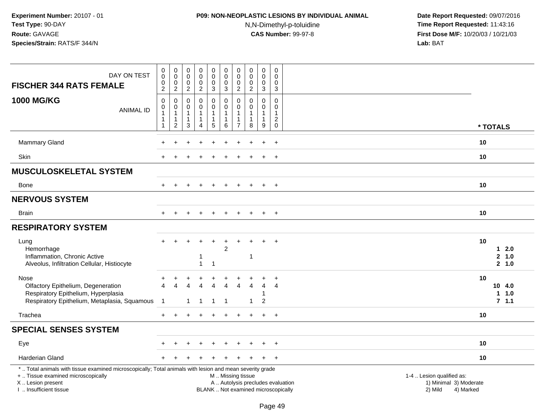### **P09: NON-NEOPLASTIC LESIONS BY INDIVIDUAL ANIMAL**

N,N-Dimethyl-p-toluidine

| DAY ON TEST<br><b>FISCHER 344 RATS FEMALE</b>                                                                                                                                                 | $\,0\,$<br>$\pmb{0}$<br>$\pmb{0}$<br>$\overline{2}$       | $\pmb{0}$<br>$\mathsf{O}\xspace$<br>$\boldsymbol{0}$<br>$\overline{c}$       | $\pmb{0}$<br>$\mathbf 0$<br>$\mathbf 0$<br>$\overline{c}$     | 0<br>$\mathsf{O}\xspace$<br>$\pmb{0}$<br>$\overline{a}$       | $_{\rm 0}^{\rm 0}$<br>$\pmb{0}$<br>$\mathbf{3}$                 | $\pmb{0}$<br>$\pmb{0}$<br>$\mathbf 0$<br>$\mathbf{3}$           | 0<br>$\mathbf 0$<br>$\mathbf 0$<br>$\overline{c}$ | $\pmb{0}$<br>$\mathbf 0$<br>$\mathbf 0$<br>$\overline{2}$ | $\pmb{0}$<br>$\mathbf 0$<br>0<br>$\mathbf{3}$                       | $\mathsf 0$<br>$\Omega$<br>$\mathbf 0$<br>$\mathbf{3}$                   |                                                                             |  |
|-----------------------------------------------------------------------------------------------------------------------------------------------------------------------------------------------|-----------------------------------------------------------|------------------------------------------------------------------------------|---------------------------------------------------------------|---------------------------------------------------------------|-----------------------------------------------------------------|-----------------------------------------------------------------|---------------------------------------------------|-----------------------------------------------------------|---------------------------------------------------------------------|--------------------------------------------------------------------------|-----------------------------------------------------------------------------|--|
| <b>1000 MG/KG</b><br><b>ANIMAL ID</b>                                                                                                                                                         | $\mathbf 0$<br>$\pmb{0}$<br>$\overline{1}$<br>$\mathbf 1$ | $\pmb{0}$<br>$\pmb{0}$<br>$\overline{1}$<br>$\overline{1}$<br>$\overline{2}$ | $\Omega$<br>0<br>$\mathbf{1}$<br>$\mathbf{1}$<br>$\mathbf{3}$ | $\mathbf 0$<br>$\pmb{0}$<br>$\mathbf{1}$<br>$\mathbf{1}$<br>4 | $\mathbf 0$<br>$\mathbf 0$<br>$\mathbf{1}$<br>$\mathbf{1}$<br>5 | $\mathbf 0$<br>$\mathsf 0$<br>$\mathbf{1}$<br>$\mathbf{1}$<br>6 | $\Omega$<br>0<br>$\overline{7}$                   | $\Omega$<br>$\mathbf 0$<br>$\mathbf{1}$<br>-1<br>8        | $\mathbf 0$<br>$\mathbf 0$<br>$\mathbf{1}$<br>1<br>$\boldsymbol{9}$ | $\Omega$<br>$\mathbf 0$<br>$\mathbf{1}$<br>$\overline{2}$<br>$\mathbf 0$ | * TOTALS                                                                    |  |
|                                                                                                                                                                                               |                                                           |                                                                              |                                                               |                                                               |                                                                 |                                                                 |                                                   |                                                           |                                                                     |                                                                          |                                                                             |  |
| <b>Mammary Gland</b>                                                                                                                                                                          |                                                           |                                                                              |                                                               |                                                               |                                                                 |                                                                 |                                                   |                                                           |                                                                     | $+$                                                                      | 10                                                                          |  |
| Skin                                                                                                                                                                                          |                                                           |                                                                              |                                                               |                                                               |                                                                 |                                                                 |                                                   |                                                           |                                                                     | $\div$                                                                   | 10                                                                          |  |
| <b>MUSCULOSKELETAL SYSTEM</b>                                                                                                                                                                 |                                                           |                                                                              |                                                               |                                                               |                                                                 |                                                                 |                                                   |                                                           |                                                                     |                                                                          |                                                                             |  |
| Bone                                                                                                                                                                                          | $+$                                                       | $\pm$                                                                        |                                                               | $\ddot{}$                                                     | $\ddot{}$                                                       | $\ddot{}$                                                       | $\ddot{}$                                         | $+$                                                       | $+$                                                                 | $+$                                                                      | 10                                                                          |  |
| <b>NERVOUS SYSTEM</b>                                                                                                                                                                         |                                                           |                                                                              |                                                               |                                                               |                                                                 |                                                                 |                                                   |                                                           |                                                                     |                                                                          |                                                                             |  |
| Brain                                                                                                                                                                                         |                                                           |                                                                              |                                                               |                                                               |                                                                 |                                                                 |                                                   |                                                           |                                                                     | $\overline{+}$                                                           | 10                                                                          |  |
| <b>RESPIRATORY SYSTEM</b>                                                                                                                                                                     |                                                           |                                                                              |                                                               |                                                               |                                                                 |                                                                 |                                                   |                                                           |                                                                     |                                                                          |                                                                             |  |
| Lung<br>Hemorrhage<br>Inflammation, Chronic Active<br>Alveolus, Infiltration Cellular, Histiocyte                                                                                             | $\ddot{}$                                                 |                                                                              |                                                               | 1<br>1                                                        | $\mathbf 1$                                                     | $\overline{2}$                                                  |                                                   | $\overline{1}$                                            |                                                                     | $\ddot{}$                                                                | 10<br>$1 \quad 2.0$<br>2, 1.0<br>2, 1.0                                     |  |
| Nose<br>Olfactory Epithelium, Degeneration<br>Respiratory Epithelium, Hyperplasia<br>Respiratory Epithelium, Metaplasia, Squamous                                                             | $\ddot{}$<br>$\boldsymbol{\Lambda}$<br>-1                 |                                                                              | 1                                                             | $\boldsymbol{\Lambda}$<br>-1                                  | 4<br>-1                                                         | $\overline{4}$<br>$\overline{1}$                                | 4                                                 | 4<br>$\mathbf{1}$                                         | $\overline{4}$<br>1<br>$\overline{2}$                               | 4                                                                        | 10<br>10 4.0<br>11.0<br>7.1.1                                               |  |
| Trachea                                                                                                                                                                                       | $\ddot{}$                                                 |                                                                              |                                                               |                                                               |                                                                 |                                                                 |                                                   |                                                           | $\ddot{}$                                                           | $+$                                                                      | 10                                                                          |  |
| <b>SPECIAL SENSES SYSTEM</b>                                                                                                                                                                  |                                                           |                                                                              |                                                               |                                                               |                                                                 |                                                                 |                                                   |                                                           |                                                                     |                                                                          |                                                                             |  |
| Eye                                                                                                                                                                                           |                                                           |                                                                              |                                                               |                                                               |                                                                 |                                                                 |                                                   |                                                           |                                                                     | $\overline{+}$                                                           | 10                                                                          |  |
| <b>Harderian Gland</b>                                                                                                                                                                        |                                                           |                                                                              |                                                               |                                                               |                                                                 |                                                                 |                                                   |                                                           |                                                                     | $+$                                                                      | 10                                                                          |  |
| *  Total animals with tissue examined microscopically; Total animals with lesion and mean severity grade<br>+  Tissue examined microscopically<br>X  Lesion present<br>I. Insufficient tissue |                                                           |                                                                              |                                                               |                                                               |                                                                 | M  Missing tissue                                               |                                                   |                                                           |                                                                     | A  Autolysis precludes evaluation<br>BLANK  Not examined microscopically | 1-4  Lesion qualified as:<br>1) Minimal 3) Moderate<br>2) Mild<br>4) Marked |  |